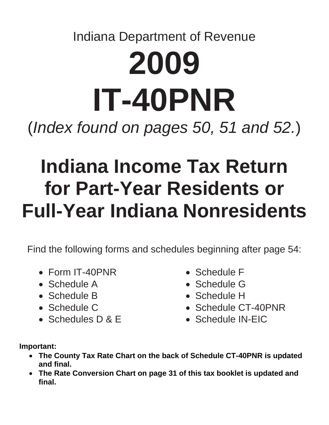# Indiana Department of Revenue **2009 IT-40PNR**  (*Index found on pages 50, 51 and 52.*)

# **Indiana Income Tax Return for Part-Year Residents or Full-Year Indiana Nonresidents**

Find the following forms and schedules beginning after page 54:

- Form IT-40PNR
- Schedule A
- Schedule B
- Schedule C
- Schedules D & E
- Schedule F
- Schedule G
- Schedule H
- Schedule CT-40PNR
- Schedule IN-EIC

**Important:** 

- **The County Tax Rate Chart on the back of Schedule CT-40PNR is updated and final.**
- **The Rate Conversion Chart on page 31 of this tax booklet is updated and final.**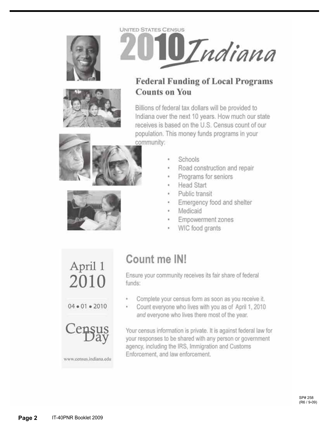





# **Federal Funding of Local Programs Counts on You**

Billions of federal tax dollars will be provided to Indiana over the next 10 years. How much our state receives is based on the U.S. Census count of our population. This money funds programs in your community:





- Schools
- Road construction and repair ¥
- Programs for seniors
- **Head Start** ٠
- Public transit
- Emergency food and shelter
- Medicaid
- Empowerment zones
- WIC food grants

www.census.indiana.edu

# Count me IN!

Ensure your community receives its fair share of federal funds:

- ٠ Complete your census form as soon as you receive it.
- $\epsilon$ Count everyone who lives with you as of April 1, 2010 and everyone who lives there most of the year.

Your census information is private. It is against federal law for your responses to be shared with any person or government agency, including the IRS, Immigration and Customs Enforcement, and law enforcement.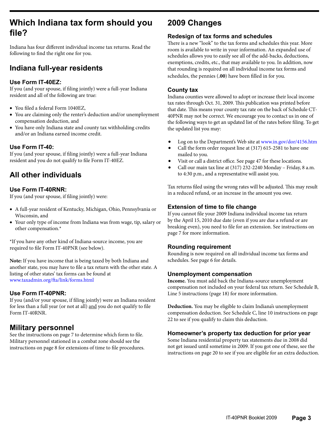# **Which Indiana tax form should you file?**

Indiana has four different individual income tax returns. Read the following to find the right one for you.

# **Indiana full-year residents**

#### **Use Form IT-40EZ:**

If you (and your spouse, if filing jointly) were a full-year Indiana resident and all of the following are true:

- • You filed a federal Form 1040EZ,
- You are claiming only the renter's deduction and/or unemployment compensation deduction, and
- You have only Indiana state and county tax withholding credits and/or an Indiana earned income credit.

### **Use Form IT-40:**

If you (and your spouse, if filing jointly) were a full-year Indiana resident and you do not qualify to file Form IT-40EZ.

# **All other individuals**

### **Use Form IT-40RNR:**

If you (and your spouse, if filing jointly) were:

- • A full-year resident of Kentucky, Michigan, Ohio, Pennsylvania or Wisconsin, and
- Your only type of income from Indiana was from wage, tip, salary or other compensation.\*

\*If you have any other kind of Indiana-source income, you are required to file Form IT-40PNR (see below).

**Note:** If you have income that is being taxed by both Indiana and another state, you may have to file a tax return with the other state. A listing of other states' tax forms can be found at www.taxadmin.org/fta/link/forms.html

#### **Use Form IT-40PNR:**

If you (and/or your spouse, if filing jointly) were an Indiana resident for less than a full year (or not at all) and you do not qualify to file Form IT-40RNR.

# **Military personnel**

See the instructions on page 7 to determine which form to file. Military personnel stationed in a combat zone should see the instructions on page 8 for extensions of time to file procedures.

# **2009 Changes**

#### **Redesign of tax forms and schedules**

There is a new "look" to the tax forms and schedules this year. More room is available to write in your information. An expanded use of schedules allows you to easily see all of the add-backs, deductions, exemptions, credits, etc., that may available to you. In addition, now that rounding is required on all individual income tax forms and schedules, the pennies (**.00**) have been filled in for you.

#### **County tax**

Indiana counties were allowed to adopt or increase their local income tax rates through Oct. 31, 2009. This publication was printed before that date. This means your county tax rate on the back of Schedule CT-40PNR may not be correct. We encourage you to contact us in one of the following ways to get an updated list of the rates before filing. To get the updated list you may:

- Log on to the Department's Web site at [www.in.gov/dor/4156.htm](http://www.in.gov/dor/4156.htm)
- Call the form order request line at (317) 615-2581 to have one mailed to you.
- Visit or call a district office. See page 47 for these locations.
- • Call our main tax line at (317) 232-2240 Monday Friday, 8 a.m. to 4:30 p.m., and a representative will assist you.

Tax returns filed using the wrong rates will be adjusted. This may result in a reduced refund, or an increase in the amount you owe.

### **Extension of time to file change**

If you cannot file your 2009 Indiana individual income tax return by the April 15, 2010 due date (even if you are due a refund or are breaking even), you need to file for an extension. See instructions on page 7 for more information.

#### **Rounding requirement**

Rounding is now required on all individual income tax forms and schedules. See page 6 for details.

#### **Unemployment compensation**

**Income.** You must add back the Indiana-source unemployment compensation not included on your federal tax return. See Schedule B, Line 5 instructions (page 18) for more information.

**Deduction.** You may be eligible to claim Indiana's unemployment compensation deduction. See Schedule C, line 10 instructions on page 22 to see if you qualify to claim this deduction.

#### **Homeowner's property tax deduction for prior year**

Some Indiana residential property tax statements due in 2008 did not get issued until sometime in 2009. If you got one of these, see the instructions on page 20 to see if you are eligible for an extra deduction.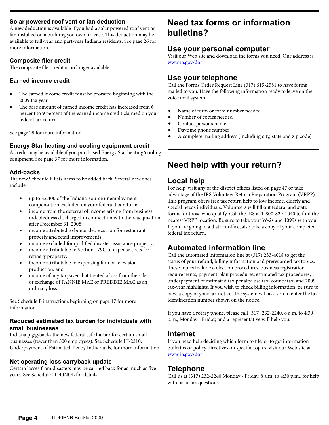#### **Solar powered roof vent or fan deduction**

A new deduction is available if you had a solar powered roof vent or fan installed on a building you own or lease. This deduction may be available to full-year and part-year Indiana residents. See page 26 for more information.

#### **Composite filer credit**

The composite filer credit is no longer available.

#### **Earned income credit**

- The earned income credit must be prorated beginning with the 2009 tax year.
- The base amount of earned income credit has increased from 6 percent to 9 percent of the earned income credit claimed on your federal tax return.

See page 29 for more information.

#### **Energy Star heating and cooling equipment credit**

A credit may be available if you purchased Energy Star heating/cooling equipment. See page 37 for more information.

#### **Add-backs**

The new Schedule B lists items to be added back. Several new ones include:

- • up to \$2,400 of the Indiana-source unemployment compensation excluded on your federal tax return;
- income from the deferral of income arising from business indebtedness discharged in connection with the reacquisition after December 31, 2008;
- income attributed to bonus depreciation for restaurant property and retail improvements;
- income excluded for qualified disaster assistance property;
- income attributable to Section 179C to expense costs for refinery property;
- income attributable to expensing film or television production; and
- income of any taxpayer that treated a loss from the sale or exchange of FANNIE MAE or FREDDIE MAC as an ordinary loss.

See Schedule B instructions beginning on page 17 for more information.

#### **Reduced estimated tax burden for individuals with small businesses**

Indiana piggybacks the new federal safe harbor for certain small businesses (fewer than 500 employees). See Schedule IT-2210, Underpayment of Estimated Tax by Individuals, for more information.

#### **Net operating loss carryback update**

Certain losses from disasters may be carried back for as much as five years. See Schedule IT-40NOL for details.

# **Need tax forms or information bulletins?**

### **Use your personal computer**

Visit our Web site and download the forms you need. Our address is www.in.gov/dor

## **Use your telephone**

Call the Forms Order Request Line (317) 615-2581 to have forms mailed to you. Have the following information ready to leave on the voice mail system:

- Name of form or form number needed
- Number of copies needed
- Contact person's name
- Daytime phone number
- A complete mailing address (including city, state and zip code)

# **Need help with your return?**

## **Local help**

For help, visit any of the district offices listed on page 47 or take advantage of the IRS Volunteer Return Preparation Program (VRPP). This program offers free tax return help to low income, elderly and special needs individuals. Volunteers will fill out federal and state forms for those who qualify. Call the IRS at 1-800-829-1040 to find the nearest VRPP location. Be sure to take your W-2s and 1099s with you. If you are going to a district office, also take a copy of your completed federal tax return.

# **Automated information line**

Call the automated information line at (317) 233-4018 to get the status of your refund, billing information and prerecorded tax topics. These topics include collection procedures, business registration requirements, payment-plan procedures, estimated tax procedures, underpayment of estimated tax penalty, use tax, county tax, and 2009 tax-year highlights. If you wish to check billing information, be sure to have a copy of your tax notice. The system will ask you to enter the tax identification number shown on the notice.

If you have a rotary phone, please call (317) 232-2240, 8 a.m. to 4:30 p.m., Monday - Friday, and a representative will help you.

### **Internet**

If you need help deciding which form to file, or to get information bulletins or policy directives on specific topics, visit our Web site at www.in.gov/dor

### **Telephone**

Call us at (317) 232-2240 Monday - Friday, 8 a.m. to 4:30 p.m., for help with basic tax questions.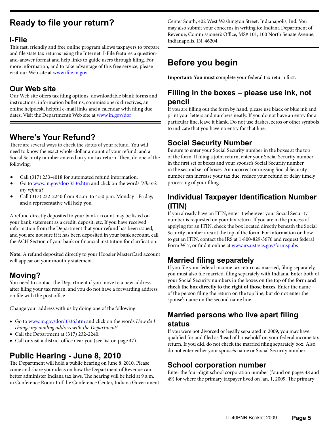# **Ready to file your return?**

# **I-File**

This fast, friendly and free online program allows taxpayers to prepare and file state tax returns using the Internet. I-File features a questionand-answer format and help links to guide users through filing. For more information, and to take advantage of this free service, please visit our Web site at www.ifile.in.gov

# **Our Web site**

Our Web site offers tax filing options, downloadable blank forms and instructions, information bulletins, commissioner's directives, an online helpdesk, helpful e-mail links and a calendar with filing due dates. Visit the Department's Web site at www.in.gov/dor

# **Where's Your Refund?**

There are several ways to check the status of your refund. You will need to know the exact whole-dollar amount of your refund, and a Social Security number entered on your tax return. Then, do one of the following:

- Call (317) 233-4018 for automated refund information.
- Go to [www.in.gov/dor/3336.htm](http://www.in.gov/dor/3336.htm) and click on the words *Where's my refund?*
- Call (317) 232-2240 from 8 a.m. to 4:30 p.m. Monday Friday, and a representative will help you.

A refund directly deposited to your bank account may be listed on your bank statement as a credit, deposit, etc. If you have received information from the Department that your refund has been issued, and you are not sure if it has been deposited in your bank account, call the ACH Section of your bank or financial institution for clarification.

**Note:** A refund deposited directly to your Hoosier MasterCard account will appear on your monthly statement.

# **Moving?**

You need to contact the Department if you move to a new address after filing your tax return, and you do not have a forwarding address on file with the post office.

Change your address with us by doing one of the following:

- • Go to www.in.gov/dor/3336.htm and click on the words *How do I change my mailing address with the Department?*
- Call the Department at (317) 232-2240.
- • Call or visit a district office near you (see list on page 47).

# **Public Hearing - June 8, 2010**

The Department will hold a public hearing on June 8, 2010. Please come and share your ideas on how the Department of Revenue can better administer Indiana tax laws. The hearing will be held at 9 a.m. in Conference Room 1 of the Conference Center, Indiana Government Center South, 402 West Washington Street, Indianapolis, Ind. You may also submit your concerns in writing to: Indiana Department of Revenue, Commissioner's Office, MS# 101, 100 North Senate Avenue, Indianapolis, IN, 46204.

# **Before you begin**

**Important: You must c**omplete your federal tax return first.

# **Filling in the boxes – please use ink, not pencil**

If you are filling out the form by hand, please use black or blue ink and print your letters and numbers neatly. If you do not have an entry for a particular line, leave it blank. Do not use dashes, zeros or other symbols to indicate that you have no entry for that line.

# **Social Security Number**

Be sure to enter your Social Security number in the boxes at the top of the form. If filing a joint return, enter your Social Security number in the first set of boxes and your spouse's Social Security number in the second set of boxes. An incorrect or missing Social Security number can increase your tax due, reduce your refund or delay timely processing of your filing.

# **Individual Taxpayer Identification Number (ITIN)**

If you already have an ITIN, enter it wherever your Social Security number is requested on your tax return. If you are in the process of applying for an ITIN, check the box located directly beneath the Social Security number area at the top of the form. For information on how to get an ITIN, contact the IRS at 1-800-829-3676 and request federal Form W-7, or find it online at [www.irs.ustreas.gov/formspubs](http://www.irs.ustreas.gov/formspubs/)

# **Married filing separately**

If you file your federal income tax return as married, filing separately, you must also file married, filing separately with Indiana. Enter both of your Social Security numbers in the boxes on the top of the form **and check the box directly to the right of those boxes**. Enter the name of the person filing the return on the top line, but do not enter the spouse's name on the second name line.

# **Married persons who live apart filing status**

If you were not divorced or legally separated in 2009, you may have qualified for and filed as 'head of household' on your federal income tax return. If you did, do not check the married filing separately box. Also, do not enter either your spouse's name or Social Security number.

# **School corporation number**

Enter the four-digit school corporation number (found on pages 48 and 49) for where the primary taxpayer lived on Jan. 1, 2009. The primary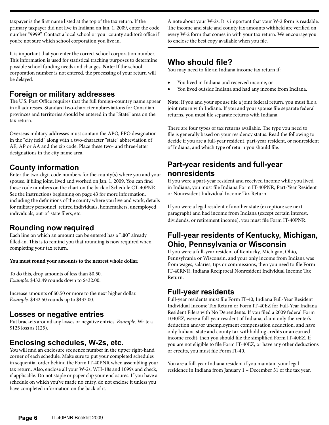taxpayer is the first name listed at the top of the tax return. If the primary taxpayer did not live in Indiana on Jan. 1, 2009, enter the code number "9999". Contact a local school or your county auditor's office if you're not sure which school corporation you live in.

It is important that you enter the correct school corporation number. This information is used for statistical tracking purposes to determine possible school funding needs and changes. **Note:** If the school corporation number is not entered, the processing of your return will be delayed.

# **Foreign or military addresses**

The U.S. Post Office requires that the full foreign-country name appear in all addresses. Standard two-character abbreviations for Canadian provinces and territories should be entered in the "State" area on the tax return.

Overseas military addresses must contain the APO, FPO designation in the "city field" along with a two-character "state" abbreviation of AE, AP or AA and the zip code. Place these two- and three-letter designations in the city name area.

# **County information**

Enter the two-digit code numbers for the county(s) where you and your spouse, if filing joint, lived and worked on Jan. 1, 2009. You can find these code numbers on the chart on the back of Schedule CT-40PNR. See the instructions beginning on page 43 for more information, including the definitions of the county where you live and work, details for military personnel, retired individuals, homemakers, unemployed individuals, out-of-state filers, etc.

# **Rounding now required**

Each line on which an amount can be entered has a "**.00**" already filled-in. This is to remind you that rounding is now required when completing your tax return.

#### **You must round your amounts to the nearest whole dollar.**

To do this, drop amounts of less than \$0.50. *Example.* \$432.49 rounds down to \$432.00.

Increase amounts of \$0.50 or more to the next higher dollar. *Example.* \$432.50 rounds up to \$433.00.

# **Losses or negative entries**

Put brackets around any losses or negative entries. *Example.* Write a \$125 loss as (125).

# **Enclosing schedules, W-2s, etc.**

You will find an enclosure sequence number in the upper right-hand corner of each schedule. Make sure to put your completed schedules in sequential order behind the Form IT-40PNR when assembling your tax return. Also, enclose all your W-2s, WH-18s and 1099s and check, if applicable. Do not staple or paper clip your enclosures. If you have a schedule on which you've made no entry, do not enclose it unless you have completed information on the back of it.

A note about your W-2s. It is important that your W-2 form is readable. The income and state and county tax amounts withheld are verified on every W-2 form that comes in with your tax return. We encourage you to enclose the best copy available when you file.

# **Who should file?**

You may need to file an Indiana income tax return if:

- You lived in Indiana and received income, or
- You lived outside Indiana and had any income from Indiana.

**Note:** If you and your spouse file a joint federal return, you must file a joint return with Indiana. If you and your spouse file separate federal returns, you must file separate returns with Indiana.

There are four types of tax returns available. The type you need to file is generally based on your residency status. Read the following to decide if you are a full-year resident, part-year resident, or nonresident of Indiana, and which type of return you should file.

# **Part-year residents and full-year nonresidents**

If you were a part-year resident and received income while you lived in Indiana, you must file Indiana Form IT-40PNR, Part-Year Resident or Nonresident Individual Income Tax Return.

If you were a legal resident of another state (exception: see next paragraph) and had income from Indiana (except certain interest, dividends, or retirement income), you must file Form IT-40PNR.

# **Full-year residents of Kentucky, Michigan, Ohio, Pennsylvania or Wisconsin**

If you were a full-year resident of Kentucky, Michigan, Ohio, Pennsylvania or Wisconsin, and your only income from Indiana was from wages, salaries, tips or commissions, then you need to file Form IT-40RNR, Indiana Reciprocal Nonresident Individual Income Tax Return.

# **Full-year residents**

Full-year residents must file Form IT-40, Indiana Full-Year Resident Individual Income Tax Return or Form IT-40EZ for Full-Year Indiana Resident Filers with No Dependents. If you filed a 2009 federal Form 1040EZ, were a full-year resident of Indiana, claim only the renter's deduction and/or unemployment compensation deduction, and have only Indiana state and county tax withholding credits or an earned income credit, then you should file the simplified Form IT-40EZ. If you are not eligible to file Form IT-40EZ, or have any other deductions or credits, you must file Form IT-40.

You are a full-year Indiana resident if you maintain your legal residence in Indiana from January 1 – December 31 of the tax year.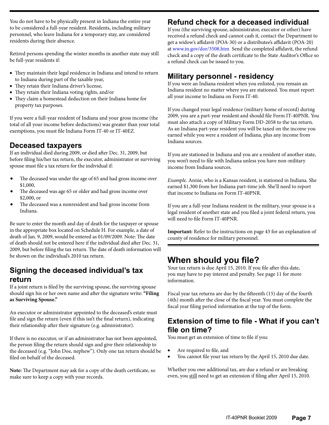You do not have to be physically present in Indiana the entire year to be considered a full-year resident. Residents, including military personnel, who leave Indiana for a temporary stay, are considered residents during their absence.

Retired persons spending the winter months in another state may still be full-year residents if:

- They maintain their legal residence in Indiana and intend to return to Indiana during part of the taxable year,
- • They retain their Indiana driver's license,
- They retain their Indiana voting rights, and/or
- They claim a homestead deduction on their Indiana home for property tax purposes.

If you were a full-year resident of Indiana and your gross income (the total of all your income before deductions) was greater than your total exemptions, you must file Indiana Form IT-40 or IT-40EZ.

# **Deceased taxpayers**

If an individual died during 2009, or died after Dec. 31, 2009, but before filing his/her tax return, the executor, administrator or surviving spouse must file a tax return for the individual if:

- The deceased was under the age of 65 and had gross income over \$1,000,
- The deceased was age 65 or older and had gross income over \$2,000, or
- The deceased was a nonresident and had gross income from Indiana.

Be sure to enter the month and day of death for the taxpayer or spouse in the appropriate box located on Schedule H. For example, a date of death of Jan. 9, 2009, would be entered as 01/09/2009. Note: The date of death should not be entered here if the individual died after Dec. 31, 2009, but before filing the tax return. The date of death information will be shown on the individual's 2010 tax return.

# **Signing the deceased individual's tax return**

If a joint return is filed by the surviving spouse, the surviving spouse should sign his or her own name and after the signature write: **"Filing as Surviving Spouse."**

An executor or administrator appointed to the deceased's estate must file and sign the return (even if this isn't the final return), indicating their relationship after their signature (e.g. administrator).

If there is no executor, or if an administrator has not been appointed, the person filing the return should sign and give their relationship to the deceased (e.g. "John Doe, nephew"). Only one tax return should be filed on behalf of the deceased.

**Note:** The Department may ask for a copy of the death certificate, so make sure to keep a copy with your records.

# **Refund check for a deceased individual**

If you (the surviving spouse, administrator, executor or other) have received a refund check and cannot cash it, contact the Department to get a widow's affidavit (POA-30) or a distributee's affidavit (POA-20) at www.in.gov/dor/3508.htm Send the completed affidavit, the refund check and a copy of the death certificate to the State Auditor's Office so a refund check can be issued to you.

# **Military personnel - residency**

If you were an Indiana resident when you enlisted, you remain an Indiana resident no matter where you are stationed. You must report all your income to Indiana on Form IT-40.

If you changed your legal residence (military home of record) during 2009, you are a part-year resident and should file Form IT-40PNR. You must also attach a copy of Military Form DD-2058 to the tax return. As an Indiana part-year resident you will be taxed on the income you earned while you were a resident of Indiana, plus any income from Indiana sources.

If you are stationed in Indiana and you are a resident of another state, you won't need to file with Indiana unless you have non-military income from Indiana sources.

*Example.* Annie, who is a Kansas resident, is stationed in Indiana. She earned \$1,300 from her Indiana part-time job. She'll need to report that income to Indiana on Form IT-40PNR.

If you are a full-year Indiana resident in the military, your spouse is a legal resident of another state and you filed a joint federal return, you will need to file Form IT-40PNR.

**Important:** Refer to the instructions on page 43 for an explanation of county of residence for military personnel.

# **When should you file?**

Your tax return is due April 15, 2010. If you file after this date, you may have to pay interest and penalty. See page 11 for more information.

Fiscal year tax returns are due by the fifteenth (15) day of the fourth (4th) month after the close of the fiscal year. You must complete the fiscal year filing period information at the top of the form.

# **Extension of time to file - What if you can't file on time?**

You must get an extension of time to file if you:

- • Are required to file, and
- You cannot file your tax return by the April 15, 2010 due date.

Whether you owe additional tax, are due a refund or are breaking even, you still need to get an extension if filing after April 15, 2010.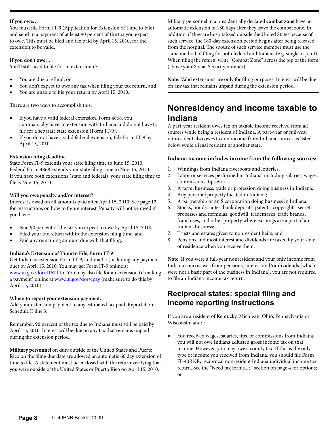#### **If you owe…**

You must file Form IT-9 (Application for Extension of Time to File) and send in a payment of at least 90 percent of the tax you expect to owe. This must be filed and tax paid by April 15, 2010, for the extension to be valid.

#### **If you don't owe…**

You'll still need to file for an extension if:

- You are due a refund, or
- You don't expect to owe any tax when filing your tax return, and
- You are unable to file your return by April 15, 2010.

There are two ways to accomplish this:

- If you have a valid federal extension, Form 4868, you automatically have an extension with Indiana and do not have to file for a separate state extension (Form IT-9).
- If you do not have a valid federal extension, File Form IT-9 by April 15, 2010.

#### **Extension filing deadline.**

State Form IT-9 extends your state filing time to June 15, 2010. Federal Form 4868 extends your state filing time to Nov. 15, 2010. If you have both extensions (state and federal), your state filing time to file is Nov. 15, 2010.

#### **Will you owe penalty and/or interest?**

Interest is owed on all amounts paid after April 15, 2010. See page 12 for instructions on how to figure interest. Penalty will not be owed if you have:

- Paid 90 percent of the tax you expect to owe by April 15, 2010,
- Filed your tax return within the extension filing time, and
- Paid any remaining amount due with that filing.

#### **Indiana's Extension of Time to File, Form IT-9**

Get Indiana's extension Form IT-9, and mail it (including any payment due) by April 15, 2010. You may get Form IT-9 online at [www.in.gov/dor/4167.htm](http://www.in.gov/dor/4167.htm) You may also file for an extension (if making a payment) online at [www.in.gov/dor/epay](http://www.in.gov/dor/epay/) (make sure to do this by April 15, 2010).

#### **Where to report your extension payment.**

Add your extension payment to any estimated tax paid. Report it on Schedule F, line 3.

Remember, 90 percent of the tax due to Indiana must still be paid by April 15, 2010. Interest will be due on any tax that remains unpaid during the extension period.

**Military personnel** on duty outside of the United States and Puerto Rico on the filing due date are allowed an automatic 60 day extension of time to file. A statement must be enclosed with the return verifying that you were outside of the United States or Puerto Rico on April 15, 2010.

Military personnel in a presidentially declared **combat zone** have an automatic extension of 180 days after they leave the combat zone. In addition, if they are hospitalized outside the United States because of such service, the 180-day extension period begins after being released from the hospital. The spouse of such service member must use the same method of filing for both federal and Indiana (e.g. single or joint). When filing the return, write "Combat Zone" across the top of the form (above your Social Security number).

**Note:** Valid extensions are only for filing purposes. Interest will be due on any tax that remains unpaid during the extension period.

# **Nonresidency and income taxable to Indiana**

A part-year resident owes tax on taxable income received from all sources while being a resident of Indiana. A part-year or full-year nonresident also owes tax on income from Indiana sources as listed below while a legal resident of another state.

#### **Indiana income includes income from the following sources:**

- 1. Winnings from Indiana riverboats and lotteries;
- 2. Labor or services performed in Indiana, including salaries, wages, commissions, tips etc.;
- 3. A farm, business, trade or profession doing business in Indiana;
- 4. Any personal property located in Indiana;
- 5. A partnership or an S corporation doing business in Indiana;
- 6. Stocks, bonds, notes, bank deposits, patents, copyrights, secret processes and formulas, goodwill, trademarks, trade brands, franchises, and other property where earnings are a part of an Indiana business;
- 7. Trusts and estates given to nonresident heirs; and
- 8. Pensions and most interest and dividends are taxed by your state of residence when you receive them.

**Note:** If you were a full-year nonresident and your only income from Indiana sources was from pensions, interest and/or dividends (which were not a basic part of the business in Indiana), you are not required to file an Indiana income tax return.

# **Reciprocal states: special filing and income reporting instructions**

If you are a resident of Kentucky, Michigan, Ohio, Pennsylvania or Wisconsin, and:

You received wages, salaries, tips, or commissions from Indiana, you will not owe Indiana adjusted gross income tax on that income. However, you may owe a county tax. If this is the only type of income you received from Indiana, you should file Form IT-40RNR, reciprocal nonresident Indiana individual income tax return. See the "Need tax forms...?" section on page 4 for options; or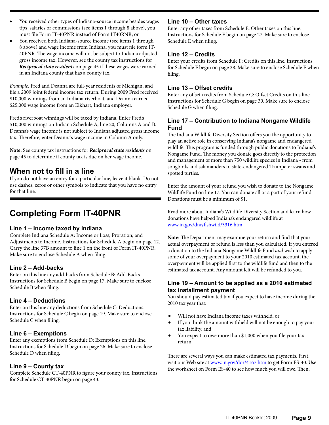- You received other types of Indiana-source income besides wages tips, salaries or commissions (see items 1 through 8 above), you must file Form IT-40PNR instead of Form IT40RNR; or
- You received both Indiana-source income (see items 1 through 8 above) and wage income from Indiana, you must file form IT-40PNR. The wage income will not be subject to Indiana adjusted gross income tax. However, see the county tax instructions for *Reciprocal state residents* on page 45 if these wages were earned in an Indiana county that has a county tax.

*Example.* Fred and Deanna are full-year residents of Michigan, and file a 2009 joint federal income tax return. During 2009 Fred received \$10,000 winnings from an Indiana riverboat, and Deanna earned \$25,000 wage income from an Elkhart, Indiana employer.

Fred's riverboat winnings will be taxed by Indiana. Enter Fred's \$10,000 winnings on Indiana Schedule A, line 20, Columns A and B. Deanna's wage income is not subject to Indiana adjusted gross income tax. Therefore, enter Deanna's wage income in Column A only.

**Note:** See county tax instructions for *Reciprocal state residents* on page 45 to determine if county tax is due on her wage income.

# **When not to fill in a line**

If you do not have an entry for a particular line, leave it blank. Do not use dashes, zeros or other symbols to indicate that you have no entry for that line.

# **Completing Form IT-40PNR**

#### **Line 1 – Income taxed by Indiana**

Complete Indiana Schedule A: Income or Loss; Proration; and Adjustments to Income. Instructions for Schedule A begin on page 12. Carry the line 37B amount to line 1 on the front of Form IT-40PNR. Make sure to enclose Schedule A when filing.

#### **Line 2 – Add-backs**

Enter on this line any add-backs from Schedule B: Add-Backs. Instructions for Schedule B begin on page 17. Make sure to enclose Schedule B when filing.

#### **Line 4 – Deductions**

Enter on this line any deductions from Schedule C: Deductions. Instructions for Schedule C begin on page 19. Make sure to enclose Schedule C when filing.

### **Line 6 – Exemptions**

Enter any exemptions from Schedule D: Exemptions on this line. Instructions for Schedule D begin on page 26. Make sure to enclose Schedule D when filing.

### **Line 9 – County tax**

Complete Schedule CT-40PNR to figure your county tax. Instructions for Schedule CT-40PNR begin on page 43.

#### **Line 10 – Other taxes**

Enter any other taxes from Schedule E: Other taxes on this line. Instructions for Schedule E begin on page 27. Make sure to enclose Schedule E when filing.

### **Line 12 – Credits**

Enter your credits from Schedule F: Credits on this line. Instructions for Schedule F begin on page 28. Make sure to enclose Schedule F when filing.

#### **Line 13 – Offset credits**

Enter any offset credits from Schedule G: Offset Credits on this line. Instructions for Schedule G begin on page 30. Make sure to enclose Schedule G when filing.

#### **Line 17 – Contribution to Indiana Nongame Wildlife Fund**

The Indiana Wildlife Diversity Section offers you the opportunity to play an active role in conserving Indiana's nongame and endangered wildlife. This program is funded through public donations to Indiana's Nongame Fund. The money you donate goes directly to the protection and management of more than 750 wildlife species in Indiana - from songbirds and salamanders to state-endangered Trumpeter swans and spotted turtles.

Enter the amount of your refund you wish to donate to the Nongame Wildlife Fund on line 17. You can donate all or a part of your refund. Donations must be a minimum of \$1.

Read more about Indiana's Wildlife Diversity Section and learn how donations have helped Indiana's endangered wildlife at [www.in.gov/dnr/fishwild/3316.htm](http://www.in.gov/dnr/fishwild/3316.htm)

**Note:** The Department may examine your return and find that your actual overpayment or refund is less than you calculated. If you entered a donation to the Indiana Nongame Wildlife Fund *and* wish to apply some of your overpayment to your 2010 estimated tax account, the overpayment will be applied first to the wildlife fund and then to the estimated tax account. Any amount left will be refunded to you.

#### **Line 19 – Amount to be applied as a 2010 estimated tax installment payment**

You should pay estimated tax if you expect to have income during the 2010 tax year that:

- Will not have Indiana income taxes withheld, or
- If you think the amount withheld will not be enough to pay your tax liability, and
- You expect to owe more than \$1,000 when you file your tax return.

There are several ways you can make estimated tax payments. First, visit our Web site at [www.in.gov/dor/4167.htm](http://www.in.gov/dor/4167.htm) to get Form ES-40. Use the worksheet on Form ES-40 to see how much you will owe. Then,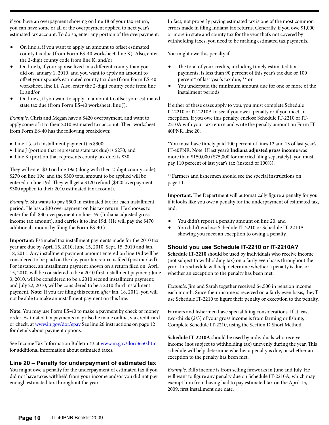if you have an overpayment showing on line 18 of your tax return, you can have some or all of the overpayment applied to next year's estimated tax account. To do so, enter any portion of the overpayment:

- On line a, if you want to apply an amount to offset estimated county tax due (from Form ES-40 worksheet, line K). Also, enter the 2-digit county code from line K; and/or
- On line b, if your spouse lived in a different county than you did on January 1, 2010, and you want to apply an amount to offset your spouse's estimated county tax due (from Form ES-40 worksheet, line L). Also, enter the 2-digit county code from line L; and/or
- On line c, if you want to apply an amount to offset your estimated state tax due (from Form ES-40 worksheet, line J).

*Example.* Chris and Megan have a \$420 overpayment, and want to apply some of it to their 2010 estimated tax account. Their worksheet from Form ES-40 has the following breakdown:

- Line I (each installment payment) is \$300;
- Line J (portion that represents state tax due) is \$270; and
- Line K (portion that represents county tax due) is \$30.

They will enter \$30 on line 19a (along with their 2-digit county code), \$270 on line 19c, and the \$300 total amount to be applied will be entered on line 19d. They will get a \$120 refund (\$420 overpayment - \$300 applied to their 2010 estimated tax account).

*Example.* Stu wants to pay \$500 in estimated tax for each installment period. He has a \$30 overpayment on his tax return. He chooses to enter the full \$30 overpayment on line 19c (Indiana adjusted gross income tax amount), and carries it to line 19d. (He will pay the \$470 additional amount by filing the Form ES-40.)

**Important:** Estimated tax installment payments made for the 2010 tax year are due by April 15, 2010, June 15, 2010, Sept. 15, 2010 and Jan. 18, 2011. Any installment payment amount entered on line 19d will be considered to be paid on the day your tax return is filed (postmarked). For instance, an installment payment shown on a return filed on: April 15, 2010, will be considered to be a 2010 first installment payment; June 3, 2010, will be considered to be a 2010 second installment payment; and July 22, 2010, will be considered to be a 2010 third installment payment. **Note:** If you are filing this return *after* Jan. 18, 2011, you will not be able to make an installment payment on this line.

**Note:** You may use Form ES-40 to make a payment by check or money order. Estimated tax payments may also be made online, via credit card or check, at [www.in.gov/dor/epay](http://www.in.gov/dor/epay/) See line 26 instructions on page 12 for details about payment options.

See Income Tax Information Bulletin #3 at [www.in.gov/dor/3650.htm](http://www.in.gov/dor/3650.htm)  for additional information about estimated taxes.

#### **Line 20 – Penalty for underpayment of estimated tax**

You might owe a penalty for the underpayment of estimated tax if you did not have taxes withheld from your income and/or you did not pay enough estimated tax throughout the year.

In fact, not properly paying estimated tax is one of the most common errors made in filing Indiana tax returns. Generally, if you owe \$1,000 or more in state and county tax for the year that's not covered by withholding taxes, you need to be making estimated tax payments.

You might owe this penalty if:

- The total of your credits, including timely estimated tax payments, is less than 90 percent of this year's tax due or 100 percent**\*** of last year's tax due, **\*\* or**
- • You underpaid the minimum amount due for one or more of the installment periods.

If either of these cases apply to you, you must complete Schedule IT-2210 or IT-2210A to see if you owe a penalty or if you meet an exception. If you owe this penalty, enclose Schedule IT-2210 or IT-2210A with your tax return and write the penalty amount on Form IT-40PNR, line 20.

**\***You must have timely paid 100 percent of lines 12 and 13 of last year's IT-40PNR. Note: If last year's **Indiana adjusted gross income** was more than \$150,000 (\$75,000 for married filing separately), you must pay 110 percent of last year's tax (instead of 100%).

**\*\***Farmers and fishermen should see the special instructions on page 11.

**Important.** The Department will automatically figure a penalty for you if it looks like you owe a penalty for the underpayment of estimated tax, and:

- • You didn't report a penalty amount on line 20, and
- You didn't enclose Schedule IT-2210 or Schedule IT-2210A showing you meet an exception to owing a penalty.

#### **Should you use Schedule IT-2210 or IT-2210A?**

**Schedule IT-2210** should be used by individuals who receive income (not subject to withholding tax) on a fairly even basis throughout the year. This schedule will help determine whether a penalty is due, or whether an exception to the penalty has been met.

*Example*. Jim and Sarah together received \$4,500 in pension income each month. Since their income is received on a fairly even basis, they'll use Schedule IT-2210 to figure their penalty or exception to the penalty.

Farmers and fishermen have special filing considerations. If at least two-thirds (2/3) of your gross income is from farming or fishing, Complete Schedule IT-2210, using the Section D Short Method.

**Schedule IT-2210A** should be used by individuals who receive income (not subject to withholding tax) unevenly during the year. This schedule will help determine whether a penalty is due, or whether an exception to the penalty has been met.

*Example*. Bill's income is from selling fireworks in June and July. He will want to figure any penalty due on Schedule IT-2210A, which may exempt him from having had to pay estimated tax on the April 15, 2009, first installment due date.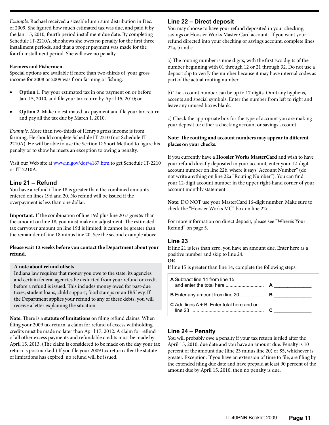*Example.* Rachael received a sizeable lump sum distribution in Dec. of 2009. She figured how much estimated tax was due, and paid it by the Jan. 15, 2010, fourth period installment due date. By completing Schedule IT-2210A, she shows she owes no penalty for the first three installment periods, and that a proper payment was made for the fourth installment period. She will owe no penalty.

#### **Farmers and Fishermen.**

Special options are available if more than two-thirds of your gross income for 2008 or 2009 was from farming or fishing.

- **Option 1.** Pay your estimated tax in one payment on or before Jan. 15, 2010, and file your tax return by April 15, 2010; or
- **Option 2.** Make no estimated tax payment and file your tax return and pay all the tax due by March 1, 2010.

*Example.* More than two-thirds of Henry's gross income is from farming. He should complete Schedule IT-2210 (not Schedule IT-2210A). He will be able to use the Section D Short Method to figure his penalty or to show he meets an exception to owing a penalty.

Visit our Web site at [www.in.gov/dor/4167.htm](http://www.in.gov/dor/4167.htm) to get Schedule IT-2210 or IT-2210A.

### **Line 21 – Refund**

You have a refund if line 18 is greater than the combined amounts entered on lines 19d and 20. No refund will be issued if the overpayment is less than one dollar.

**Important.** If the combination of line 19d plus line 20 is *greater* than the amount on line 18, you must make an adjustment. The estimated tax carryover amount on line 19d is limited; it cannot be greater than the remainder of line 18 minus line 20. See the second example above.

#### **Please wait 12 weeks before you contact the Department about your refund.**

#### **A note about refund offsets**

Indiana law requires that money you owe to the state, its agencies and certain federal agencies be deducted from your refund or credit before a refund is issued. This includes money owed for past-due taxes, student loans, child support, food stamps or an IRS levy. If the Department applies your refund to any of these debts, you will receive a letter explaining the situation.

**Note:** There is a **statute of limitations** on filing refund claims. When filing your 2009 tax return, a claim for refund of excess withholding credits must be made no later than April 17, 2012. A claim for refund of all other excess payments and refundable credits must be made by April 15, 2013. (The claim is considered to be made on the day your tax return is postmarked.) If you file your 2009 tax return after the statute of limitations has expired, no refund will be issued.

### **Line 22 – Direct deposit**

You may choose to have your refund deposited in your checking, savings or Hoosier Works Master Card account. If you want your refund directed into your checking or savings account, complete lines 22a, b and c.

a) The routing number is nine digits, with the first two digits of the number beginning with 01 through 12 or 21 through 32. Do not use a deposit slip to verify the number because it may have internal codes as part of the actual routing number.

b) The account number can be up to 17 digits. Omit any hyphens, accents and special symbols. Enter the number from left to right and leave any unused boxes blank.

c) Check the appropriate box for the type of account you are making your deposit to: either a checking account or savings account.

#### **Note: The routing and account numbers may appear in different places on your checks.**

If you currently have a **Hoosier Works MasterCard** and wish to have your refund directly deposited in your account, enter your 12-digit account number on line 22b, where it says "Account Number" (do not write anything on line 22a "Routing Number"). You can find your 12-digit account number in the upper right-hand corner of your account monthly statement.

**Note:** DO NOT use your MasterCard 16-digit number. Make sure to check the "Hoosier Works MC" box on line 22c.

For more information on direct deposit, please see "Where's Your Refund" on page 5.

#### **Line 23**

If line 21 is less than zero, you have an amount due. Enter here as a positive number and skip to line 24.

**OR**

If line 15 is greater than line 14, complete the following steps:

| <b>A</b> Subtract line 14 from line 15               |  |
|------------------------------------------------------|--|
|                                                      |  |
| <b>C</b> Add lines $A + B$ . Enter total here and on |  |

#### **Line 24 – Penalty**

You will probably owe a penalty if your tax return is filed after the April 15, 2010, due date and you have an amount due. Penalty is 10 percent of the amount due (line 23 minus line 20) or \$5, whichever is greater. Exception: If you have an extension of time to file, are filing by the extended filing due date and have prepaid at least 90 percent of the amount due by April 15, 2010, then no penalty is due.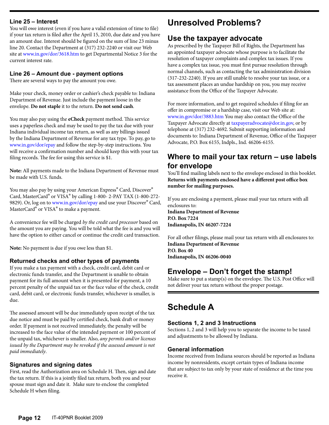#### **Line 25 – Interest**

You will owe interest (even if you have a valid extension of time to file) if your tax return is filed after the April 15, 2010, due date and you have an amount due. Interest should be figured on the sum of line 23 minus line 20. Contact the Department at (317) 232-2240 or visit our Web site at [www.in.gov/dor/3618.htm](http://www.in.gov/dor/3618.htm) to get Departmental Notice 3 for the current interest rate.

#### **Line 26 – Amount due - payment options**

There are several ways to pay the amount you owe.

Make your check, money order or cashier's check payable to: Indiana Department of Revenue. Just include the payment loose in the envelope. **Do not staple** it to the return. **Do not send cash**.

You may also pay using the **eCheck** payment method. This service uses a paperless check and may be used to pay the tax due with your Indiana individual income tax return, as well as any billings issued by the Indiana Department of Revenue for any tax type. To pay, go to [www.in.gov/dor/epay](http://www.in.gov/dor/epay/) and follow the step-by-step instructions. You will receive a confirmation number and should keep this with your tax filing records. The fee for using this service is \$1.

**Note:** All payments made to the Indiana Department of Revenue must be made with U.S. funds.

You may also pay by using your American Express<sup>®</sup> Card, Discover<sup>®</sup> Card, MasterCard® or VISA® by calling 1-800- 2-PAY TAX (1-800-272 9829). Or, log on to [www.in.gov/dor/epay](http://www.in.gov/dor/epay) and use your Discover<sup>®</sup> Card, MasterCard<sup>®</sup> or VISA<sup>®</sup> to make a payment.

A convenience fee will be charged *by the credit card processor* based on the amount you are paying. You will be told what the fee is and you will have the option to either cancel or continue the credit card transaction.

**Note:** No payment is due if you owe less than \$1.

#### **Returned checks and other types of payments**

If you make a tax payment with a check, credit card, debit card or electronic funds transfer, and the Department is unable to obtain payment for its full amount when it is presented for payment, a 10 percent penalty of the unpaid tax or the face value of the check, credit card, debit card, or electronic funds transfer, whichever is smaller, is due.

The assessed amount will be due immediately upon receipt of the tax due notice and must be paid by certified check, bank draft or money order. If payment is not received immediately, the penalty will be increased to the face value of the intended payment or 100 percent of the unpaid tax, whichever is smaller. Also, *any permits and/or licenses issued by the Department may be revoked if the assessed amount is not paid immediately*.

#### **Signatures and signing dates**

First, read the Authorization area on Schedule H. Then, sign and date the tax return. If this is a jointly filed tax return, both you and your spouse must sign and date it. Make sure to enclose the completed Schedule H when filing.

# **Unresolved Problems?**

# **Use the taxpayer advocate**

As prescribed by the Taxpayer Bill of Rights, the Department has an appointed taxpayer advocate whose purpose is to facilitate the resolution of taxpayer complaints and complex tax issues. If you have a complex tax issue, you must first pursue resolution through normal channels, such as contacting the tax administration division (317-232-2240). If you are still unable to resolve your tax issue, or a tax assessment places an undue hardship on you, you may receive assistance from the Office of the Taxpayer Advocate.

For more information, and to get required schedules if filing for an offer in compromise or a hardship case, visit our Web site at: [www.in.gov/dor/3883.htm](http://www.in.gov/dor/3883.htm) You may also contact the Office of the Taxpayer Advocate directly at [taxpayeradvocate@dor.in.gov,](mailto:taxpayeradvocate@dor.in.gov) or by telephone at (317) 232-4692. Submit supporting information and documents to: Indiana Department of Revenue, Office of the Taxpayer Advocate, P.O. Box 6155, Indpls., Ind. 46206-6155.

# **Where to mail your tax return – use labels for envelope**

You'll find mailing labels next to the envelope enclosed in this booklet. **Returns with payments enclosed have a different post office box number for mailing purposes.**

If you are enclosing a payment, please mail your tax return with all enclosures to: **Indiana Department of Revenue P.O. Box 7224 Indianapolis, IN 46207-7224**

For all other filings, please mail your tax return with all enclosures to: **Indiana Department of Revenue P.O. Box 40 Indianapolis, IN 46206-0040**

# **Envelope – Don't forget the stamp!**

Make sure to put a stamp(s) on the envelope. The U.S. Post Office will not deliver your tax return without the proper postage.

# **Schedule A**

#### **Sections 1, 2 and 3 Instructions**

Sections 1, 2 and 3 will help you to separate the income to be taxed and adjustments to be allowed by Indiana.

#### **General information**

Income received from Indiana sources should be reported as Indiana income by nonresidents, except certain types of Indiana income that are subject to tax only by your state of residence at the time you receive it.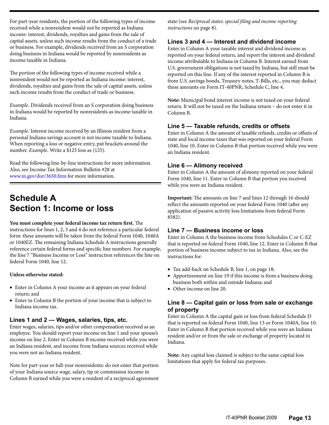For part-year residents, the portion of the following types of income received while a nonresident would not be reported as Indiana income: interest, dividends, royalties and gains from the sale of capital assets, unless such income results from the conduct of a trade or business. For example, dividends received from an S corporation doing business in Indiana would be reported by nonresidents as income taxable in Indiana.

The portion of the following types of income received while a nonresident would not be reported as Indiana income: interest, dividends, royalties and gains from the sale of capital assets, unless such income results from the conduct of trade or business.

*Example.* Dividends received from an S corporation doing business in Indiana would be reported by nonresidents as income taxable in Indiana.

*Example.* Interest income received by an Illinois resident from a personal Indiana savings account is not income taxable to Indiana. When reporting a loss or negative entry, put brackets around the number. *Example*. Write a \$125 loss as (125).

Read the following line-by-line instructions for more information. Also, see Income Tax Information Bulletin #28 at www.in.gov/dor/3650.htm for more information.

# **Schedule A Section 1: Income or loss**

#### **You must complete your federal income tax return first.** The

instructions for lines 1, 2, 3 and 4 do not reference a particular federal form: these amounts will be taken from the federal Form 1040, 1040A or 1040EZ. The remaining Indiana Schedule A instructions generally reference certain federal forms and specific line numbers. For example, the line 7 "Business Income or Loss" instruction references the line on federal Form 1040, line 12.

#### **Unless otherwise stated:**

- Enter in Column A your income as it appears on your federal return; and
- Enter in Column B the portion of your income that is subject to Indiana income tax.

#### **Lines 1 and 2 — Wages, salaries, tips, etc.**

Enter wages, salaries, tips and/or other compensation received as an employee. You should report your income on line 1 and your spouse's income on line 2. Enter in Column B income received while you were an Indiana resident, and income from Indiana sources received while you were not an Indiana resident.

Note for part-year or full-year nonresidents: do not enter that portion of your Indiana source wage, salary, tip or commission income in Column B earned while you were a resident of a reciprocal agreement state (see *Reciprocal states: special filing and income reporting instructions* on page 8).

#### **Lines 3 and 4 — Interest and dividend income**

Enter in Column A your taxable interest and dividend income as reported on your federal return, and report the interest and dividend income attributable to Indiana in Column B. Interest earned from U.S. government obligations is not taxed by Indiana, but still must be reported on this line. If any of the interest reported in Column B is from U.S. savings bonds, Treasury notes, T-Bills, etc., you may deduct these amounts on Form IT-40PNR, Schedule C, line 4.

**Note:** Municipal bond interest income is not taxed on your federal return. It will not be taxed on the Indiana return – do not enter it in Column B.

#### **Line 5 — Taxable refunds, credits or offsets**

Enter in Column A the amount of taxable refunds, credits or offsets of state and local income taxes that was reported on your federal Form 1040, line 10. Enter in Column B that portion received while you were an Indiana resident.

#### **Line 6 — Alimony received**

Enter in Column A the amount of alimony reported on your federal Form 1040, line 11. Enter in Column B that portion you received while you were an Indiana resident.

**Important:** The amounts on line 7 and lines 12 through 16 should reflect the amounts reported on your federal Form 1040 (after any application of passive activity loss limitations from federal Form 8582).

#### **Line 7 — Business income or loss**

Enter in Column A the business income from Schedules C or C-EZ that is reported on federal Form 1040, line 12. Enter in Column B that portion of business income subject to tax in Indiana. Also, see the instructions for:

- Tax add-back on Schedule B, line 1, on page 18;
- Apportionment on line 19 if this income is from a business doing business both within and outside Indiana; and
- Other income on line 20.

#### **Line 8 — Capital gain or loss from sale or exchange of property**

Enter in Column A the capital gain or loss from federal Schedule D that is reported on federal Form 1040, line 13 or Form 1040A, line 10. Enter in Column B that portion received while you were an Indiana resident and/or or from the sale or exchange of property located in Indiana.

**Note:** Any capital loss claimed is subject to the same capital loss limitations that apply for federal tax purposes.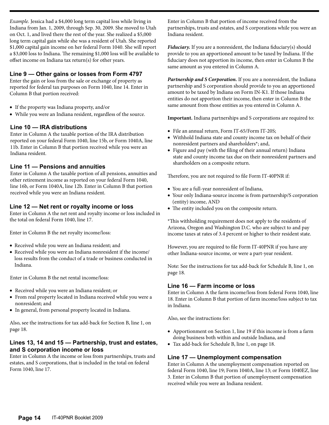*Example.* Jessica had a \$4,000 long term capital loss while living in Indiana from Jan. 1, 2009, through Sep. 30, 2009. She moved to Utah on Oct. 1, and lived there the rest of the year. She realized a \$5,000 long term capital gain while she was a resident of Utah. She reported \$1,000 capital gain income on her federal Form 1040. She will report a \$3,000 loss to Indiana. The remaining \$1,000 loss will be available to offset income on Indiana tax return(s) for other years.

### **Line 9 — Other gains or losses from Form 4797**

Enter the gain or loss from the sale or exchange of property as reported for federal tax purposes on Form 1040, line 14. Enter in Column B that portion received:

- If the property was Indiana property, and/or
- • While you were an Indiana resident, regardless of the source.

#### **Line 10 — IRA distributions**

Enter in Column A the taxable portion of the IRA distribution reported on your federal Form 1040, line 15b, or Form 1040A, line 11b. Enter in Column B that portion received while you were an Indiana resident.

#### **Line 11 — Pensions and annuities**

Enter in Column A the taxable portion of all pensions, annuities and other retirement income as reported on your federal Form 1040, line 16b, or Form 1040A, line 12b. Enter in Column B that portion received while you were an Indiana resident.

#### **Line 12 — Net rent or royalty income or loss**

Enter in Column A the net rent and royalty income or loss included in the total on federal Form 1040, line 17.

Enter in Column B the net royalty income/loss:

- • Received while you were an Indiana resident; and
- Received while you were an Indiana nonresident if the income/ loss results from the conduct of a trade or business conducted in Indiana.

Enter in Column B the net rental income/loss:

- • Received while you were an Indiana resident; or
- From real property located in Indiana received while you were a nonresident; and
- In general, from personal property located in Indiana.

Also, see the instructions for tax add-back for Section B, line 1, on page 18.

### **Lines 13, 14 and 15 — Partnership, trust and estates, and S corporation income or loss**

Enter in Column A the income or loss from partnerships, trusts and estates, and S corporations, that is included in the total on federal Form 1040, line 17.

Enter in Column B that portion of income received from the partnerships, trusts and estates, and S corporations while you were an Indiana resident.

*Fiduciary.* If you are a nonresident, the Indiana fiduciary(s) should provide to you an apportioned amount to be taxed by Indiana. If the fiduciary does not apportion its income, then enter in Column B the same amount as you entered in Column A.

*Partnership and S Corporation.* If you are a nonresident, the Indiana partnership and S corporation should provide to you an apportioned amount to be taxed by Indiana on Form IN-K1. If those Indiana entities do not apportion their income, then enter in Column B the same amount from those entities as you entered in Column A.

**Important.** Indiana partnerships and S corporations are required to:

- File an annual return, Form IT-65/Form IT-20S;
- Withhold Indiana state and county income tax on behalf of their nonresident partners and shareholders\*; and,
- • Figure and pay (with the filing of their annual return) Indiana state and county income tax due on their nonresident partners and shareholders on a composite return.

Therefore, you are not required to file Form IT-40PNR if:

- • You are a full-year nonresident of Indiana,
- Your only Indiana-source income is from partnership/S corporation (entity) income, AND
- The entity included you on the composite return.

\*This withholding requirement does not apply to the residents of Arizona, Oregon and Washington D.C. who are subject to and pay income taxes at rates of 3.4 percent or higher to their resident state.

However, you are required to file Form IT-40PNR if you have any other Indiana-source income, or were a part-year resident.

Note: See the instructions for tax add-back for Schedule B, line 1, on page 18.

#### **Line 16 — Farm income or loss**

Enter in Column A the farm income/loss from federal Form 1040, line 18. Enter in Column B that portion of farm income/loss subject to tax in Indiana.

Also, see the instructions for:

- Apportionment on Section 1, line 19 if this income is from a farm doing business both within and outside Indiana, and
- • Tax add-back for Schedule B, line 1, on page 18.

#### **Line 17 — Unemployment compensation**

Enter in Column A the unemployment compensation reported on federal Form 1040, line 19; Form 1040A, line 13; or Form 1040EZ, line 3. Enter in Column B that portion of unemployment compensation received while you were an Indiana resident.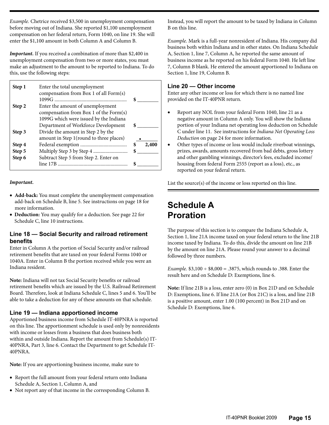*Example.* Chetrice received \$3,500 in unemployment compensation before moving out of Indiana. She reported \$1,100 unemployment compensation on her federal return, Form 1040, on line 19. She will enter the \$1,100 amount in both Column A and Column B.

*Important.* If you received a combination of more than \$2,400 in unemployment compensation from two or more states, you must make an adjustment to the amount to be reported to Indiana. To do this, use the following steps:

| Step 1 | Enter the total unemployment            |       |
|--------|-----------------------------------------|-------|
|        | compensation from Box 1 of all Form(s)  |       |
|        |                                         |       |
| Step 2 | Enter the amount of unemployment        |       |
|        | compensation from Box 1 of the Form(s)  |       |
|        | 1099G which were issued by the Indiana  |       |
|        | Department of Workforce Development     |       |
| Step 3 | Divide the amount in Step 2 by the      |       |
|        | amount in Step 1(round to three places) |       |
| Step 4 |                                         | 2,400 |
| Step 5 |                                         |       |
| Step 6 | Subtract Step 5 from Step 2. Enter on   |       |
|        |                                         |       |

#### *Important.*

- Add-back: You must complete the unemployment compensation add-back on Schedule B, line 5. See instructions on page 18 for more information.
- • **Deduction:** You may qualify for a deduction. See page 22 for Schedule C, line 10 instructions.

#### **Line 18 — Social Security and railroad retirement benefits**

Enter in Column A the portion of Social Security and/or railroad retirement benefits that are taxed on your federal Forms 1040 or 1040A. Enter in Column B the portion received while you were an Indiana resident.

**Note:** Indiana will not tax Social Security benefits or railroad retirement benefits which are issued by the U.S. Railroad Retirement Board. Therefore, look at Indiana Schedule C, lines 5 and 6. You'll be able to take a deduction for any of these amounts on that schedule.

#### **Line 19 — Indiana apportioned income**

Apportioned business income from Schedule IT-40PNRA is reported on this line. The apportionment schedule is used only by nonresidents with income or losses from a business that does business both within and outside Indiana. Report the amount from Schedule(s) IT-40PNRA, Part 3, line 6. Contact the Department to get Schedule IT-40PNRA.

**Note:** If you are apportioning business income, make sure to

- Report the full amount from your federal return onto Indiana Schedule A, Section 1, Column A, and
- • Not report any of that income in the corresponding Column B.

Instead, you will report the amount to be taxed by Indiana in Column B on this line.

*Example.* Mark is a full-year nonresident of Indiana. His company did business both within Indiana and in other states. On Indiana Schedule A, Section 1, line 7, Column A, he reported the same amount of business income as he reported on his federal Form 1040. He left line 7, Column B blank. He entered the amount apportioned to Indiana on Section 1, line 19, Column B.

#### **Line 20 — Other income**

Enter any other income or loss for which there is no named line provided on the IT-40PNR return.

- Report any NOL from your federal Form 1040, line 21 as a negative amount in Column A only. You will show the Indiana portion of your Indiana net operating loss deduction on Schedule C under line 11. See instructions for *Indiana Net Operating Loss Deduction* on page 24 for more information.
- Other types of income or loss would include riverboat winnings, prizes, awards, amounts recovered from bad debts, gross lottery and other gambling winnings, director's fees, excluded income/ housing from federal Form 2555 (report as a loss), etc., as reported on your federal return.

List the source(s) of the income or loss reported on this line.

# **Schedule A Proration**

The purpose of this section is to compare the Indiana Schedule A, Section 1, line 21A income taxed on your federal return to the line 21B income taxed by Indiana. To do this, divide the amount on line 21B by the amount on line 21A. Please round your answer to a decimal followed by three numbers.

*Example.* \$3,100 ÷ \$8,000 = .3875, which rounds to .388. Enter the result here and on Schedule D: Exemptions, line 6.

**Note:** If line 21B is a loss, enter zero (0) in Box 21D and on Schedule D: Exemptions, line 6. If line 21A (or Box 21C) is a loss, and line 21B is a positive amount, enter 1.00 (100 percent) in Box 21D and on Schedule D: Exemptions, line 6.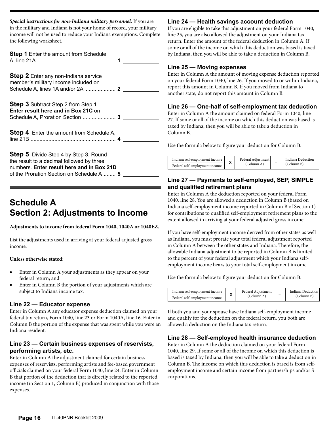*Special instructions for non-Indiana military personnel.* If you are in the military and Indiana is not your home of record, your military income will not be used to reduce your Indiana exemptions. Complete the following worksheet.

**Step 1** Enter the amount from Schedule A, line 21A..................................................... **1 \_\_\_\_\_\_\_\_\_\_\_\_ Step 2** Enter any non-Indiana service member's military income included on Schedule A, lines 1A and/or 2A .................... **2 \_\_\_\_\_\_\_\_\_\_\_\_ Step 3** Subtract Step 2 from Step 1. **Enter result here and in Box 21C** on Schedule A, Proration Section ...................... **3 \_\_\_\_\_\_\_\_\_\_\_\_**

**Step 4** Enter the amount from Schedule A, line 21B ......................................................... **4 \_\_\_\_\_\_\_\_\_\_\_\_**

**Step 5** Divide Step 4 by Step 3. Round the result to a decimal followed by three numbers. **Enter result here and in Box 21D** of the Proration Section on Schedule A ........ **5 \_\_\_\_\_\_\_\_\_\_\_\_**

# **Schedule A Section 2: Adjustments to Income**

**Adjustments to income from federal Form 1040, 1040A or 1040EZ.**

List the adjustments used in arriving at your federal adjusted gross income.

#### **Unless otherwise stated:**

- Enter in Column A your adjustments as they appear on your federal return; and
- Enter in Column B the portion of your adjustments which are subject to Indiana income tax.

#### **Line 22 — Educator expense**

Enter in Column A any educator expense deduction claimed on your federal tax return, Form 1040, line 23 or Form 1040A, line 16. Enter in Column B the portion of the expense that was spent while you were an Indiana resident.

#### **Line 23 — Certain business expenses of reservists, performing artists, etc.**

Enter in Column A the adjustment claimed for certain business expenses of reservists, performing artists and fee-based government officials claimed on your federal Form 1040, line 24. Enter in Column B that portion of the deduction that is directly related to the reported income (in Section 1, Column B) produced in conjunction with those expenses.

#### **Line 24 — Health savings account deduction**

If you are eligible to take this adjustment on your federal Form 1040, line 25, you are also allowed the adjustment on your Indiana tax return. Enter the amount of the federal deduction in Column A. If some or all of the income on which this deduction was based is taxed by Indiana, then you will be able to take a deduction in Column B.

#### **Line 25 — Moving expenses**

Enter in Column A the amount of moving expense deduction reported on your federal Form 1040, line 26. If you moved to or within Indiana, report this amount in Column B. If you moved from Indiana to another state, do not report this amount in Column B.

### **Line 26 — One-half of self-employment tax deduction**

Enter in Column A the amount claimed on federal Form 1040, line 27. If some or all of the income on which this deduction was based is taxed by Indiana, then you will be able to take a deduction in Column B.

Use the formula below to figure your deduction for Column B.



#### **Line 27 — Payments to self-employed, SEP, SIMPLE and qualified retirement plans**

Enter in Column A the deduction reported on your federal Form 1040, line 28. You are allowed a deduction in Column B (based on Indiana self-employment income reported in Column B of Section 1) for contributions to qualified self-employment retirement plans to the extent allowed in arriving at your federal adjusted gross income.

If you have self-employment income derived from other states as well as Indiana, you must prorate your total federal adjustment reported in Column A between the other states and Indiana. Therefore, the allowable Indiana adjustment to be reported in Column B is limited to the percent of your federal adjustment which your Indiana selfemployment income bears to your total self-employment income.

Use the formula below to figure your deduction for Column B.



If both you and your spouse have Indiana self-employment income and qualify for the deduction on the federal return, you both are allowed a deduction on the Indiana tax return.

#### **Line 28 — Self-employed health insurance deduction**

Enter in Column A the deduction claimed on your federal Form 1040, line 29. If some or all of the income on which this deduction is based is taxed by Indiana, then you will be able to take a deduction in Column B. The income on which this deduction is based is from selfemployment income and certain income from partnerships and/or S corporations.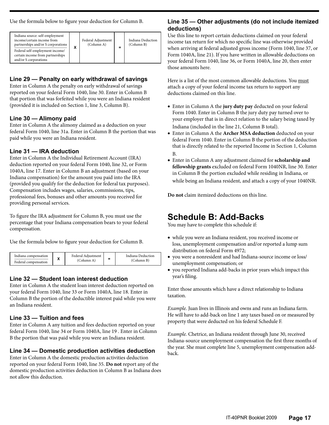Use the formula below to figure your deduction for Column B.

| Indiana source: self-employment<br>income/certain income from<br>partnerships and/or S corporations<br>Federal self-employment income/<br>certain income from partnerships<br>and/or S corporations | χ | Federal Adjustment<br>(Column A) | = | Indiana Deduction<br>(Column B) |
|-----------------------------------------------------------------------------------------------------------------------------------------------------------------------------------------------------|---|----------------------------------|---|---------------------------------|
|-----------------------------------------------------------------------------------------------------------------------------------------------------------------------------------------------------|---|----------------------------------|---|---------------------------------|

### **Line 29 — Penalty on early withdrawal of savings**

Enter in Column A the penalty on early withdrawal of savings reported on your federal Form 1040, line 30. Enter in Column B that portion that was forfeited while you were an Indiana resident (provided it is included on Section 1, line 3, Column B).

#### **Line 30 — Alimony paid**

Enter in Column A the alimony claimed as a deduction on your federal Form 1040, line 31a. Enter in Column B the portion that was paid while you were an Indiana resident.

### **Line 31 — IRA deduction**

Enter in Column A the Individual Retirement Account (IRA) deduction reported on your federal Form 1040, line 32, or Form 1040A, line 17. Enter in Column B an adjustment (based on your Indiana compensation) for the amount you paid into the IRA (provided you qualify for the deduction for federal tax purposes). Compensation includes wages, salaries, commissions, tips, professional fees, bonuses and other amounts you received for providing personal services.

To figure the IRA adjustment for Column B, you must use the percentage that your Indiana compensation bears to your federal compensation.

Use the formula below to figure your deduction for Column B.

| Indiana compensation<br>Federal compensation |  | Federal Adiustment<br>(Column A) |  | Indiana Deduction<br>(Column B) |
|----------------------------------------------|--|----------------------------------|--|---------------------------------|
|----------------------------------------------|--|----------------------------------|--|---------------------------------|

### **Line 32 — Student loan interest deduction**

Enter in Column A the student loan interest deduction reported on your federal Form 1040, line 33 or Form 1040A, line 18. Enter in Column B the portion of the deductible interest paid while you were an Indiana resident.

### **Line 33 — Tuition and fees**

Enter in Column A any tuition and fees deduction reported on your federal Form 1040, line 34 or Form 1040A, line 19 . Enter in Column B the portion that was paid while you were an Indiana resident.

## **Line 34 — Domestic production activities deduction**

Enter in Column A the domestic production activities deduction reported on your federal Form 1040, line 35. **Do not** report any of the domestic production activities deduction in Column B as Indiana does not allow this deduction.

### **Line 35 — Other adjustments (do not include itemized deductions)**

Use this line to report certain deductions claimed on your federal income tax return for which no specific line was otherwise provided when arriving at federal adjusted gross income (Form 1040, line 37, or Form 1040A, line 21). If you have written in allowable deductions on your federal Form 1040, line 36, or Form 1040A, line 20, then enter those amounts here.

Here is a list of the most common allowable deductions. You must attach a copy of your federal income tax return to support any deductions claimed on this line.

- • Enter in Column A the **jury duty pay** deducted on your federal Form 1040. Enter in Column B the jury duty pay turned over to your employer that is in direct relation to the salary being taxed by Indiana (included in the line 21, Column B total).
- • Enter in Column A the **Archer MSA deduction** deducted on your federal Form 1040. Enter in Column B the portion of the deduction that is directly related to the reported Income in Section 1, Column B.
- • Enter in Column A any adjustment claimed for **scholarship and fellowship grants** excluded on federal Form 1040NR, line 30. Enter in Column B the portion excluded while residing in Indiana, or while being an Indiana resident, and attach a copy of your 1040NR.

**Do not** claim itemized deductions on this line.

# **Schedule B: Add-Backs**

You may have to complete this schedule if:

- while you were an Indiana resident, you received income or loss, unemployment compensation and/or reported a lump sum distribution on federal Form 4972;
- • you were a nonresident and had Indiana-source income or loss/ unemployment compensation; or
- you reported Indiana add-backs in prior years which impact this year's filing.

Enter those amounts which have a direct relationship to Indiana taxation.

*Example.* Juan lives in Illinois and owns and runs an Indiana farm. He will have to add-back on line 1 any taxes based on or measured by property that were deducted on his federal Schedule F.

*Example.* Chetrice, an Indiana resident through June 30, received Indiana-source unemployment compensation the first three months of the year. She must complete line 5, unemployment compensation addback.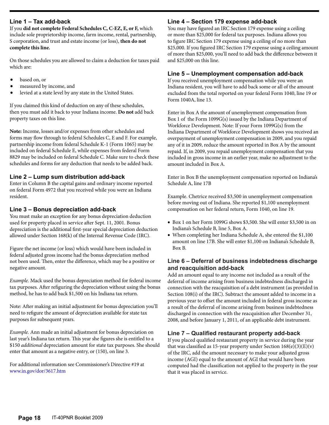#### **Line 1 – Tax add-back**

If you **did not complete Federal Schedules C, C-EZ, E, or F,** which include sole proprietorship income, farm income, rental, partnership, S corporation, and trust and estate income (or loss), **then do not complete this line.**

On those schedules you are allowed to claim a deduction for taxes paid which are:

- based on, or
- measured by income, and
- levied at a state level by any state in the United States.

If you claimed this kind of deduction on any of these schedules, then you must add it back to your Indiana income. **Do not** add back property taxes on this line.

**Note:** Income, losses and/or expenses from other schedules and forms may flow through to federal Schedules C, E and F. For example, partnership income from federal Schedule K-1 (Form 1065) may be included on federal Schedule E, while expenses from federal Form 8829 may be included on federal Schedule C. Make sure to check these schedules and forms for any deduction that needs to be added back.

#### **Line 2 – Lump sum distribution add-back**

Enter in Column B the capital gains and ordinary income reported on federal Form 4972 that you received while you were an Indiana resident.

#### **Line 3 – Bonus depreciation add-back**

You must make an exception for any bonus depreciation deduction used for property placed in service after Sept. 11, 2001. Bonus depreciation is the additional first-year special depreciation deduction allowed under Section 168(k) of the Internal Revenue Code (IRC).

Figure the net income (or loss) which would have been included in federal adjusted gross income had the bonus depreciation method not been used. Then, enter the difference, which may be a positive or negative amount.

*Example.* Mack used the bonus depreciation method for federal income tax purposes. After refiguring the depreciation without using the bonus method, he has to add back \$1,500 on his Indiana tax return.

Note: After making an initial adjustment for bonus depreciation you'll need to refigure the amount of depreciation available for state tax purposes for subsequent years.

*Example.* Ann made an initial adjustment for bonus depreciation on last year's Indiana tax return. This year she figures she is entitled to a \$150 *additional* depreciation amount for state tax purposes. She should enter that amount as a negative entry, or (150), on line 3.

For additional information see Commissioner's Directive #19 at [www.in.gov/dor/3617.htm](http://www.in.gov/dor/3617.htm)

#### **Line 4 – Section 179 expense add-back**

You may have figured an IRC Section 179 expense using a ceiling or more than \$25,000 for federal tax purposes. Indiana allows you to figure IRC Section 179 expense using a ceiling of no more than \$25,000. If you figured IRC Section 179 expense using a ceiling amount of more than \$25,000, you'll need to add back the difference between it and \$25,000 on this line.

#### **Line 5 – Unemployment compensation add-back**

If you received unemployment compensation while you were an Indiana resident, you will have to add back some or all of the amount excluded from the total reported on your federal Form 1040, line 19 or Form 1040A, line 13.

Enter in Box A the amount of unemployment compensation from Box 1 of the Form 1099G(s) issued by the Indiana Department of Workforce Development. Note: If your Form 1099G(s) from the Indiana Department of Workforce Development shows you received an overpayment of unemployment compensation in 2009, and you repaid any of it in 2009, reduce the amount reported in Box A by the amount repaid. If, in 2009, you repaid unemployment compensation that you included in gross income in an earlier year, make no adjustment to the amount included in Box A.

Enter in Box B the unemployment compensation reported on Indiana's Schedule A, line 17B

Example. Chetrice received \$3,500 in unemployment compensation before moving out of Indiana. She reported \$1,100 unemployment compensation on her federal return, Form 1040, on line 19.

- Box 1 on her Form 1099G shows \$3,500. She will enter \$3,500 in on Indiana's Schedule B, line 5, Box A.
- When completing her Indiana Schedule A, she entered the \$1,100 amount on line 17B. She will enter \$1,100 on Indiana's Schedule B, Box B.

#### **Line 6 – Deferral of business indebtedness discharge and reacquisition add-back**

Add an amount equal to any income not included as a result of the deferral of income arising from business indebtedness discharged in connection with the reacquisition of a debt instrument (as provided in Section 108(i) of the IRC). Subtract the amount added to income in a previous year to offset the amount included in federal gross income as a result of the deferral of income arising from business indebtedness discharged in connection with the reacquisition after December 31, 2008, and before January 1, 2011, of an applicable debt instrument.

#### **Line 7 – Qualified restaurant property add-back**

If you placed qualified restaurant property in service during the year that was classified as 15-year property under Section  $168(e)(3)(E)(v)$ of the IRC, add the amount necessary to make your adjusted gross income (AGI) equal to the amount of AGI that would have been computed had the classification not applied to the property in the year that it was placed in service.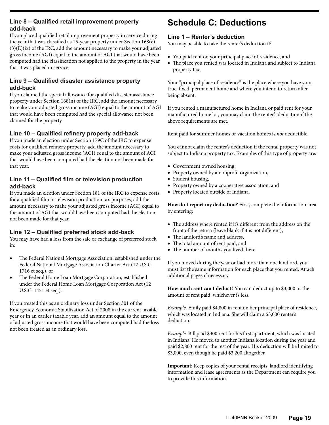#### **Line 8 – Qualified retail improvement property add-back**

If you placed qualified retail improvement property in service during the year that was classified as 15-year property under Section 168(e)  $(3)(E)(ix)$  of the IRC, add the amount necessary to make your adjusted gross income (AGI) equal to the amount of AGI that would have been computed had the classification not applied to the property in the year that it was placed in service.

#### **Line 9 – Qualified disaster assistance property add-back**

If you claimed the special allowance for qualified disaster assistance property under Section 168(n) of the IRC, add the amount necessary to make your adjusted gross income (AGI) equal to the amount of AGI that would have been computed had the special allowance not been claimed for the property.

#### **Line 10 – Qualified refinery property add-back**

If you made an election under Section 179C of the IRC to expense costs for qualified refinery property, add the amount necessary to make your adjusted gross income (AGI) equal to the amount of AGI that would have been computed had the election not been made for that year.

#### **Line 11 – Qualified film or television production add-back**

If you made an election under Section 181 of the IRC to expense costs for a qualified film or television production tax purposes, add the amount necessary to make your adjusted gross income (AGI) equal to the amount of AGI that would have been computed had the election not been made for that year.

#### **Line 12 – Qualified preferred stock add-back**

You may have had a loss from the sale or exchange of preferred stock in:

- The Federal National Mortgage Association, established under the Federal National Mortgage Association Charter Act (12 U.S.C. 1716 et seq.), or
- The Federal Home Loan Mortgage Corporation, established under the Federal Home Loan Mortgage Corporation Act (12 U.S.C. 1451 et seq.).

If you treated this as an ordinary loss under Section 301 of the Emergency Economic Stabilization Act of 2008 in the current taxable year or in an earlier taxable year, add an amount equal to the amount of adjusted gross income that would have been computed had the loss not been treated as an ordinary loss.

# **Schedule C: Deductions**

#### **Line 1 – Renter's deduction**

You may be able to take the renter's deduction if:

- You paid rent on your principal place of residence, and
- The place you rented was located in Indiana and subject to Indiana property tax.

Your "principal place of residence" is the place where you have your true, fixed, permanent home and where you intend to return after being absent.

If you rented a manufactured home in Indiana or paid rent for your manufactured home lot, you may claim the renter's deduction if the above requirements are met.

Rent paid for summer homes or vacation homes is *not* deductible.

You cannot claim the renter's deduction if the rental property was not subject to Indiana property tax. Examples of this type of property are:

- • Government owned housing,
- Property owned by a nonprofit organization,
- Student housing,
- • Property owned by a cooperative association, and
- • Property located outside of Indiana.

**How do I report my deduction?** First, complete the information area by entering:

- The address where rented if it's different from the address on the front of the return (leave blank if it is not different),
- The landlord's name and address,
- The total amount of rent paid, and
- The number of months you lived there.

If you moved during the year or had more than one landlord, you must list the same information for each place that you rented. Attach additional pages if necessary.

**How much rent can I deduct?** You can deduct up to \$3,000 or the amount of rent paid, whichever is less.

*Example.* Emily paid \$4,800 in rent on her principal place of residence, which was located in Indiana. She will claim a \$3,000 renter's deduction.

*Example.* Bill paid \$400 rent for his first apartment, which was located in Indiana. He moved to another Indiana location during the year and paid \$2,800 rent for the rest of the year. His deduction will be limited to \$3,000, even though he paid \$3,200 altogether.

**Important:** Keep copies of your rental receipts, landlord identifying information and lease agreements as the Department can require you to provide this information.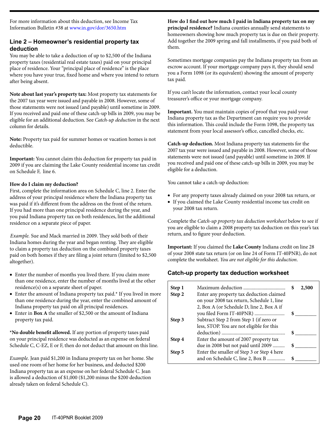For more information about this deduction, see Income Tax Information Bulletin #38 at www.in.gov/dor/3650.htm

#### **Line 2 – Homeowner's residential property tax deduction**

You may be able to take a deduction of up to \$2,500 of the Indiana property taxes (residential real estate taxes) paid on your principal place of residence. Your "principal place of residence" is the place where you have your true, fixed home and where you intend to return after being absent.

**Note about last year's property tax:** Most property tax statements for the 2007 tax year were issued and payable in 2008. However, some of those statements were not issued (and payable) until sometime in 2009. If you received and paid one of these catch-up bills in 2009, you may be eligible for an additional deduction. See *Catch-up deduction* in the next column for details.

**Note:** Property tax paid for summer homes or vacation homes is not deductible.

**Important:** You cannot claim this deduction for property tax paid in 2009 if you are claiming the Lake County residential income tax credit on Schedule F, line 6.

#### **How do I claim my deduction?**

First, complete the information area on Schedule C, line 2. Enter the address of your principal residence where the Indiana property tax was paid if it's different from the address on the front of the return. If you had more than one principal residence during the year, and you paid Indiana property tax on both residences, list the additional residence on a separate piece of paper.

*Example.* Sue and Mack married in 2009. They sold both of their Indiana homes during the year and began renting. They are eligible to claim a property tax deduction on the combined property taxes paid on both homes if they are filing a joint return (limited to \$2,500 altogether).

- Enter the number of months you lived there. If you claim more than one residence, enter the number of months lived at the other residence(s) on a separate sheet of paper.
- $\bullet$  Enter the amount of Indiana property tax paid. $*$  If you lived in more than one residence during the year, enter the combined amount of Indiana property tax paid on all principal residences.
- • Enter in **Box A** the smaller of \$2,500 or the amount of Indiana property tax paid.

**\*No double benefit allowed.** If any portion of property taxes paid on your principal residence was deducted as an expense on federal Schedule C, C-EZ, E or F, then do not deduct that amount on this line.

*Example.* Jean paid \$1,200 in Indiana property tax on her home. She used one room of her home for her business, and deducted \$200 Indiana property tax as an expense on her federal Schedule C. Jean is allowed a deduction of \$1,000 (\$1,200 minus the \$200 deduction already taken on federal Schedule C).

**How do I find out how much I paid in Indiana property tax on my principal residence?** Indiana counties annually send statements to homeowners showing how much property tax is due on their property. Add together the 2009 spring and fall installments, if you paid both of them.

Sometimes mortgage companies pay the Indiana property tax from an escrow account. If your mortgage company pays it, they should send you a Form 1098 (or its equivalent) showing the amount of property tax paid.

If you can't locate the information, contact your local county treasurer's office or your mortgage company.

**Important.** You must maintain copies of proof that you paid your Indiana property tax as the Department can require you to provide this information. This could include the Form 1098, the property tax statement from your local assessor's office, cancelled checks, etc.

**Catch-up deduction.** Most Indiana property tax statements for the 2007 tax year were issued and payable in 2008. However, some of those statements were not issued (and payable) until sometime in 2009. If you received and paid one of these catch-up bills in 2009, you may be eligible for a deduction.

You cannot take a catch-up deduction:

- • For any property taxes already claimed on your 2008 tax return, or
- If you claimed the Lake County residential income tax credit on your 2008 tax return.

Complete the *Catch-up property tax deduction worksheet* below to see if you are eligible to claim a 2008 property tax deduction on this year's tax return, and to figure your deduction.

**Important:** If you claimed the **Lake County** Indiana credit on line 28 of your 2008 state tax return (or on line 24 of Form IT-40PNR), do not complete the worksheet. *You are not eligible for this deduction*.

### **Catch-up property tax deduction worksheet**

| Step 1<br>Step 2 | Enter any property tax deduction claimed<br>on your 2008 tax return, Schedule 1, line<br>2, Box A (or Schedule D, line 2, Box A if | S  | 2,500 |
|------------------|------------------------------------------------------------------------------------------------------------------------------------|----|-------|
| Step 3           | Subtract Step 2 from Step 1 (if zero or<br>less, STOP. You are not eligible for this                                               |    |       |
| Step 4           | Enter the amount of 2007 property tax<br>due in 2008 but not paid until 2009                                                       | \$ |       |
| Step 5           | Enter the smaller of Step 3 or Step 4 here<br>and on Schedule C, line 2, Box B                                                     |    |       |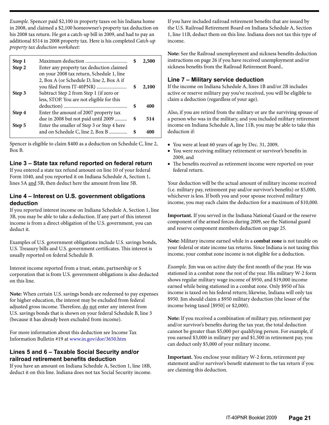*Example.* Spencer paid \$2,100 in property taxes on his Indiana home in 2008, and claimed a \$2,100 homeowner's property tax deduction on his 2008 tax return. He got a catch-up bill in 2009, and had to pay an additional \$514 in 2008 property tax. Here is his completed *Catch-up property tax deduction worksheet:*

| Step 1<br>Step 2 | Enter any property tax deduction claimed<br>on your 2008 tax return, Schedule 1, line<br>2, Box A (or Schedule D, line 2, Box A if |    | 2,500 |
|------------------|------------------------------------------------------------------------------------------------------------------------------------|----|-------|
|                  |                                                                                                                                    |    | 2,100 |
| Step 3           | Subtract Step 2 from Step 1 (if zero or<br>less, STOP. You are not eligible for this                                               |    |       |
| Step 4           | Enter the amount of 2007 property tax                                                                                              |    | 400   |
|                  | due in 2008 but not paid until 2009                                                                                                | \$ | 514   |
| Step 5           | Enter the smaller of Step 3 or Step 4 here<br>and on Schedule C, line 2, Box B                                                     | S  | 400   |

Spencer is eligible to claim \$400 as a deduction on Schedule C, line 2, Box B.

#### **Line 3 – State tax refund reported on federal return**

If you entered a state tax refund amount on line 10 of your federal Form 1040, and you reported it on Indiana Schedule A, Section 1, lines 5A and 5B, then deduct here the amount from line 5B.

#### **Line 4 – Interest on U.S. government obligations deduction**

If you reported interest income on Indiana Schedule A, Section 1, line 3B, you may be able to take a deduction. If any part of this interest income is from a direct obligation of the U.S. government, you can deduct it.

Examples of U.S. government obligations include U.S. savings bonds, U.S. Treasury bills and U.S. government certificates. This interest is usually reported on federal Schedule B.

Interest income reported from a trust, estate, partnership or S corporation that is from U.S. government obligations is also deducted on this line.

**Note:** When certain U.S. savings bonds are redeemed to pay expenses for higher education, the interest may be excluded from federal adjusted gross income. Therefore, do not enter any interest from U.S. savings bonds that is shown on your federal Schedule B, line 3 (because it has already been excluded from income).

For more information about this deduction see Income Tax Information Bulletin #19 at www.in.gov/dor/3650.htm

#### **Lines 5 and 6 – Taxable Social Security and/or railroad retirement benefits deduction**

If you have an amount on Indiana Schedule A, Section 1, line 18B, deduct it on this line. Indiana does not tax Social Security income. If you have included railroad retirement benefits that are issued by the U.S. Railroad Retirement Board on Indiana Schedule A, Section 1, line 11B, deduct them on this line. Indiana does not tax this type of income.

**Note:** See the Railroad unemployment and sickness benefits deduction instructions on page 26 if you have received unemployment and/or sickness benefits from the Railroad Retirement Board..

#### **Line 7 – Military service deduction**

If the income on Indiana Schedule A, lines 1B and/or 2B includes active or reserve military pay you've received, you will be eligible to claim a deduction (regardless of your age).

Also, if you are retired from the military or are the surviving spouse of a person who was in the military, and you included military retirement income on Indiana Schedule A, line 11B, you may be able to take this deduction if:

- You were at least 60 years of age by Dec. 31, 2009,
- • You were receiving military retirement or survivor's benefits in 2009, and
- The benefits received as retirement income were reported on your federal return.

Your deduction will be the actual amount of military income received (i.e. military pay, retirement pay and/or survivor's benefits) or \$5,000, whichever is less. If both you and your spouse received military income, you may each claim the deduction for a maximum of \$10,000.

**Important.** If you served in the Indiana National Guard or the reserve component of the armed forces during 2009, see the National guard and reserve component members deduction on page 25.

**Note:** Military income earned while in a **combat zone** is not taxable on your federal or state income tax returns. Since Indiana is not taxing this income, your combat zone income is not eligible for a deduction.

*Example.* Jim was on active duty the first month of the year. He was stationed in a combat zone the rest of the year. His military W-2 form shows regular military wage income of \$950, and \$19,000 income earned while being stationed in a combat zone. Only \$950 of his income is taxed on his federal return; likewise, Indiana will only tax \$950. Jim should claim a \$950 military deduction (the lesser of the income being taxed [\$950] or \$2,000).

**Note:** If you received a combination of military pay, retirement pay and/or survivor's benefits during the tax year, the total deduction cannot be greater than \$5,000 per qualifying person. For example, if you earned \$3,000 in military pay and \$1,500 in retirement pay, you can deduct only \$5,000 of your military income.

**Important.** You enclose your military W-2 form, retirement pay statement and/or survivor's benefit statement to the tax return if you are claiming this deduction.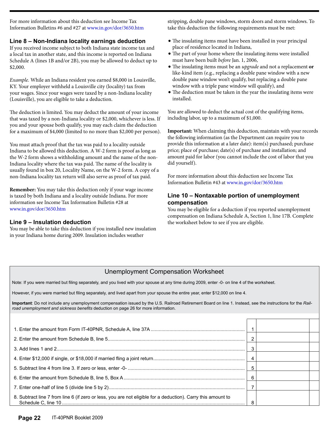For more information about this deduction see Income Tax Information Bulletins #6 and #27 at www.in.gov/dor/3650.htm

#### **Line 8 – Non-Indiana locality earnings deduction**

If you received income subject to both Indiana state income tax and a local tax in another state, and this income is reported on Indiana Schedule A (lines 1B and/or 2B), you may be allowed to deduct up to \$2,000.

*Example.* While an Indiana resident you earned \$8,000 in Louisville, KY. Your employer withheld a Louisville city (locality) tax from your wages. Since your wages were taxed by a non-Indiana locality (Louisville), you are eligible to take a deduction.

The deduction is limited. You may deduct the amount of your income that was taxed by a non-Indiana locality or \$2,000, whichever is less. If you and your spouse both qualify, you may each claim the deduction for a maximum of \$4,000 (limited to no more than \$2,000 per person).

You must attach proof that the tax was paid to a locality outside Indiana to be allowed this deduction. A W-2 form is proof as long as the W-2 form shows a withholding amount and the name of the non-Indiana locality where the tax was paid. The name of the locality is usually found in box 20, Locality Name, on the W-2 form. A copy of a non-Indiana locality tax return will also serve as proof of tax paid.

**Remember:** You may take this deduction only if your wage income is taxed by both Indiana and a locality outside Indiana. For more information see Income Tax Information Bulletin #28 at www.in.gov/dor/3650.htm

#### **Line 9 – Insulation deduction**

You may be able to take this deduction if you installed new insulation in your Indiana home during 2009. Insulation includes weather

stripping, double pane windows, storm doors and storm windows. To take this deduction the following requirements must be met:

- The insulating items must have been installed in your principal place of residence located in Indiana,
- The part of your home where the insulating items were installed must have been built *before* Jan. 1, 2006,
- The insulating items must be an *upgrade* and not a replacement or like-kind item (e.g., replacing a double pane window with a new double pane window won't qualify, but replacing a double pane window with a triple pane window will qualify), and
- The deduction must be taken in the year the insulating items were installed.

You are allowed to deduct the actual cost of the qualifying items, including labor, up to a maximum of \$1,000.

**Important:** When claiming this deduction, maintain with your records the following information (as the Department can require you to provide this information at a later date): item(s) purchased; purchase price; place of purchase; date(s) of purchase and installation; and amount paid for labor (you cannot include the cost of labor that you did yourself).

For more information about this deduction see Income Tax Information Bulletin #43 at [www.in.gov/dor/3650.htm](http://www.in.gov/dor/3650.htm)

#### **Line 10 – Nontaxable portion of unemployment compensation**

You may be eligible for a deduction if you reported unemployment compensation on Indiana Schedule A, Section 1, line 17B. Complete the worksheet below to see if you are eligible.

#### Unemployment Compensation Worksheet

Note: If you were married but filing separately, and you lived with your spouse at any time during 2009, enter -0- on line 4 of the worksheet.

However, if you were married but filing separately, and lived apart from your spouse the entire year, enter \$12,000 on line 4.

**Important**: Do not include any unemployment compensation issued by the U.S. Railroad Retirement Board on line 1. Instead, see the instructions for the *Railroad unemployment and sickness benefits* deduction on page 26 for more information.

|                                                                                                              | 6 |  |
|--------------------------------------------------------------------------------------------------------------|---|--|
|                                                                                                              |   |  |
| 8. Subtract line 7 from line 6 (if zero or less, you are not eligible for a deduction). Carry this amount to |   |  |
|                                                                                                              |   |  |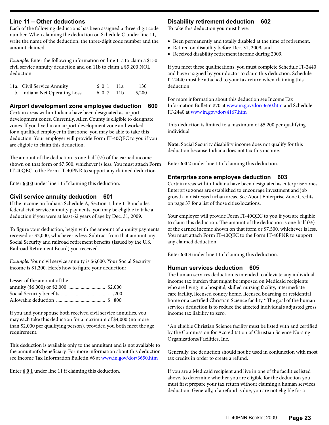#### **Line 11 – Other deductions**

Each of the following deductions has been assigned a three-digit code number. When claiming the deduction on Schedule C under line 11, write the name of the deduction, the three-digit code number and the amount claimed.

*Example.* Enter the following information on line 11a to claim a \$130 civil service annuity deduction and on 11b to claim a \$5,200 NOL deduction:

| 11a. Civil Service Annuity    | 60 1 11a  | 130   |
|-------------------------------|-----------|-------|
| b. Indiana Net Operating Loss | 6 0 7 11b | 5,200 |

#### **Airport development zone employee deduction 600**

Certain areas within Indiana have been designated as airport development zones. Currently, Allen County is eligible to designate zones. If you lived in an airport development zone and worked for a qualified employer in that zone, you may be able to take this deduction. Your employer will provide Form IT-40QEC to you if you are eligible to claim this deduction.

The amount of the deduction is one-half (½) of the earned income shown on that form or \$7,500, whichever is less. You must attach Form IT-40QEC to the Form IT-40PNR to support any claimed deduction.

Enter **6 0 0** under line 11 if claiming this deduction.

#### **Civil service annuity deduction 601**

If the income on Indiana Schedule A, Section 1, line 11B includes federal civil service annuity payments, you may be eligible to take a deduction if you were at least 62 years of age by Dec. 31, 2009.

To figure your deduction, begin with the amount of annuity payments received or \$2,000, whichever is less. Subtract from that amount any Social Security and railroad retirement benefits (issued by the U.S. Railroad Retirement Board) you received.

*Example.* Your civil service annuity is \$6,000. Your Social Security income is \$1,200. Here's how to figure your deduction:

| Lesser of the amount of the |  |
|-----------------------------|--|
|                             |  |
|                             |  |
|                             |  |

If you and your spouse both received civil service annuities, you may each take this deduction for a maximum of \$4,000 (no more than \$2,000 per qualifying person), provided you both meet the age requirement.

This deduction is available only to the annuitant and is not available to the annuitant's beneficiary. For more information about this deduction see Income Tax Information Bulletin #6 at www.in.gov/dor/3650.htm

Enter **6 0 1** under line 11 if claiming this deduction.

#### **Disability retirement deduction 602**

To take this deduction you must have:

- • Been permanently and totally disabled at the time of retirement,
- Retired on disability before Dec. 31, 2009, and
- Received disability retirement income during 2009.

If you meet these qualifications, you must complete Schedule IT-2440 and have it signed by your doctor to claim this deduction. Schedule IT-2440 must be attached to your tax return when claiming this deduction.

For more information about this deduction see Income Tax Information Bulletin #70 at www.in.gov/dor/3650.htm and Schedule IT-2440 at www.in.gov/dor/4167.htm

This deduction is limited to a maximum of \$5,200 per qualifying individual.

**Note:** Social Security disability income does not qualify for this deduction because Indiana does not tax this income.

Enter **6 0 2** under line 11 if claiming this deduction.

#### **Enterprise zone employee deduction 603**

Certain areas within Indiana have been designated as enterprise zones. Enterprise zones are established to encourage investment and job growth in distressed urban areas. See About Enterprise Zone Credits on page 37 for a list of those cities/locations.

Your employer will provide Form IT-40QEC to you if you are eligible to claim this deduction. The amount of the deduction is one-half  $(\frac{1}{2})$ of the earned income shown on that form or \$7,500, whichever is less. You must attach Form IT-40QEC to the Form IT-40PNR to support any claimed deduction.

Enter **6 0 3** under line 11 if claiming this deduction.

#### **Human services deduction 605**

The human services deduction is intended to alleviate any individual income tax burden that might be imposed on Medicaid recipients who are living in a hospital, skilled nursing facility, intermediate care facility, licensed county home, licensed boarding or residential home or a certified Christian Science facility.\* The goal of the human services deduction is to reduce the affected individual's adjusted gross income tax liability to zero.

\*An eligible Christian Science facility must be listed with and certified by the Commission for Accreditation of Christian Science Nursing Organizations/Facilities, Inc.

Generally, the deduction should not be used in conjunction with most tax credits in order to create a refund.

If you are a Medicaid recipient and live in one of the facilities listed above, to determine whether you are eligible for the deduction you must first prepare your tax return without claiming a human services deduction. Generally, if a refund is due, you are not eligible for a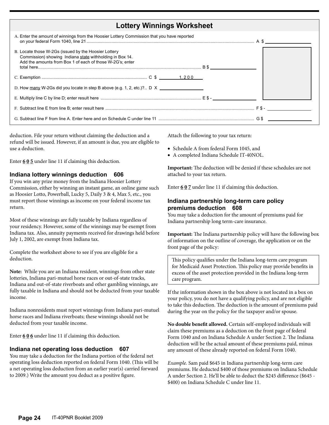| <b>Lottery Winnings Worksheet</b>                                                                                                                                             |  |
|-------------------------------------------------------------------------------------------------------------------------------------------------------------------------------|--|
| A. Enter the amount of winnings from the Hoosier Lottery Commission that you have reported                                                                                    |  |
| B. Locate those W-2Gs (issued by the Hoosier Lottery<br>Commission) showing Indiana state withholding in Box 14.<br>Add the amounts from Box 1 of each of those W-2G's; enter |  |
|                                                                                                                                                                               |  |
| D. How many W-2Gs did you locate in step B above (e.g. 1, 2, etc.)? D $X \_$                                                                                                  |  |
|                                                                                                                                                                               |  |
|                                                                                                                                                                               |  |
|                                                                                                                                                                               |  |

deduction. File your return without claiming the deduction and a refund will be issued. However, if an amount is due, you are eligible to use a deduction.

Enter **6 0 5** under line 11 if claiming this deduction.

#### **Indiana lottery winnings deduction 606**

If you win any prize money from the Indiana Hoosier Lottery Commission, either by winning an instant game, an online game such as Hoosier Lotto, Powerball, Lucky 5, Daily 3 & 4, Max 5, etc., you must report those winnings as income on your federal income tax return.

Most of these winnings are fully taxable by Indiana regardless of your residency. However, some of the winnings may be exempt from Indiana tax. Also, annuity payments received for drawings held before July 1, 2002, are exempt from Indiana tax.

Complete the worksheet above to see if you are eligible for a deduction.

**Note:** While you are an Indiana resident, winnings from other state lotteries, Indiana pari-mutuel horse races or out-of-state tracks, Indiana and out-of-state riverboats and other gambling winnings, are fully taxable in Indiana and should not be deducted from your taxable income.

Indiana nonresidents must report winnings from Indiana pari-mutuel horse races and Indiana riverboats; these winnings should not be deducted from your taxable income.

Enter **6 0 6** under line 11 if claiming this deduction.

#### **Indiana net operating loss deduction 607**

You may take a deduction for the Indiana portion of the federal net operating loss deduction reported on federal Form 1040. (This will be a net operating loss deduction from an earlier year(s) carried forward to 2009.) Write the amount you deduct as a positive figure.

Attach the following to your tax return:

- Schedule A from federal Form 1045, and
- • A completed Indiana Schedule IT-40NOL.

**Important:** The deduction will be denied if these schedules are not attached to your tax return.

Enter **6 0 7** under line 11 if claiming this deduction.

#### **Indiana partnership long-term care policy premiums deduction 608**

You may take a deduction for the amount of premiums paid for Indiana partnership long term-care insurance.

**Important:** The Indiana partnership policy will have the following box of information on the outline of coverage, the application or on the front page of the policy:

This policy qualifies under the Indiana long-term care program for Medicaid Asset Protection. This policy may provide benefits in excess of the asset protection provided in the Indiana long-term care program.

If the information shown in the box above is not located in a box on your policy, you do not have a qualifying policy, and are not eligible to take this deduction. The deduction is the amount of premiums paid during the year on the policy for the taxpayer and/or spouse.

**No double benefit allowed.** Certain self-employed individuals will claim these premiums as a deduction on the front page of federal Form 1040 and on Indiana Schedule A under Section 2. The Indiana deduction will be the actual amount of these premiums paid, minus any amount of these already reported on federal Form 1040.

*Example.* Sam paid \$645 in Indiana partnership long-term care premiums. He deducted \$400 of those premiums on Indiana Schedule A under Section 2. He'll be able to deduct the \$245 difference (\$645 - \$400) on Indiana Schedule C under line 11.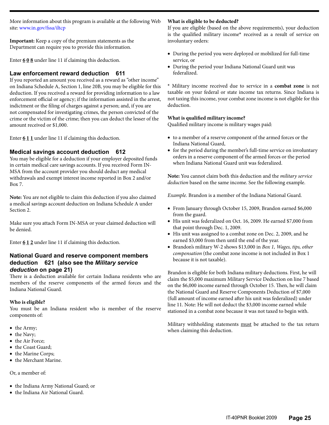More information about this program is available at the following Web site: www.in.gov/fssa/iltcp

**Important:** Keep a copy of the premium statements as the Department can require you to provide this information.

Enter **6 0 8** under line 11 if claiming this deduction.

#### **Law enforcement reward deduction 611**

If you reported an amount you received as a reward as "other income" on Indiana Schedule A, Section 1, line 20B, you may be eligible for this deduction. If you received a reward for providing information to a law enforcement official or agency; if the information assisted in the arrest, indictment or the filing of charges against a person; and, if you are not compensated for investigating crimes, the person convicted of the crime or the victim of the crime; then you can deduct the lesser of the amount received or \$1,000.

Enter **6 1 1** under line 11 if claiming this deduction.

### **Medical savings account deduction 612**

You may be eligible for a deduction if your employer deposited funds in certain medical care savings accounts. If you received Form IN-MSA from the account provider you should deduct any medical withdrawals and exempt interest income reported in Box 2 and/or Box 7.

**Note:** You are not eligible to claim this deduction if you also claimed a medical savings account deduction on Indiana Schedule A under Section 2.

Make sure you attach Form IN-MSA or your claimed deduction will be denied.

Enter **6 1 2** under line 11 if claiming this deduction.

#### **National Guard and reserve component members deduction 621 (also see the** *Military service deduction* **on page 21)**

There is a deduction available for certain Indiana residents who are members of the reserve components of the armed forces and the Indiana National Guard.

#### **Who is eligible?**

You must be an Indiana resident who is member of the reserve components of:

- the Army;
- the Navy;
- the Air Force:
- the Coast Guard;
- the Marine Corps;
- the Merchant Marine.

#### Or, a member of:

- the Indiana Army National Guard; or
- the Indiana Air National Guard.

#### **What is eligible to be deducted?**

If you are eligible (based on the above requirements), your deduction is the qualified military income**\*** received as a result of service on involuntary orders:

- During the period you were deployed or mobilized for full-time service, or
- • During the period your Indiana National Guard unit was federalized.

**\*** Military income received due to service in a **combat zone** is not taxable on your federal or state income tax returns. Since Indiana is not taxing this income, your combat zone income is not eligible for this deduction.

#### **What is qualified military income?**

Qualified military income is military wages paid:

- to a member of a reserve component of the armed forces or the Indiana National Guard,
- • for the period during the member's full-time service on involuntary orders in a reserve component of the armed forces or the period when Indiana National Guard unit was federalized.

**Note:** You cannot claim both this deduction and the *military service deduction* based on the same income. See the following example.

*Example.* Brandon is a member of the Indiana National Guard.

- From January through October 15, 2009, Brandon earned \$6,000 from the guard.
- His unit was federalized on Oct. 16, 2009. He earned \$7,000 from that point through Dec. 1, 2009.
- His unit was assigned to a combat zone on Dec. 2, 2009, and he earned \$3,000 from then until the end of the year.
- • Brandon's military W-2 shows \$13,000 in *Box 1, Wages, tips, other compensation* (the combat zone income is not included in Box 1 because it is not taxable).

Brandon is eligible for both Indiana military deductions. First, he will claim the \$5,000 maximum Military Service Deduction on line 7 based on the \$6,000 income earned through October 15. Then, he will claim the National Guard and Reserve Components Deduction of \$7,000 (full amount of income earned after his unit was federalized) under line 11. Note: He will not deduct the \$3,000 income earned while stationed in a combat zone because it was not taxed to begin with.

Military withholding statements must be attached to the tax return when claiming this deduction.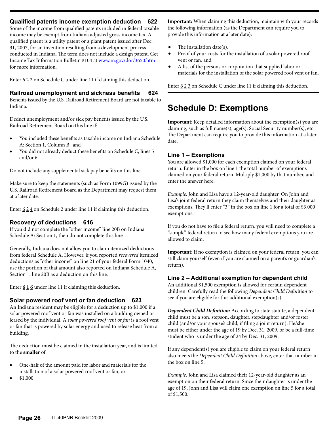#### **Qualified patents income exemption deduction 622**

Some of the income from qualified patents included in federal taxable income may be exempt from Indiana adjusted gross income tax. A qualified patent is a utility patent or a plant patent issued after Dec. 31, 2007, for an invention resulting from a development process conducted in Indiana. The term does not include a design patent. Get Income Tax Information Bulletin #104 at www.in.gov/dor/3650.htm for more information.

Enter  $622$  on Schedule C under line 11 if claiming this deduction.

#### **Railroad unemployment and sickness benefits 624**

Benefits issued by the U.S. Railroad Retirement Board are not taxable to Indiana.

Deduct unemployment and/or sick pay benefits issued by the U.S. Railroad Retirement Board on this line if:

- You included these benefits as taxable income on Indiana Schedule A: Section 1, Column B, and
- You did not already deduct these benefits on Schedule C, lines 5 and/or 6.

Do not include any supplemental sick pay benefits on this line.

Make sure to keep the statements (such as Form 1099G) issued by the U.S. Railroad Retirement Board as the Department may request them at a later date.

Enter  $624$  on Schedule 2 under line 11 if claiming this deduction.

#### **Recovery of deductions 616**

If you did not complete the "other income" line 20B on Indiana Schedule A: Section 1, then do not complete this line.

Generally, Indiana does not allow you to claim itemized deductions from federal Schedule A. However, if you reported *recovered* itemized deductions as "other income" on line 21 of your federal Form 1040, use the portion of that amount also reported on Indiana Schedule A, Section 1, line 20B as a deduction on this line.

Enter **6 1 6** under line 11 if claiming this deduction.

#### **Solar powered roof vent or fan deduction 623**

An Indiana resident may be eligible for a deduction up to \$1,000 if a solar powered roof vent or fan was installed on a building owned or leased by the individual. A *solar powered roof vent or fan* is a roof vent or fan that is powered by solar energy and used to release heat from a building.

The deduction must be claimed in the installation year, and is limited to the **smaller** of:

- One-half of the amount paid for labor and materials for the installation of a solar powered roof vent or fan, or
- \$1,000.

**Important:** When claiming this deduction, maintain with your records the following information (as the Department can require you to provide this information at a later date):

- The installation date(s),
- Proof of your costs for the installation of a solar powered roof vent or fan, and
- A list of the persons or corporation that supplied labor or materials for the installation of the solar powered roof vent or fan.

Enter  $623$  on Schedule C under line 11 if claiming this deduction.

# **Schedule D: Exemptions**

**Important:** Keep detailed information about the exemption(s) you are claiming, such as full name(s), age(s), Social Security number(s), etc. The Department can require you to provide this information at a later date.

#### **Line 1 – Exemptions**

You are allowed \$1,000 for each exemption claimed on your federal return. Enter in the box on line 1 the total number of exemptions claimed on your federal return. Multiply \$1,000 by that number, and enter the answer here.

*Example.* John and Lisa have a 12-year-old daughter. On John and Lisa's joint federal return they claim themselves and their daughter as exemptions. They'll enter "3" in the box on line 1 for a total of \$3,000 exemptions.

If you do not have to file a federal return, you will need to complete a "sample" federal return to see how many federal exemptions you are allowed to claim.

**Important:** If no exemption is claimed on your federal return, you can still claim yourself (even if you are claimed on a parent's or guardian's return).

#### **Line 2 – Additional exemption for dependent child**

An additional \$1,500 exemption is allowed for certain dependent children. Carefully read the following *Dependent Child Definition* to see if you are eligible for this additional exemption(s).

*Dependent Child Definition:* According to state statute, a dependent child must be a son, stepson, daughter, stepdaughter and/or foster child (and/or your spouse's child, if filing a joint return). He/she must be either under the age of 19 by Dec. 31, 2009, or be a full-time student who is under the age of 24 by Dec. 31, 2009.

If any dependent(s) you are eligible to claim on your federal return also meets the *Dependent Child Definition* above, enter that number in the box on line 5.

*Example.* John and Lisa claimed their 12-year-old daughter as an exemption on their federal return. Since their daughter is under the age of 19, John and Lisa will claim one exemption on line 5 for a total of \$1,500.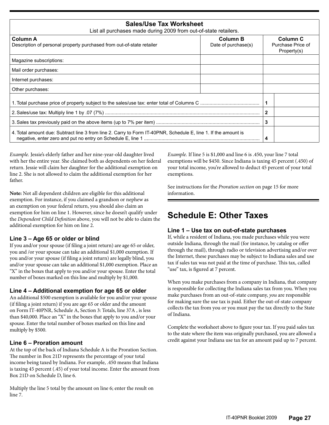| <b>Sales/Use Tax Worksheet</b><br>List all purchases made during 2009 from out-of-state retailers.             |                                        |              |                                              |
|----------------------------------------------------------------------------------------------------------------|----------------------------------------|--------------|----------------------------------------------|
| <b>Column A</b><br>Description of personal property purchased from out-of-state retailer                       | <b>Column B</b><br>Date of purchase(s) |              | Column C<br>Purchase Price of<br>Property(s) |
| Magazine subscriptions:                                                                                        |                                        |              |                                              |
| Mail order purchases:                                                                                          |                                        |              |                                              |
| Internet purchases:                                                                                            |                                        |              |                                              |
| Other purchases:                                                                                               |                                        |              |                                              |
|                                                                                                                |                                        |              |                                              |
|                                                                                                                |                                        | $\mathbf{2}$ |                                              |
|                                                                                                                |                                        |              |                                              |
| 4. Total amount due: Subtract line 3 from line 2. Carry to Form IT-40PNR, Schedule E, line 1. If the amount is |                                        | 4            |                                              |

*Example.* Jessie's elderly father and her nine-year-old daughter lived with her the entire year. She claimed both as dependents on her federal return. Jessie will claim her daughter for the additional exemption on line 2. She is not allowed to claim the additional exemption for her father.

**Note:** Not all dependent children are eligible for this additional exemption. For instance, if you claimed a grandson or nephew as an exemption on your federal return, you should also claim an exemption for him on line 1. However, since he doesn't qualify under the *Dependent Child Definition* above, you will not be able to claim the additional exemption for him on line 2.

#### **Line 3 – Age 65 or older or blind**

If you and/or your spouse (if filing a joint return) are age 65 or older, you and /or your spouse can take an additional \$1,000 exemption. If you and/or your spouse (if filing a joint return) are legally blind, you and/or your spouse can take an additional \$1,000 exemption. Place an "X" in the boxes that apply to you and/or your spouse. Enter the total number of boxes marked on this line and multiply by \$1,000.

#### **Line 4 – Additional exemption for age 65 or older**

An additional \$500 exemption is available for you and/or your spouse (if filing a joint return) if you are age 65 or older and the amount on Form IT-40PNR, Schedule A, Section 3: Totals, line 37A , is less than \$40,000. Place an "X" in the boxes that apply to you and/or your spouse. Enter the total number of boxes marked on this line and multiply by \$500.

### **Line 6 – Proration amount**

At the top of the back of Indiana Schedule A is the Proration Section. The number in Box 21D represents the percentage of your total income being taxed by Indiana. For example, .450 means that Indiana is taxing 45 percent (.45) of your total income. Enter the amount from Box 21D on Schedule D, line 6.

Multiply the line 5 total by the amount on line 6; enter the result on line 7.

*Example.* If line 5 is \$1,000 and line 6 is .450, your line 7 total exemptions will be \$450. Since Indiana is taxing 45 percent (.450) of your total income, you're allowed to deduct 45 percent of your total exemptions.

See instructions for the *Proration section* on page 15 for more information.

# **Schedule E: Other Taxes**

#### **Line 1 – Use tax on out-of-state purchases**

If, while a resident of Indiana, you made purchases while you were outside Indiana, through the mail (for instance, by catalog or offer through the mail), through radio or television advertising and/or over the Internet, these purchases may be subject to Indiana sales and use tax if sales tax was not paid at the time of purchase. This tax, called "use" tax, is figured at 7 percent.

When you make purchases from a company in Indiana, that company is responsible for collecting the Indiana sales tax from you. When you make purchases from an out-of-state company, *you* are responsible for making sure the use tax is paid. Either the out-of-state company collects the tax from you or you must pay the tax directly to the State of Indiana.

Complete the worksheet above to figure your tax. If you paid sales tax to the state where the item was originally purchased, you are allowed a credit against your Indiana use tax for an amount paid up to 7 percent.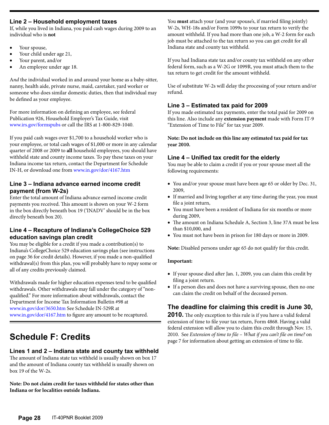#### **Line 2 – Household employment taxes**

If, while you lived in Indiana, you paid cash wages during 2009 to an individual who is **not**

- Your spouse,
- Your child under age 21,
- Your parent, and/or
- An employee under age 18.

A*nd* the individual worked in and around your home as a baby-sitter, nanny, health aide, private nurse, maid, caretaker, yard worker or someone who does similar domestic duties, then that individual may be defined as your employee.

For more information on defining an employee, see federal Publication 926, Household Employer's Tax Guide, visit www.irs.gov/formspubs or call the IRS at 1-800-829-1040.

If you paid cash wages over \$1,700 to a household worker who is your employee, or total cash wages of \$1,000 or more in any calendar quarter of 2008 or 2009 to **all** household employees, you should have withheld state and county income taxes. To pay these taxes on your Indiana income tax return, contact the Department for Schedule IN-H, or download one from www.in.gov/dor/4167.htm

#### **Line 3 – Indiana advance earned income credit payment (from W-2s)**

Enter the total amount of Indiana advance earned income credit payments you received. This amount is shown on your W-2 form in the box directly beneath box 19 ('INADV' should be in the box directly beneath box 20).

### **Line 4 – Recapture of Indiana's CollegeChoice 529 education savings plan credit**

You may be eligible for a credit if you made a contribution(s) to Indiana's CollegeChoice 529 education savings plan (see instructions on page 36 for credit details). However, if you made a non-qualified withdrawal(s) from this plan, you will probably have to repay some or all of any credits previously claimed.

Withdrawals made for higher education expenses tend to be qualified withdrawals. Other withdrawals may fall under the category of "nonqualified." For more information about withdrawals, contact the Department for Income Tax Information Bulletin #98 at www.in.gov/dor/3650.htm See Schedule IN-529R at www.in.gov/dor/4167.htm to figure any amount to be recaptured.

# **Schedule F: Credits**

### **Lines 1 and 2 – Indiana state and county tax withheld**

The amount of Indiana state tax withheld is usually shown on box 17 and the amount of Indiana county tax withheld is usually shown on box 19 of the W-2s.

**Note: Do not claim credit for taxes withheld for states other than Indiana or for localities outside Indiana.** 

You **must** attach your (and your spouse's, if married filing jointly) W-2s, WH-18s and/or Form 1099s to your tax return to verify the amount withheld. If you had more than one job, a W-2 form for each job must be attached to the tax return so you can get credit for all Indiana state and county tax withheld.

If you had Indiana state tax and/or county tax withheld on any other federal form, such as a W-2G or 1099R, you must attach them to the tax return to get credit for the amount withheld.

Use of substitute W-2s will delay the processing of your return and/or refund.

### **Line 3 – Estimated tax paid for 2009**

If you made estimated tax payments, enter the total paid for 2009 on this line. Also include any **extension payment** made with Form IT-9 "Extension of Time to File" for tax year 2009.

**Note: Do not include on this line any estimated tax paid for tax year 2010.**

### **Line 4 – Unified tax credit for the elderly**

You may be able to claim a credit if you or your spouse meet all the following requirements:

- You and/or your spouse must have been age 65 or older by Dec. 31, 2009,
- If married and living together at any time during the year, you must file a joint return,
- You must have been a resident of Indiana for six months or more during 2009,
- The amount on Indiana Schedule A, Section 3, line 37A must be less than \$10,000, and
- • You must not have been in prison for 180 days or more in 2009.

**Note:** Disabled persons under age 65 do not qualify for this credit.

#### **Important:**

- • If your spouse died after Jan. 1, 2009, you can claim this credit by filing a joint return.
- If a person dies and does not have a surviving spouse, then no one can claim the credit on behalf of the deceased person.

## **The deadline for claiming this credit is June 30,**

**2010.** The only exception to this rule is if you have a valid federal extension of time to file your tax return, Form 4868. Having a valid federal extension will allow you to claim this credit through Nov. 15, 2010. See *Extension of time to file – What if you can't file on time?* on page 7 for information about getting an extension of time to file.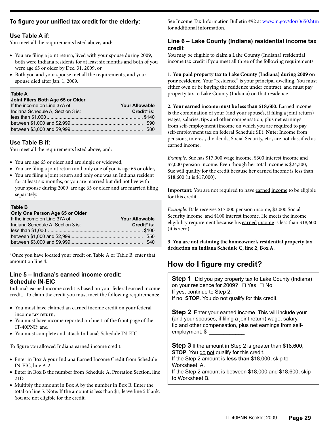### **To figure your unified tax credit for the elderly:**

#### **Use Table A if:**

You meet all the requirements listed above, **and**:

- • You are filing a joint return, lived with your spouse during 2009, both were Indiana residents for at least six months and both of you were age 65 or older by Dec. 31, 2009, or
- Both you and your spouse met all the requirements, and your spouse died after Jan. 1, 2009.

#### **Table A**

| Joint Filers Both Age 65 or Older |                       |
|-----------------------------------|-----------------------|
| If the income on Line 37A of      | <b>Your Allowable</b> |
| Indiana Schedule A, Section 3 is: | Credit* is:           |
|                                   |                       |
|                                   |                       |
|                                   |                       |

#### **Use Table B if:**

You meet all the requirements listed above, and:

- You are age 65 or older and are single or widowed,
- You are filing a joint return and only one of you is age 65 or older,
- You are filing a joint return and only one was an Indiana resident for at least six months, or you are married but did not live with your spouse during 2009, are age 65 or older and are married filing separately.

| Table B<br>Only One Person Age 65 or Older |                       |
|--------------------------------------------|-----------------------|
| If the income on Line 37A of               | <b>Your Allowable</b> |
| Indiana Schedule A. Section 3 is:          | Credit* is:           |
|                                            |                       |
|                                            |                       |
|                                            |                       |

\*Once you have located your credit on Table A or Table B, enter that amount on line 4.

### **Line 5 – Indiana's earned income credit: Schedule IN-EIC**

Indiana's earned income credit is based on your federal earned income credit. To claim the credit you must meet the following requirements:

- You must have claimed an earned income credit on your federal income tax return;
- You must have income reported on line 1 of the front page of the IT-40PNR; and
- • You must complete and attach Indiana's Schedule IN-EIC.

To figure you allowed Indiana earned income credit:

- • Enter in Box A your Indiana Earned Income Credit from Schedule IN-EIC, line A-2.
- Enter in Box B the number from Schedule A, Proration Section, line 21D.
- Multiply the amount in Box A by the number in Box B. Enter the total on line 5. Note: If the amount is less than \$1, leave line 5 blank. You are not eligible for the credit.

See Income Tax Information Bulletin #92 at www.in.gov/dor/3650.htm for additional information.

### **Line 6 – Lake County (Indiana) residential income tax credit**

You may be eligible to claim a Lake County (Indiana) residential income tax credit if you meet all three of the following requirements.

**1. You paid property tax to Lake County (Indiana) during 2009 on your residence.** Your "residence" is your principal dwelling. You must either own or be buying the residence under contract, and must pay property tax to Lake County (Indiana) on that residence.

**2. Your earned income must be less than \$18,600.** Earned income is the combination of your (and your spouse's, if filing a joint return) wages, salaries, tips and other compensation, plus net earnings from self-employment (income on which you are required to pay self-employment tax on federal Schedule SE). **Note:** Income from pensions, interest, dividends, Social Security, etc., are not classified as earned income.

*Example.* Sue has \$17,000 wage income, \$300 interest income and \$7,000 pension income. Even though her total income is \$24,300, Sue will qualify for the credit because her earned income is less than \$18,600 (it is \$17,000).

**Important:** You are not required to have earned income to be eligible for this credit.

*Example.* Dale receives \$17,000 pension income, \$3,000 Social Security income, and \$100 interest income. He meets the income eligibility requirement because his earned income is less than \$18,600 (it is zero).

**3. You are not claiming the homeowner's residential property tax deduction on Indiana Schedule C, line 2, Box A.**

# **How do I figure my credit?**

**Step 1** Did you pay property tax to Lake County (Indiana) on your residence for 2009? □ Yes □ No If yes, continue to Step 2. If no, **STOP**. You do not qualify for this credit.

**Step 2** Enter your earned income. This will include your (and your spouses, if filing a joint return) wage, salary, tip and other compensation, plus net earnings from selfemployment. \$

**Step 3** If the amount in Step 2 is greater than \$18,600, **STOP**. You do not qualify for this credit. If the Step 2 amount is **less than** \$18,000, skip to Worksheet A. If the Step 2 amount is between \$18,000 and \$18,600, skip to Worksheet B.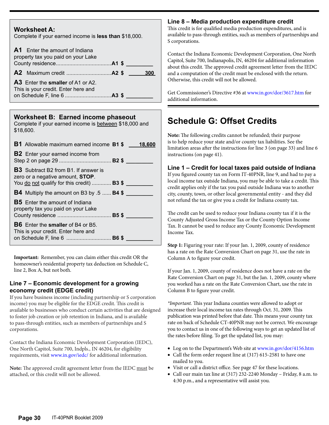| Complete if your earned income is less than \$18,000.                                  |     |
|----------------------------------------------------------------------------------------|-----|
| <b>A1</b> Enter the amount of Indiana<br>property tax you paid on your Lake            |     |
|                                                                                        | 300 |
| <b>A3</b> Enter the <b>smaller</b> of A1 or A2.<br>This is your credit. Enter here and |     |

**Worksheet A:**

### **Worksheet B: Earned income phaseout**

Complete if your earned income is between \$18,000 and \$18,600.

| <b>B1</b> Allowable maximum earned income <b>B1</b> \$ 18,600                                                                               |  |
|---------------------------------------------------------------------------------------------------------------------------------------------|--|
| <b>B2</b> Enter your earned income from                                                                                                     |  |
| <b>B3</b> Subtract B2 from B1. If answer is<br>zero or a negative amount, <b>STOP</b> .<br>You do not qualify for this credit) <b>B3 \$</b> |  |
| <b>B4</b> Multiply the amount on B3 by .5 <b>B4 \$</b>                                                                                      |  |
| <b>B5</b> Enter the amount of Indiana<br>property tax you paid on your Lake                                                                 |  |
| <b>B6</b> Enter the <b>smaller</b> of B4 or B5.<br>This is your credit. Enter here and<br>on Schedule F, line 6 <b>B6 \$</b>                |  |

**Important:** Remember, you can claim either this credit OR the homeowner's residential property tax deduction on Schedule C, line 2, Box A, but not both.

### **Line 7 – Economic development for a growing economy credit (EDGE credit)**

If you have business income (including partnership or S corporation income) you may be eligible for the EDGE credit. This credit is available to businesses who conduct certain activities that are designed to foster job creation or job retention in Indiana, and is available to pass-through entities, such as members of partnerships and S corporations.

Contact the Indiana Economic Development Corporation (IEDC), One North Capitol, Suite 700, Indpls., IN 46204, for eligibility requirements, visit www.in.gov/iedc/ for additional information.

**Note:** The approved credit agreement letter from the IEDC must be attached, or this credit will not be allowed.

### **Line 8 – Media production expenditure credit**

This credit is for qualified media production expenditures, and is available to pass-through entities, such as members of partnerships and S corporations.

Contact the Indiana Economic Development Corporation, One North Capitol, Suite 700, Indianapolis, IN, 46204 for additional information about this credit. The approved credit agreement letter from the IEDC and a computation of the credit must be enclosed with the return. Otherwise, this credit will not be allowed.

Get Commissioner's Directive #36 at www.in.gov/dor/3617.htm for additional information.

# **Schedule G: Offset Credits**

**Note:** The following credits cannot be refunded; their purpose is to help reduce your state and/or county tax liabilities. See the limitation areas after the instructions for line 3 (on page 33) and line 6 instructions (on page 41).

**Line 1 – Credit for local taxes paid outside of Indiana**

If you figured county tax on Form IT-40PNR, line 9, and had to pay a local income tax outside Indiana, you may be able to take a credit. This credit applies only if the tax you paid outside Indiana was to another city, county, town, or other local governmental entity - and they did not refund the tax or give you a credit for Indiana county tax.

The credit can be used to reduce your Indiana county tax if it is the County Adjusted Gross Income Tax or the County Option Income Tax. It cannot be used to reduce any County Economic Development Income Tax.

**Step 1:** Figuring your rate: If your Jan. 1, 2009, county of residence has a rate on the Rate Conversion Chart on page 31, use the rate in Column A to figure your credit.

If your Jan. 1, 2009, county of residence does not have a rate on the Rate Conversion Chart on page 31, but the Jan. 1, 2009, county where you worked has a rate on the Rate Conversion Chart, use the rate in Column B to figure your credit.

*\*Important.* This year Indiana counties were allowed to adopt or increase their local income tax rates through Oct. 31, 2009. This publication was printed before that date. This means your county tax rate on back of Schedule CT-40PNR may not be correct. We encourage you to contact us in one of the following ways to get an updated list of the rates before filing. To get the updated list, you may:

- Log on to the Department's Web site at [www.in.gov/dor/4156.htm](http://www.in.gov/dor/4156.htm)
- Call the form order request line at (317) 615-2581 to have one mailed to you.
- • Visit or call a district office. See page 47 for these locations.
- • Call our main tax line at (317) 232-2240 Monday Friday, 8 a.m. to 4:30 p.m., and a representative will assist you.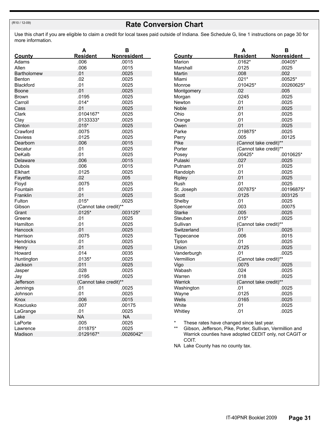### **Rate Conversion Chart**

Use this chart if you are eligible to claim a credit for local taxes paid outside of Indiana. See Schedule G, line 1 instructions on page 30 for more information.

|                    | А                      | в                  |
|--------------------|------------------------|--------------------|
| <u>County</u>      | <b>Resident</b>        | <b>Nonresident</b> |
| Adams              | .006                   | .0015              |
| Allen              | .006                   | .0015              |
| <b>Bartholomew</b> | .01                    | .0025              |
| Benton             | .02                    | .0025              |
| Blackford          | .01                    | .0025              |
| Boone              | .01                    | .0025              |
| Brown              | .0195                  | .0025              |
| Carroll            | $.014*$                | .0025              |
| Cass               | .01                    | .0025              |
| Clark              | .0104167*              | .0025              |
| Clay               | .0133333*              | .0025              |
| Clinton            | $.015*$                | .0025              |
| Crawford           | .0075                  | .0025              |
| Daviess            | .0125                  | .0025              |
| Dearborn           | .006                   | .0015              |
| Decatur            | .01                    | .0025              |
| DeKalb             | .01                    | .0025              |
| Delaware           | .006                   | .0015              |
| Dubois             | .006                   | .0015              |
| Elkhart            | .0125                  | .0025              |
| Fayette            | .02                    | .005               |
| Floyd              | .0075                  | .0025              |
| Fountain           | .01                    | .0025              |
| Franklin           | .01                    | .0025              |
| Fulton             | $.015*$                | .0025              |
| Gibson             | (Cannot take credit)** |                    |
| Grant              | $.0125*$               | .003125*           |
| Greene             | .01                    | .0025              |
| Hamilton           | .01                    | .0025              |
| Hancock            | .01                    | .0025              |
| Harrison           | .0075                  | .0025              |
| Hendricks          | .01                    | .0025              |
| Henry              | .01                    | .0025              |
| Howard             | .014                   | .0035              |
| Huntington         | $.0135*$               | .0025              |
| Jackson            | .011                   | .0025              |
| Jasper             | .028                   | .0025              |
| Jay                | .0195                  | .0025              |
| Jefferson          | (Cannot take credit)** |                    |
| Jennings           | .01                    | .0025              |
| Johnson            | .01                    | .0025              |
| Knox               | .006                   | .0015              |
| Kosciusko          | .007                   | .00175             |
| LaGrange           | .01                    | .0025              |
| Lake               | <b>NA</b>              | <b>NA</b>          |
| LaPorte            | .005                   | .0025              |
| Lawrence           | .011875*               | .0025              |
| Madison            | .0129167*              | .0026042*          |

|                          | А                             | в                  |
|--------------------------|-------------------------------|--------------------|
| <b>County</b>            | <b>Resident</b>               | <b>Nonresident</b> |
| Marion                   | $.0162*$                      | $.00405*$          |
| Marshall                 | .0125                         | .0025              |
| Martin                   | .008                          | .002               |
| Miami                    | $.021*$                       | $.00525*$          |
| Monroe                   | .010425*                      | .00260625*         |
| Montgomery               | .02                           | .005               |
| Morgan                   | .0245                         | .0025              |
| Newton                   | .01                           | .0025              |
| Noble                    | .01                           | .0025              |
| Ohio                     | .01                           | .0025              |
| Orange                   | .01                           | .0025              |
| Owen                     | .01                           | .0025              |
| Parke                    | .019875*                      | .0025              |
| Perry                    | .005                          | .00125             |
| Pike                     | (Cannot take credit)**        |                    |
| Porter                   | (Cannot take credit)**        |                    |
| Posey                    | $.00425*$                     | .0010625*          |
| Pulaski                  | .027                          | .0025              |
| Putnam                   | .01                           | .0025              |
| Randolph                 | .01                           | .0025              |
| Ripley                   | .01                           | .0025              |
| Rush                     | .01                           | .0025              |
| St. Joseph               | .007875*                      | .00196875*         |
| Scott                    | .0125                         | .003125            |
|                          | .01                           | .0025              |
| Shelby                   | .003                          | .00075             |
| Spencer<br><b>Starke</b> | .005                          | .0025              |
|                          | $.015*$                       |                    |
| Steuben                  |                               | .0025              |
| Sullivan                 | (Cannot take credit)**<br>.01 |                    |
| Switzerland              | .006                          | .0025              |
| Tippecanoe               | .01                           | .0015              |
| Tipton                   |                               | .0025              |
| Union                    | .0125                         | .0025              |
| Vanderburgh              | .01                           | .0025              |
| Vermillion               | (Cannot take credit)**        |                    |
| Vigo                     | .0075                         | .0025              |
| Wabash                   | .024                          | .0025              |
| Warren                   | .018                          | .0025              |
| Warrick                  | (Cannot take credit)**        |                    |
| Washington               | .01                           | .0025              |
| Wayne                    | .0125                         | .0025              |
| Wells                    | .0165                         | .0025              |
| White                    | .01                           | .0025              |
| Whitley                  | .01                           | .0025              |

\* These rates have changed since last year.<br>\*\* Gibson, Jefferson, Pike, Porter, Sullivan, Ve

Gibson, Jefferson, Pike, Porter, Sullivan, Vermillion and Warrick counties have adopted CEDIT only, not CAGIT or COIT.

NA Lake County has no county tax.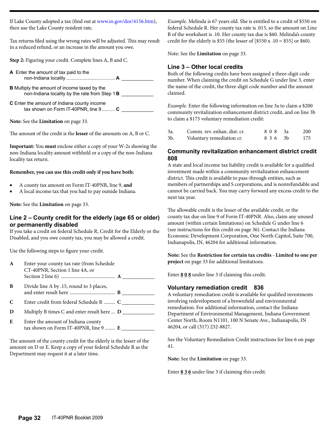If Lake County adopted a tax (find out at [www.in.gov/dor/4156.htm](http://www.in.gov/dor/4156.htm)), then use the Lake County resident rate.

Tax returns filed using the wrong rates will be adjusted. This may result in a reduced refund, or an increase in the amount you owe.

**Step 2:** Figuring your credit. Complete lines A, B and C.

**A** Enter the amount of tax paid to the non-Indiana locality ..................................... **A** \_\_\_\_\_\_\_\_\_\_\_\_

**B** Multiply the amount of income taxed by the non-Indiana locality by the rate from Step 1 **B** 

**C** Enter the amount of Indiana county income tax shown on Form IT-40PNR, line 9 .......... **C** 

**Note:** See the **Limitation** on page 33.

The amount of the credit is the **lesser** of the amounts on A, B or C.

**Important:** You **must** enclose either a copy of your W-2s showing the non-Indiana locality amount withheld or a copy of the non-Indiana locality tax return.

#### **Remember, you can use this credit only if you have both:**

- A county tax amount on Form IT-40PNR, line 9, and
- A local income tax that you had to pay outside Indiana.

**Note:** See the **Limitation** on page 33.

#### **Line 2 – County credit for the elderly (age 65 or older) or permanently disabled**

If you take a credit on federal Schedule R, Credit for the Elderly or the Disabled, and you owe county tax, you may be allowed a credit.

Use the following steps to figure your credit.

| A | Enter your county tax rate (from Schedule<br>CT-40PNR, Section 1 line 4A, or |
|---|------------------------------------------------------------------------------|
| B | Divide line A by .15, round to 3 places,                                     |
| C | Enter credit from federal Schedule R  C                                      |
| D | Multiply B times C and enter result here $\bf{D}$ _____                      |
| E | Enter the amount of Indiana county                                           |

The amount of the county credit for the elderly is the lesser of the amount on D or E. Keep a copy of your federal Schedule R as the Department may request it at a later time.

*Example.* Melinda is 67 years old. She is entitled to a credit of \$550 on federal Schedule R. Her county tax rate is .015, so the amount on Line B of the worksheet is .10. Her county tax due is \$60. Melinda's county credit for the elderly is \$55 (the lesser of  $[$550 x .10 = $55]$  or \$60).

Note: See the **Limitation** on page 33.

#### **Line 3 – Other local credits**

Both of the following credits have been assigned a three-digit code number. When claiming the credit on Schedule G under line 3, enter the name of the credit, the three-digit code number and the amount claimed.

*Example.* Enter the following information on line 3a to claim a \$200 community revitalization enhancement district credit, and on line 3b to claim a \$175 voluntary remediation credit:

| 3a | Comm. rev. enhan. dist. cr. | 808 3a | 200 |
|----|-----------------------------|--------|-----|
| 3b | Voluntary remediation cr.   | 836 3h | 175 |

#### **Community revitalization enhancement district credit 808**

A state and local income tax liability credit is available for a qualified investment made within a community revitalization enhancement district. This credit is available to pass-through entities, such as members of partnerships and S corporations, and is nonrefundable and cannot be carried back. You may carry forward any excess credit to the next tax year.

The allowable credit is the lesser of the available credit, or the county tax due on line 9 of Form IT-40PNR. Also, claim any unused amount (within certain limitations) on Schedule G under line 6 (see instructions for this credit on page 36). Contact the Indiana Economic Development Corporation, One North Capitol, Suite 700, Indianapolis, IN, 46204 for additional information.

**Note:** See the **Restriction for certain tax credits - Limited to one per project** on page 33 for additional limitations.

Enter **8 0 8** under line 3 if claiming this credit.

#### **Voluntary remediation credit 836**

A voluntary remediation credit is available for qualified investments involving redevelopment of a brownfield and environmental remediation. For additional information, contact the Indiana Department of Environmental Management, Indiana Government Center North, Room N1101, 100 N Senate Ave., Indianapolis, IN 46204, or call (317) 232-8827.

See the Voluntary Remediation Credit instructions for line 6 on page 41.

**Note:** See the **Limitation** on page 33.

Enter **8 3 6** under line 3 if claiming this credit.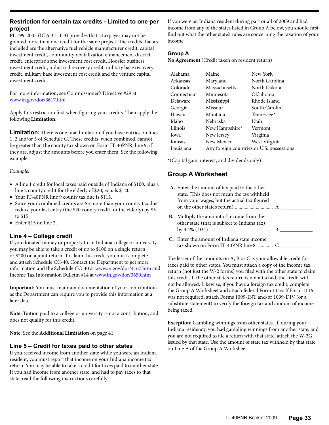#### **Restriction for certain tax credits - Limited to one per project**

PL 199-2005 (IC 6-3.1-1-3) provides that a taxpayer may not be granted more than one credit for the same project. The credits that are included are the alternative fuel vehicle manufacturer credit, capital investment credit, community revitalization enhancement district credit, enterprise zone investment cost credit, Hoosier business investment credit, industrial recovery credit, military base recovery credit, military base investment cost credit and the venture capital investment credit.

For more information, see Commissioner's Directive #29 at www.in.gov/dor/3617.htm

Apply this restriction first when figuring your credits. Then apply the following **Limitation**.

**Limitation:** There is one final limitation if you have entries on lines 1, 2 and/or 3 of Schedule G. These credits, when combined, cannot be greater than the county tax shown on Form IT-40PNR, line 9; if they are, adjust the amounts before you enter them. See the following example.

#### *Example.*

- • A line 1 credit for local taxes paid outside of Indiana of \$100, plus a line 2 county credit for the elderly of \$20, equals \$120.
- • Your IT-40PNR line 9 county tax due is \$115.
- Since your combined credits are \$5 more than your county tax due, reduce your last entry (the \$20 county credit for the elderly) by \$5 to \$15.
- $\bullet$  Enter \$15 on line 2.

#### **Line 4 – College credit**

If you donated money or property to an Indiana college or university, you may be able to take a credit of up to \$100 on a single return or \$200 on a joint return. To claim this credit you must complete and attach Schedule CC-40. Contact the Department to get more information and the Schedule CC-40 at www.in.gov/dor/4167.htm and Income Tax Information Bulletin #14 at www.in.gov/dor/3650.htm

**Important:** You must maintain documentation of your contributions as the Department can require you to provide this information at a later date.

**Note:** Tuition paid to a college or university is not a contribution, and does not qualify for this credit.

**Note:** See the **Additional Limitation** on page 41.

#### **Line 5 – Credit for taxes paid to other states**

If you received income from another state while you were an Indiana resident, you must report that income on your Indiana income tax return. You may be able to take a credit for taxes paid to another state. If you had income from another state, and had to pay taxes to that state, read the following instructions carefully.

If you were an Indiana resident during part or all of 2009 and had income from any of the states listed in Group A below, you should first find out what the other state's rules are concerning the taxation of your income.

#### **Group A**

**No Agreement** (Credit taken on resident return)

| Alabama     | Maine          | New York                                  |
|-------------|----------------|-------------------------------------------|
| Arkansas    | Maryland       | North Carolina                            |
| Colorado    | Massachusetts  | North Dakota                              |
| Connecticut | Minnesota      | Oklahoma                                  |
| Delaware    | Mississippi    | Rhode Island                              |
| Georgia     | Missouri       | South Carolina                            |
| Hawaii      | Montana        | Tennessee*                                |
| Idaho       | Nebraska       | Utah                                      |
| Illinois    | New Hampshire* | Vermont                                   |
| Iowa        | New Jersey     | Virginia                                  |
| Kansas      | New Mexico     | West Virginia                             |
| Louisiana   |                | Any foreign countries or U.S. possessions |

\*(Capital gain, interest, and dividends only)

### **Group A Worksheet**

|           | A. Enter the amount of tax paid to the other<br>state. (This does not mean the tax withheld<br>from your wages, but the actual tax figured |  |
|-----------|--------------------------------------------------------------------------------------------------------------------------------------------|--|
| <b>B.</b> | Multiply the amount of income from the<br>other state (that is subject to Indiana tax)                                                     |  |
|           | <b>C.</b> Enter the amount of Indiana state income                                                                                         |  |

The lesser of the amounts on A, B or C is your allowable credit for taxes paid to other states. You must attach a copy of the income tax return (not just the W-2 forms) you filed with the other state to claim this credit. If the other state's return is not attached, the credit will not be allowed. Likewise, if you have a foreign tax credit, complete the Group A Worksheet and attach federal Form 1116. If Form 1116 was not required, attach Forms 1099-INT and/or 1099-DIV (or a substitute statement) to verify the foreign tax and amount of income being taxed.

**Exception:** Gambling winnings from other states. If, during your Indiana residency, you had gambling winnings from another state, and you are not required to file a return with that state, attach the W-2G issued by that state. Use the amount of state tax withheld by that state on Line A of the Group A Worksheet.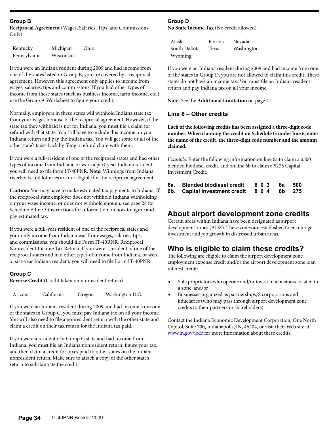#### **Group B**

**Reciprocal Agreement** (Wages, Salaries, Tips, and Commissions Only)

| Kentucky     | Michigan  | Ohio |
|--------------|-----------|------|
| Pennsylvania | Wisconsin |      |

If you were an Indiana resident during 2009 and had income from one of the states listed in Group B, you are covered by a reciprocal agreement. However, this agreement only applies to income from wages, salaries, tips and commissions. If you had other types of income from these states (such as business income, farm income, etc.), use the Group A Worksheet to figure your credit.

Normally, employers in these states will withhold Indiana state tax from your wages because of the reciprocal agreement. However, if the state tax they withheld is not for Indiana, you must file a claim for refund with that state. You still have to include this income on your Indiana return and pay the Indiana tax. You will get some or all of the other state's taxes back by filing a refund claim with them.

If you were a full-resident of one of the reciprocal states and had other types of income from Indiana, or were a part-year Indiana resident, you will need to file form IT-40PNR. **Note:** Winnings from Indiana riverboats and lotteries are not eligible for the reciprocal agreement.

**Caution:** You may have to make estimated tax payments to Indiana. If the reciprocal state employer does not withhold Indiana withholding on your wage income, or does not withhold enough, see page 28 for Schedule F, line 3 instructions for information on how to figure and pay estimated tax.

If you were a full-year resident of one of the reciprocal states and your only income from Indiana was from wages, salaries, tips, and commissions, you should file Form IT-40RNR, Reciprocal Nonresident Income Tax Return. If you were a resident of one of the reciprocal states and had other types of income from Indiana, or were a part-year Indiana resident, you will need to file Form IT-40PNR.

#### **Group C**

**Reverse Credit** (Credit taken on nonresident return)

|  | Arizona | California | Oregon | Washington D.C. |
|--|---------|------------|--------|-----------------|
|--|---------|------------|--------|-----------------|

If you were an Indiana resident during 2009 and had income from one of the states in Group C, you must pay Indiana tax on all your income. You will also need to file a nonresident return with the other state and claim a credit on their tax return for the Indiana tax paid.

If you were a resident of a Group C state and had income from Indiana, you must file an Indiana nonresident return, figure your tax, and then claim a credit for taxes paid to other states on the Indiana nonresident return. Make sure to attach a copy of the other state's return to substantiate the credit.

#### **Group D**

**No State Income Tax** (No credit allowed)

Alaska Florida Nevada South Dakota Texas Washington Wyoming

If you were an Indiana resident during 2009 and had income from one of the states in Group D, you are not allowed to claim this credit. These states do not have an income tax. You must file an Indiana resident return and pay Indiana tax on all your income.

**Note:** See the **Additional Limitation** on page 41.

#### **Line 6 – Other credits**

**Each of the following credits has been assigned a three-digit code number. When claiming the credit on Schedule G under line 6, enter the name of the credit, the three-digit code number and the amount claimed.**

*Example.* Enter the following information on line 6a to claim a \$500 blended biodiesel credit, and on line 6b to claim a \$275 Capital Investment Credit:

| 6а. | <b>Blended biodiesel credit</b>     | 803 6a 500 |        |  |
|-----|-------------------------------------|------------|--------|--|
|     | 6b. Capital investment credit 8 0 4 |            | 6b 275 |  |

### **About airport development zone credits**

Certain areas within Indiana have been designated as airport development zones (ADZ). These zones are established to encourage investment and job growth in distressed urban areas.

### **Who is eligible to claim these credits?**

The following are eligible to claim the airport development zone employment expense credit and/or the airport development zone loan interest credit:

- Sole proprietors who operate and/or invest in a business located in a zone, and/or
- Businesses organized as partnerships, S corporations and fiduciaries (who may pass through airport development zone credits to their partners or shareholders).

Contact the Indiana Economic Development Corporation, One North Capitol, Suite 700, Indianapolis, IN, 46204, or visit their Web site at [www.in.gov/iedc](http://www.in.gov/iedc/) for more information about these credits.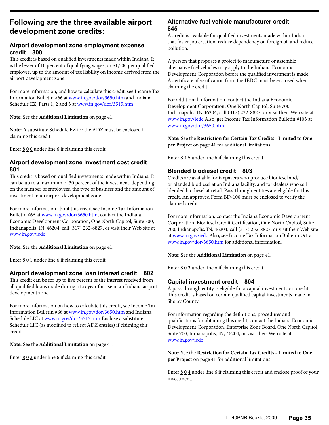# **Following are the three available airport development zone credits:**

### **Airport development zone employment expense credit 800**

This credit is based on qualified investments made within Indiana. It is the lesser of 10 percent of qualifying wages, or \$1,500 per qualified employee, up to the amount of tax liability on income derived from the airport development zone.

For more information, and how to calculate this credit, see Income Tax Information Bulletin #66 at www.in.gov/dor/3650.htm and Indiana Schedule EZ, Parts 1, 2 and 3 at [www.in.gov/dor/3515.htm](http://www.in.gov/dor/3515.htm)

**Note:** See the **Additional Limitation** on page 41.

**Note:** A substitute Schedule EZ for the ADZ must be enclosed if claiming this credit.

Enter  $800$  under line 6 if claiming this credit.

### **Airport development zone investment cost credit 801**

This credit is based on qualified investments made within Indiana. It can be up to a maximum of 30 percent of the investment, depending on the number of employees, the type of business and the amount of investment in an airport development zone.

For more information about this credit see Income Tax Information Bulletin #66 at [www.in.gov/dor/3650.htm,](http://www.in.gov/dor/3650.htm) contact the Indiana Economic Development Corporation, One North Capitol, Suite 700, Indianapolis, IN, 46204, call (317) 232-8827, or visit their Web site at [www.in.gov/iedc](http://www.in.gov/iedc/)

**Note:** See the **Additional Limitation** on page 41.

Enter  $801$  under line 6 if claiming this credit.

### **Airport development zone loan interest credit 802**

This credit can be for up to five percent of the interest received from all qualified loans made during a tax year for use in an Indiana airport development zone.

For more information on how to calculate this credit, see Income Tax Information Bulletin #66 at [www.in.gov/dor/3650.htm](http://www.in.gov/dor/3650.htm) and Indiana Schedule LIC at [www.in.gov/dor/3515.htm](http://www.in.gov/dor/3515.htm) Enclose a substitute Schedule LIC (as modified to reflect ADZ entries) if claiming this credit.

**Note:** See the **Additional Limitation** on page 41.

Enter  $\underline{8} \underline{0} \underline{2}$  under line 6 if claiming this credit.

### **Alternative fuel vehicle manufacturer credit 845**

A credit is available for qualified investments made within Indiana that foster job creation, reduce dependency on foreign oil and reduce pollution.

A person that proposes a project to manufacture or assemble alternative fuel vehicles may apply to the Indiana Economic Development Corporation before the qualified investment is made. A certificate of verification from the IEDC must be enclosed when claiming the credit.

For additional information, contact the Indiana Economic Development Corporation, One North Capitol, Suite 700, Indianapolis, IN 46204, call (317) 232-8827, or visit their Web site at [www.in.gov/iedc](http://www.in.gov/iedc) Also, get Income Tax Information Bulletin #103 at [www.in.gov/dor/3650.htm](http://www.in.gov/dor/3650.htm)

**Note:** See the **Restriction for Certain Tax Credits - Limited to One per Project** on page 41 for additional limitations.

Enter  $845$  under line 6 if claiming this credit.

## **Blended biodiesel credit 803**

Credits are available for taxpayers who produce biodiesel and/ or blended biodiesel at an Indiana facility, and for dealers who sell blended biodiesel at retail. Pass-through entities are eligible for this credit. An approved Form BD-100 must be enclosed to verify the claimed credit.

For more information, contact the Indiana Economic Development Corporation, Biodiesel Credit Certification, One North Capitol, Suite 700, Indianapolis, IN, 46204, call (317) 232-8827, or visit their Web site at [www.in.gov/iedc](http://www.in.gov/iedc/) Also, see Income Tax Information Bulletin #91 at [www.in.gov/dor/3650.htm](http://www.in.gov/dor/3650.htm) for additional information.

**Note:** See the **Additional Limitation** on page 41.

Enter  $\underline{8} \underline{0} \underline{3}$  under line 6 if claiming this credit.

### **Capital investment credit 804**

A pass-through entity is eligible for a capital investment cost credit. This credit is based on certain qualified capital investments made in Shelby County.

For information regarding the definitions, procedures and qualifications for obtaining this credit, contact the Indiana Economic Development Corporation, Enterprise Zone Board, One North Capitol, Suite 700, Indianapolis, IN, 46204, or visit their Web site at [www.in.gov/iedc](http://www.in.gov/iedc/)

**Note:** See the **Restriction for Certain Tax Credits - Limited to One per Project** on page 41 for additional limitations.

Enter  $\underline{8} \underline{0} \underline{4}$  under line 6 if claiming this credit and enclose proof of your investment.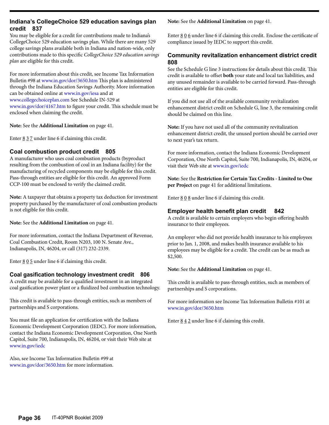#### **Indiana's CollegeChoice 529 education savings plan credit 837**

You may be eligible for a credit for contributions made to Indiana's CollegeChoice 529 education savings plan. While there are many 529 college savings plans available both in Indiana and nation-wide, only contributions made to this specific *CollegeChoice 529 education savings plan* are eligible for this credit.

For more information about this credit, see Income Tax Information Bulletin #98 at [www.in.gov/dor/3650.htm](http://www.in.gov/dor/3650.htm) This plan is administered through the Indiana Education Savings Authority. More information can be obtained online at [www.in.gov/iesa](http://www.in.gov/iesa/) and at [www.collegechoiceplan.com](http://www.collegechoiceplan.com/) See Schedule IN-529 at [www.in.gov/dor/4167.htm](http://www.in.gov/dor/4167.htm) to figure your credit. This schedule must be enclosed when claiming the credit.

**Note:** See the **Additional Limitation** on page 41.

Enter  $\underline{8}$   $\underline{3}$   $\underline{7}$  under line 6 if claiming this credit.

### **Coal combustion product credit 805**

A manufacturer who uses coal combustion products (byproduct resulting from the combustion of coal in an Indiana facility) for the manufacturing of recycled components may be eligible for this credit. Pass-through entities are eligible for this credit. An approved Form CCP-100 must be enclosed to verify the claimed credit.

**Note:** A taxpayer that obtains a property tax deduction for investment property purchased by the manufacturer of coal combustion products is not eligible for this credit.

**Note:** See the **Additional Limitation** on page 41.

For more information, contact the Indiana Department of Revenue, Coal Combustion Credit, Room N203, 100 N. Senate Ave., Indianapolis, IN, 46204, or call (317) 232-2339.

Enter  $\underline{8} \underline{0} \underline{5}$  under line 6 if claiming this credit.

#### **Coal gasification technology investment credit 806**

A credit may be available for a qualified investment in an integrated coal gasification power plant or a fluidized bed combustion technology.

This credit is available to pass-through entities, such as members of partnerships and S corporations.

You must file an application for certification with the Indiana Economic Development Corporation (IEDC). For more information, contact the Indiana Economic Development Corporation, One North Capitol, Suite 700, Indianapolis, IN, 46204, or visit their Web site at [www.in.gov/iedc](http://www.in.gov/iedc/)

Also, see Income Tax Information Bulletin #99 at [www.in.gov/dor/3650.htm](http://www.in.gov/dor/3650.htm) for more information.

**Note:** See the **Additional Limitation** on page 41.

Enter  $806$  under line 6 if claiming this credit. Enclose the certificate of compliance issued by IEDC to support this credit.

#### **Community revitalization enhancement district credit 808**

See the Schedule G line 3 instructions for details about this credit. This credit is available to offset **both** your state and local tax liabilities, and any unused remainder is available to be carried forward. Pass-through entities are eligible for this credit.

If you did not use all of the available community revitalization enhancement district credit on Schedule G, line 3, the remaining credit should be claimed on this line.

**Note:** If you have not used all of the community revitalization enhancement district credit, the unused portion should be carried over to next year's tax return.

For more information, contact the Indiana Economic Development Corporation, One North Capitol, Suite 700, Indianapolis, IN, 46204, or visit their Web site at www.in.gov/iedc

**Note:** See the **Restriction for Certain Tax Credits - Limited to One per Project** on page 41 for additional limitations.

Enter  $\underline{8} \underline{0} \underline{8}$  under line 6 if claiming this credit.

#### **Employer health benefit plan credit 842**

A credit is available to certain employers who begin offering health insurance to their employees.

An employer who did not provide health insurance to his employees prior to Jan. 1, 2008, and makes health insurance available to his employees may be eligible for a credit. The credit can be as much as \$2,500.

**Note:** See the **Additional Limitation** on page 41.

This credit is available to pass-through entities, such as members of partnerships and S corporations.

For more information see Income Tax Information Bulletin #101 at [www.in.gov/dor/3650.htm](http://www.in.gov/dor/3650.htm)

Enter  $\underline{8}$   $\underline{4}$   $\underline{2}$  under line 6 if claiming this credit.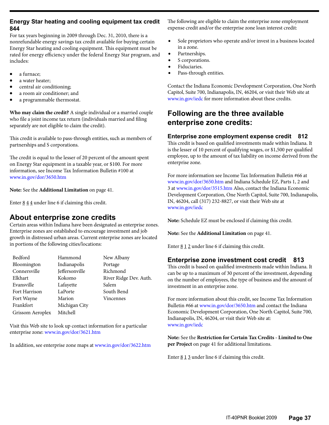#### **Energy Star heating and cooling equipment tax credit 844**

For tax years beginning in 2009 through Dec. 31, 2010, there is a nonrefundable energy savings tax credit available for buying certain Energy Star heating and cooling equipment. This equipment must be rated for energy efficiency under the federal Energy Star program, and includes:

- a furnace:
- a water heater;
- central air conditioning;
- a room air conditioner; and
- a programmable thermostat.

**Who may claim the credit?** A single individual or a married couple who file a joint income tax return (individuals married and filing separately are not eligible to claim the credit).

This credit is available to pass-through entities, such as members of partnerships and S corporations.

The credit is equal to the lesser of 20 percent of the amount spent on Energy Star equipment in a taxable year, or \$100. For more information, see Income Tax Information Bulletin #100 at [www.in.gov/dor/3650.htm](http://www.in.gov/dor/3650.htm)

**Note:** See the **Additional Limitation** on page 41.

Enter  $844$  under line 6 if claiming this credit.

# **About enterprise zone credits**

Certain areas within Indiana have been designated as enterprise zones. Enterprise zones are established to encourage investment and job growth in distressed urban areas. Current enterprise zones are located in portions of the following cities/locations:

| Bedford          | Hammond        | New Albany             |
|------------------|----------------|------------------------|
| Bloomington      | Indianapolis   | Portage                |
| Connersville     | Jeffersonville | Richmond               |
| Elkhart          | Kokomo         | River Ridge Dev. Auth. |
| Evansville       | Lafayette      | Salem                  |
| Fort Harrison    | LaPorte        | South Bend             |
| Fort Wayne       | Marion         | Vincennes              |
| Frankfort        | Michigan City  |                        |
| Grissom Aeroplex | Mitchell       |                        |

Visit this Web site to look up contact information for a particular enterprise zone: [www.in.gov/dor/3621.htm](http://www.in.gov/dor/3621.htm)

In addition, see enterprise zone maps at [www.in.gov/dor/3622.htm](http://www.in.gov/dor/3622.htm)

The following are eligible to claim the enterprise zone employment expense credit and/or the enterprise zone loan interest credit:

- Sole proprietors who operate and/or invest in a business located in a zone.
- Partnerships.
- S corporations.
- Fiduciaries.
- Pass-through entities.

Contact the Indiana Economic Development Corporation, One North Capitol, Suite 700, Indianapolis, IN, 46204, or visit their Web site at [www.in.gov/iedc](http://www.in.gov/iedc/) for more information about these credits.

# **Following are the three available enterprise zone credits:**

#### **Enterprise zone employment expense credit 812**

This credit is based on qualified investments made within Indiana. It is the lesser of 10 percent of qualifying wages, or \$1,500 per qualified employee, up to the amount of tax liability on income derived from the enterprise zone.

For more information see Income Tax Information Bulletin #66 at [www.in.gov/dor/3650.htm](http://www.in.gov/dor/3650.htm) and Indiana Schedule EZ, Parts 1, 2 and 3 at [www.in.gov/dor/3515.htm](http://www.in.gov/dor/3515.htm) Also, contact the Indiana Economic Development Corporation, One North Capitol, Suite 700, Indianapolis, IN, 46204, call (317) 232-8827, or visit their Web site at [www.in.gov/iedc](http://www.in.gov/iedc/)

**Note:** Schedule EZ must be enclosed if claiming this credit.

**Note:** See the **Additional Limitation** on page 41.

Enter  $\underline{8}$  1 2 under line 6 if claiming this credit.

### **Enterprise zone investment cost credit 813**

This credit is based on qualified investments made within Indiana. It can be up to a maximum of 30 percent of the investment, depending on the number of employees, the type of business and the amount of investment in an enterprise zone.

For more information about this credit, see Income Tax Information Bulletin #66 at [www.in.gov/dor/3650.htm](http://www.in.gov/dor/3650.htm) and contact the Indiana Economic Development Corporation, One North Capitol, Suite 700, Indianapolis, IN, 46204, or visit their Web site at: [www.in.gov/iedc](http://www.in.gov/iedc/)

**Note:** See the **Restriction for Certain Tax Credits - Limited to One per Project** on page 41 for additional limitations.

Enter  $813$  under line 6 if claiming this credit.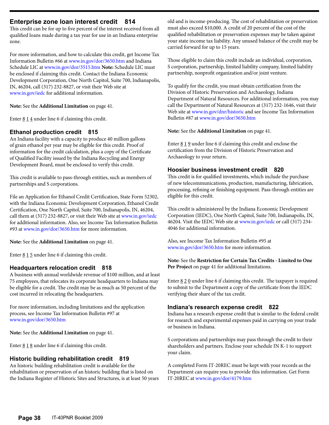### **Enterprise zone loan interest credit 814**

This credit can be for up to five percent of the interest received from all qualified loans made during a tax year for use in an Indiana enterprise zone.

For more information, and how to calculate this credit, get Income Tax Information Bulletin #66 at [www.in.gov/dor/3650.htm](http://www.in.gov/dor/3650.htm) and Indiana Schedule LIC at [www.in.gov/dor/3515.htm](http://www.in.gov/dor/3515.htm) **Note:** Schedule LIC must be enclosed if claiming this credit. Contact the Indiana Economic Development Corporation, One North Capitol, Suite 700, Indianapolis, IN, 46204, call (317) 232-8827, or visit their Web site at [www.in.gov/iedc](http://www.in.gov/iedc/) for additional information.

**Note:** See the **Additional Limitation** on page 41.

Enter  $\underline{8}$   $\underline{1}$   $\underline{4}$  under line 6 if claiming this credit.

### **Ethanol production credit 815**

An Indiana facility with a capacity to produce 40 million gallons of grain ethanol per year may be eligible for this credit. Proof of information for the credit calculation, plus a copy of the Certificate of Qualified Facility issued by the Indiana Recycling and Energy Development Board, must be enclosed to verify this credit.

This credit is available to pass-through entities, such as members of partnerships and S corporations.

File an Application for Ethanol Credit Certification, State Form 52302, with the Indiana Economic Development Corporation, Ethanol Credit Certification, One North Capitol, Suite 700, Indianapolis, IN, 46204, call them at (317) 232-8827, or visit their Web site at [www.in.gov/iedc](http://www.in.gov/iedc/) for additional information. Also, see Income Tax Information Bulletin #93 at [www.in.gov/dor/3650.htm](http://www.in.gov/dor/3650.htm) for more information.

**Note:** See the **Additional Limitation** on page 41.

Enter  $815$  under line 6 if claiming this credit.

### **Headquarters relocation credit 818**

A business with annual worldwide revenue of \$100 million, and at least 75 employees, that relocates its corporate headquarters to Indiana may be eligible for a credit. The credit may be as much as 50 percent of the cost incurred in relocating the headquarters.

For more information, including limitations and the application process, see Income Tax Information Bulletin #97 at [www.in.gov/dor/3650.htm](http://www.in.gov/dor/3650.htm)

**Note:** See the **Additional Limitation** on page 41.

Enter  $818$  under line 6 if claiming this credit.

## **Historic building rehabilitation credit 819**

An historic building rehabilitation credit is available for the rehabilitation or preservation of an historic building that is listed on the Indiana Register of Historic Sites and Structures, is at least 50 years old and is income-producing. The cost of rehabilitation or preservation must also exceed \$10,000. A credit of 20 percent of the cost of the qualified rehabilitation or preservation expenses may be taken against your state income tax liability. Any unused balance of the credit may be carried forward for up to 15 years.

Those eligible to claim this credit include an individual, corporation, S corporation, partnership, limited liability company, limited liability partnership, nonprofit organization and/or joint venture.

To qualify for the credit, you must obtain certification from the Division of Historic Preservation and Archaeology, Indiana Department of Natural Resources. For additional information, you may call the Department of Natural Resources at (317) 232-1646, visit their Web site at [www.in.gov/dnr/historic](http://www.in.gov/dnr/historic/) and see Income Tax Information Bulletin #87 at [www.in.gov/dor/3650.htm](http://www.in.gov/dor/3650.htm)

### **Note:** See the **Additional Limitation** on page 41.

Enter  $\underline{8}$  1  $\underline{9}$  under line 6 if claiming this credit and enclose the certification from the Division of Historic Preservation and Archaeology to your return.

### **Hoosier business investment credit 820**

This credit is for qualified investments, which include the purchase of new telecommunications, production, manufacturing, fabrication, processing, refining or finishing equipment. Pass-through entities are eligible for this credit.

This credit is administered by the Indiana Economic Development Corporation (IEDC), One North Capitol, Suite 700, Indianapolis, IN, 46204. Visit the IEDC Web site at [www.in.gov/iedc](http://www.in.gov/iedc/) or call (317) 234- 4046 for additional information.

Also, see Income Tax Information Bulletin #95 at [www.in.gov/dor/3650.htm](http://www.in.gov/dor/3650.htm) for more information.

#### **Note:** See the **Restriction for Certain Tax Credits - Limited to One Per Project** on page 41 for additional limitations.

Enter  $820$  under line 6 if claiming this credit. The taxpayer is required to submit to the Department a copy of the certificate from the IEDC verifying their share of the tax credit.

### **Indiana's research expense credit 822**

Indiana has a research expense credit that is similar to the federal credit for research and experimental expenses paid in carrying on your trade or business in Indiana.

S corporations and partnerships may pass through the credit to their shareholders and partners. Enclose your schedule IN K-1 to support your claim.

A completed Form IT-20REC must be kept with your records as the Department can require you to provide this information. Get Form IT-20REC at [www.in.gov/dor/4179.htm](http://www.in.gov/dor/4179.htm)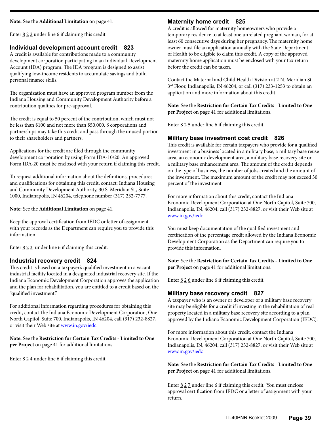#### **Note:** See the **Additional Limitation** on page 41.

Enter  $\underline{8}$  2  $\underline{2}$  under line 6 if claiming this credit.

#### **Individual development account credit 823**

A credit is available for contributions made to a community development corporation participating in an Individual Development Account (IDA) program. The IDA program is designed to assist qualifying low-income residents to accumulate savings and build personal finance skills.

The organization must have an approved program number from the Indiana Housing and Community Development Authority before a contribution qualifies for pre-approval.

The credit is equal to 50 percent of the contribution, which must not be less than \$100 and not more than \$50,000. S corporations and partnerships may take this credit and pass through the unused portion to their shareholders and partners.

Applications for the credit are filed through the community development corporation by using Form IDA-10/20. An approved Form IDA-20 must be enclosed with your return if claiming this credit.

To request additional information about the definitions, procedures and qualifications for obtaining this credit, contact: Indiana Housing and Community Development Authority, 30 S. Meridian St., Suite 1000, Indianapolis, IN 46204, telephone number (317) 232-7777.

**Note:** See the **Additional Limitation** on page 41.

Keep the approval certification from IEDC or letter of assignment with your records as the Department can require you to provide this information.

Enter  $\underline{8}$  2  $\underline{3}$  under line 6 if claiming this credit.

#### **Industrial recovery credit 824**

This credit is based on a taxpayer's qualified investment in a vacant industrial facility located in a designated industrial recovery site. If the Indiana Economic Development Corporation approves the application and the plan for rehabilitation, you are entitled to a credit based on the "qualified investment."

For additional information regarding procedures for obtaining this credit, contact the Indiana Economic Development Corporation, One North Capitol, Suite 700, Indianapolis, IN 46204, call (317) 232-8827, or visit their Web site at www.in.gov/iedc

**Note:** See the **Restriction for Certain Tax Credits - Limited to One per Project** on page 41 for additional limitations.

Enter  $\underline{8}$  2  $\underline{4}$  under line 6 if claiming this credit.

#### **Maternity home credit 825**

A credit is allowed for maternity homeowners who provide a temporary residence to at least one unrelated pregnant woman, for at least 60 consecutive days during her pregnancy. The maternity home owner must file an application annually with the State Department of Health to be eligible to claim this credit. A copy of the approved maternity home application must be enclosed with your tax return before the credit can be taken.

Contact the Maternal and Child Health Division at 2 N. Meridian St. 3rd Floor, Indianapolis, IN 46204, or call (317) 233-1253 to obtain an application and more information about this credit.

**Note:** See the **Restriction for Certain Tax Credits - Limited to One per Project** on page 41 for additional limitations.

Enter  $\underline{8}$  2 5 under line 6 if claiming this credit.

#### **Military base investment cost credit 826**

This credit is available for certain taxpayers who provide for a qualified investment in a business located in a military base, a military base reuse area, an economic development area, a military base recovery site or a military base enhancement area. The amount of the credit depends on the type of business, the number of jobs created and the amount of the investment. The maximum amount of the credit may not exceed 30 percent of the investment.

For more information about this credit, contact the Indiana Economic Development Corporation at One North Capitol, Suite 700, Indianapolis, IN, 46204, call (317) 232-8827, or visit their Web site at www.in.gov/iedc

You must keep documentation of the qualified investment and certification of the percentage credit allowed by the Indiana Economic Development Corporation as the Department can require you to provide this information.

**Note:** See the **Restriction for Certain Tax Credits - Limited to One per Project** on page 41 for additional limitations.

Enter  $\underline{8}$  2 $\underline{6}$  under line 6 if claiming this credit.

#### **Military base recovery credit 827**

A taxpayer who is an owner or developer of a military base recovery site may be eligible for a credit if investing in the rehabilitation of real property located in a military base recovery site according to a plan approved by the Indiana Economic Development Corporation (IEDC).

For more information about this credit, contact the Indiana Economic Development Corporation at One North Capitol, Suite 700, Indianapolis, IN, 46204, call (317) 232-8827, or visit their Web site at www.in.gov/iedc

**Note:** See the **Restriction for Certain Tax Credits - Limited to One per Project** on page 41 for additional limitations.

Enter 8 2 7 under line 6 if claiming this credit. You must enclose approval certification from IEDC or a letter of assignment with your return.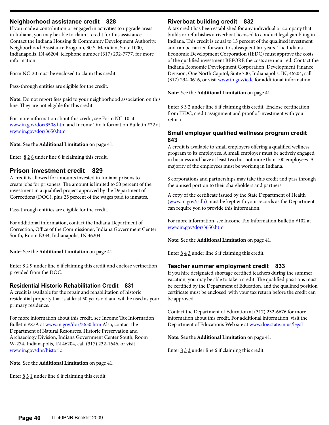#### **Neighborhood assistance credit 828**

If you made a contribution or engaged in activities to upgrade areas in Indiana, you may be able to claim a credit for this assistance. Contact the Indiana Housing & Community Development Authority, Neighborhood Assistance Program, 30 S. Meridian, Suite 1000, Indianapolis, IN 46204, telephone number (317) 232-7777, for more information.

Form NC-20 must be enclosed to claim this credit.

Pass-through entities are eligible for the credit.

**Note:** Do not report fees paid to your neighborhood association on this line. They are not eligible for this credit.

For more information about this credit, see Form NC-10 at [www.in.gov/dor/3508.htm](http://www.in.gov/dor/3508.htm) and Income Tax Information Bulletin #22 at www.in.gov/dor/3650.htm

**Note:** See the **Additional Limitation** on page 41.

Enter  $828$  under line 6 if claiming this credit.

### **Prison investment credit 829**

A credit is allowed for amounts invested in Indiana prisons to create jobs for prisoners. The amount is limited to 50 percent of the investment in a qualified project approved by the Department of Corrections (DOC), plus 25 percent of the wages paid to inmates.

Pass-through entities are eligible for the credit.

For additional information, contact the Indiana Department of Correction, Office of the Commissioner, Indiana Government Center South, Room E334, Indianapolis, IN 46204.

#### **Note:** See the **Additional Limitation** on page 41.

Enter  $829$  under line 6 if claiming this credit and enclose verification provided from the DOC.

#### **Residential Historic Rehabilitation Credit 831**

A credit is available for the repair and rehabilitation of historic residential property that is at least 50 years old and will be used as your primary residence.

For more information about this credit, see Income Tax Information Bulletin #87A at www.in.gov/dor/3650.htm Also, contact the Department of Natural Resources, Historic Preservation and Archaeology Division, Indiana Government Center South, Room W-274, Indianapolis, IN 46204, call (317) 232-1646, or visit www.in.gov/dnr/historic

**Note:** See the **Additional Limitation** on page 41.

Enter  $\underline{8}$   $\underline{3}$   $\underline{1}$  under line 6 if claiming this credit.

#### **Riverboat building credit 832**

A tax credit has been established for any individual or company that builds or refurbishes a riverboat licensed to conduct legal gambling in Indiana. This credit is equal to 15 percent of the qualified investment and can be carried forward to subsequent tax years. The Indiana Economic Development Corporation (IEDC) must approve the costs of the qualified investment BEFORE the costs are incurred. Contact the Indiana Economic Development Corporation, Development Finance Division, One North Capitol, Suite 700, Indianapolis, IN, 46204, call (317) 234-0616, or visit www.in.gov/iedc for additional information.

**Note:** See the **Additional Limitation** on page 41.

Enter 8 3 2 under line 6 if claiming this credit. Enclose certification from IEDC, credit assignment and proof of investment with your return.

#### **Small employer qualified wellness program credit 843**

A credit is available to small employers offering a qualified wellness program to its employees. A small employer must be actively engaged in business and have at least two but not more than 100 employees. A majority of the employees must be working in Indiana.

S corporations and partnerships may take this credit and pass through the unused portion to their shareholders and partners.

A copy of the certificate issued by the State Department of Health (www.in.gov/isdh) must be kept with your records as the Department can require you to provide this information.

For more information, see Income Tax Information Bulletin #102 at www.in.gov/dor/3650.htm

**Note:** See the **Additional Limitation** on page 41.

Enter  $\underline{8}$   $\underline{4}$   $\underline{3}$  under line 6 if claiming this credit.

#### **Teacher summer employment credit 833**

If you hire designated shortage certified teachers during the summer vacation, you may be able to take a credit. The qualified positions must be certified by the Department of Education, and the qualified position certificate must be enclosed with your tax return before the credit can be approved.

Contact the Department of Education at (317) 232-6676 for more information about this credit. For additional information, visit the Department of Education's Web site at www.doe.state.in.us/legal

**Note:** See the **Additional Limitation** on page 41.

Enter  $\underline{8}$   $\underline{3}$   $\underline{3}$  under line 6 if claiming this credit.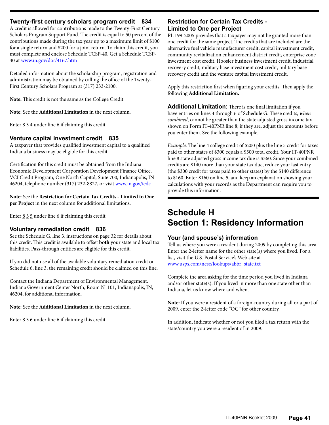#### **Twenty-first century scholars program credit 834**

A credit is allowed for contributions made to the Twenty-First Century Scholars Program Support Fund. The credit is equal to 50 percent of the contributions made during the tax year up to a maximum limit of \$100 for a single return and \$200 for a joint return. To claim this credit, you must complete and enclose Schedule TCSP-40. Get a Schedule TCSP-40 at [www.in.gov/dor/4167.htm](http://www.in.gov/dor/4167.htm)

Detailed information about the scholarship program, registration and administration may be obtained by calling the office of the Twenty-First Century Scholars Program at (317) 233-2100.

**Note:** This credit is not the same as the College Credit.

**Note:** See the **Additional Limitation** in the next column.

Enter  $\underline{8}$   $\underline{3}$   $\underline{4}$  under line 6 if claiming this credit.

#### **Venture capital investment credit 835**

A taxpayer that provides qualified investment capital to a qualified Indiana business may be eligible for this credit.

Certification for this credit must be obtained from the Indiana Economic Development Corporation Development Finance Office, VCI Credit Program, One North Capitol, Suite 700, Indianapolis, IN 46204, telephone number (317) 232-8827, or visit www.in.gov/iedc

**Note:** See the **Restriction for Certain Tax Credits - Limited to One per Project** in the next column for additional limitations.

Enter  $\underline{8}$   $\underline{3}$   $\underline{5}$  under line 6 if claiming this credit.

#### **Voluntary remediation credit 836**

See the Schedule G, line 3, instructions on page 32 for details about this credit. This credit is available to offset **both** your state and local tax liabilities. Pass-through entities are eligible for this credit.

If you did not use all of the available voluntary remediation credit on Schedule 6, line 3, the remaining credit should be claimed on this line.

Contact the Indiana Department of Environmental Management, Indiana Government Center North, Room N1101, Indianapolis, IN, 46204, for additional information.

**Note:** See the **Additional Limitation** in the next column.

Enter  $\underline{8}$   $\underline{3}$   $\underline{6}$  under line 6 if claiming this credit.

#### **Restriction for Certain Tax Credits - Limited to One per Project**

PL 199-2005 provides that a taxpayer may not be granted more than one credit for the same project. The credits that are included are the alternative fuel vehicle manufacturer credit, capital investment credit, community revitalization enhancement district credit, enterprise zone investment cost credit, Hoosier business investment credit, industrial recovery credit, military base investment cost credit, military base recovery credit and the venture capital investment credit.

Apply this restriction first when figuring your credits. Then apply the following **Additional Limitation.**

**Additional Limitation:** There is one final limitation if you have entries on lines 4 through 6 of Schedule G. These credits, *when combined*, cannot be greater than the state adjusted gross income tax shown on Form IT-40PNR line 8; if they are, adjust the amounts before you enter them. See the following example.

*Example.* The line 4 college credit of \$200 plus the line 5 credit for taxes paid to other states of \$300 equals a \$500 total credit. Your IT-40PNR line 8 state adjusted gross income tax due is \$360. Since your combined credits are \$140 more than your state tax due, reduce your last entry (the \$300 credit for taxes paid to other states) by the \$140 difference to \$160. Enter \$160 on line 5, and keep an explanation showing your calculations with your records as the Department can require you to provide this information.

# **Schedule H Section 1: Residency Information**

#### **Your (and spouse's) information**

Tell us where you were a resident during 2009 by completing this area. Enter the 2-letter name for the other state(s) where you lived. For a list, visit the U.S. Postal Service's Web site at [www.usps.com/ncsc/lookups/abbr\\_state.txt](http://www.usps.com/ncsc/lookups/abbr_state.txt)

Complete the area asking for the time period you lived in Indiana and/or other state(s). If you lived in more than one state other than Indiana, let us know where and when.

**Note:** If you were a resident of a foreign country during all or a part of 2009, enter the 2-letter code "OC" for other country.

In addition, indicate whether or not you filed a tax return with the state/country you were a resident of in 2009.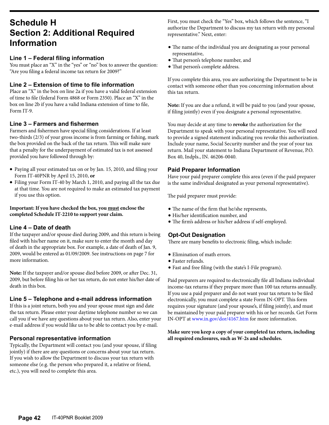# **Schedule H Section 2: Additional Required Information**

#### **Line 1 – Federal filing information**

You must place an "X" in the "yes" or "no" box to answer the question: "Are you filing a federal income tax return for 2009?"

#### **Line 2 – Extension of time to file information**

Place an "X" in the box on line 2a if you have a valid federal extension of time to file (federal Form 4868 or Form 2350). Place an "X" in the box on line 2b if you have a valid Indiana extension of time to file, Form IT-9.

#### **Line 3 – Farmers and fishermen**

Farmers and fishermen have special filing considerations. If at least two-thirds (2/3) of your gross income is from farming or fishing, mark the box provided on the back of the tax return. This will make sure that a penalty for the underpayment of estimated tax is not assessed provided you have followed through by:

- • Paying all your estimated tax on or by Jan. 15, 2010, and filing your Form IT-40PNR by April 15, 2010, **or**
- Filing your Form IT-40 by March 1, 2010, and paying all the tax due at that time. You are not required to make an estimated tax payment if you use this option.

**Important: If you have checked the box, you must enclose the completed Schedule IT-2210 to support your claim.**

#### **Line 4 – Date of death**

If the taxpayer and/or spouse died during 2009, and this return is being filed with his/her name on it, make sure to enter the month and day of death in the appropriate box. For example, a date of death of Jan. 9, 2009, would be entered as 01/09/2009. See instructions on page 7 for more information.

**Note:** If the taxpayer and/or spouse died before 2009, or after Dec. 31, 2009, but before filing his or her tax return, do not enter his/her date of death in this box.

#### **Line 5 – Telephone and e-mail address information**

If this is a joint return, both you and your spouse must sign and date the tax return. Please enter your daytime telephone number so we can call you if we have any questions about your tax return. Also, enter your e-mail address if you would like us to be able to contact you by e-mail.

#### **Personal representative information**

Typically, the Department will contact you (and your spouse, if filing jointly) if there are any questions or concerns about your tax return. If you wish to allow the Department to discuss your tax return with someone else (e.g. the person who prepared it, a relative or friend, etc.), you will need to complete this area.

First, you must check the "Yes" box, which follows the sentence, "I authorize the Department to discuss my tax return with my personal representative." Next, enter:

- The name of the individual you are designating as your personal representative,
- • That person's telephone number, and
- That person's complete address.

If you complete this area, you are authorizing the Department to be in contact with someone other than you concerning information about this tax return.

**Note:** If you are due a refund, it will be paid to you (and your spouse, if filing jointly) even if you designate a personal representative.

You may decide at any time to **revoke** the authorization for the Department to speak with your personal representative. You will need to provide a signed statement indicating you revoke this authorization. Include your name, Social Security number and the year of your tax return. Mail your statement to Indiana Department of Revenue, P.O. Box 40, Indpls., IN. 46206-0040.

#### **Paid Preparer Information**

Have your paid preparer complete this area (even if the paid preparer is the same individual designated as your personal representative).

The paid preparer must provide:

- The name of the firm that he/she represents,
- • His/her identification number, and
- • The firm's address or his/her address if self-employed.

#### **Opt-Out Designation**

There are many benefits to electronic filing, which include:

- • Elimination of math errors.
- • Faster refunds.
- • Fast and free filing (with the state's I-File program).

Paid preparers are required to electronically file all Indiana individual income-tax returns if they prepare more than 100 tax returns annually. If you use a paid preparer and do not want your tax return to be filed electronically, you must complete a state Form IN-OPT. This form requires your signature (and your spouse's, if filing jointly), and must be maintained by your paid preparer with his or her records. Get Form IN-OPT at [www.in.gov/dor/4167.htm](http://www.in.gov/dor/4167.htm) for more information.

**Make sure you keep a copy of your completed tax return, including all required enclosures, such as W-2s and schedules.**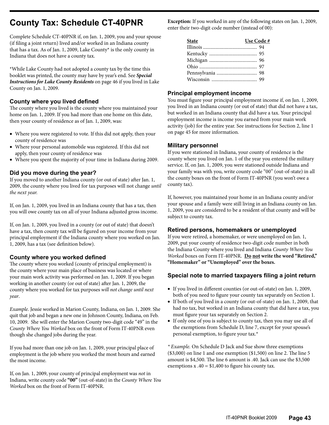# **County Tax: Schedule CT-40PNR**

Complete Schedule CT-40PNR if, on Jan. 1, 2009, you and your spouse (if filing a joint return) lived and/or worked in an Indiana county that has a tax. As of Jan. 1, 2009, Lake County\* is the only county in Indiana that does not have a county tax.

\*While Lake County had not adopted a county tax by the time this booklet was printed, the county may have by year's end. See *Special Instructions for Lake County Residents* on page 46 if you lived in Lake County on Jan. 1, 2009.

### **County where you lived defined**

The county where you lived is the county where you maintained your home on Jan. 1, 2009. If you had more than one home on this date, then your county of residence as of Jan. 1, 2009, was:

- Where you were registered to vote. If this did not apply, then your county of residence was
- • Where your personal automobile was registered. If this did not apply, then your county of residence was
- Where you spent the majority of your time in Indiana during 2009.

### **Did you move during the year?**

If you moved to another Indiana county (or out of state) after Jan. 1, 2009, the county where you lived for tax purposes will not change *until the next year.*

If, on Jan. 1, 2009, you lived in an Indiana county that has a tax, then you will owe county tax on all of your Indiana adjusted gross income.

If, on Jan. 1, 2009, you lived in a county (or out of state) that doesn't have a tax, then county tax will be figured on your income from your principal employment if the Indiana county where you worked on Jan. 1, 2009, has a tax (see definition below).

#### **County where you worked defined**

The county where you worked (county of principal employment) is the county where your main place of business was located or where your main work activity was performed on Jan. 1, 2009. If you began working in another county (or out of state) after Jan. 1, 2009, the county where you worked for tax purposes *will not change until next year*.

*Example.* Jessie worked in Marion County, Indiana, on Jan. 1, 2009. She quit that job and began a new one in Johnson County, Indiana, on Feb. 10, 2009. She will enter the Marion County two-digit code "49" in the *County Where You Worked* box on the front of Form IT-40PNR even though she changed jobs during the year.

If you had more than one job on Jan. 1, 2009, your principal place of employment is the job where you worked the most hours and earned the most income.

If, on Jan. 1, 2009, your county of principal employment was *not* in Indiana, write county code **"00"** (out-of-state) in the *County Where You Worked* box on the front of Form IT-40PNR.

**Exception:** If you worked in any of the following states on Jan. 1, 2009, enter their two-digit code number (instead of 00):

| <b>State</b> | Use Code# |
|--------------|-----------|
|              |           |
|              |           |
|              |           |
|              |           |
|              |           |
|              |           |
|              |           |

#### **Principal employment income**

You must figure your principal employment income if, on Jan. 1, 2009, you lived in an Indiana county (or out of state) that did not have a tax, but worked in an Indiana county that did have a tax. Your principal employment income is income you earned from your main work activity (job) for the entire year. See instructions for Section 2, line 1 on page 45 for more information.

#### **Military personnel**

If you were stationed in Indiana, your county of residence is the county where you lived on Jan. 1 of the year you entered the military service. If, on Jan. 1, 2009, you were stationed outside Indiana and your family was with you, write county code "00" (out-of-state) in all the county boxes on the front of Form IT-40PNR (you won't owe a county tax).

If, however, you maintained your home in an Indiana county and/or your spouse and a family were still living in an Indiana county on Jan. 1, 2009, you are considered to be a resident of that county and will be subject to county tax.

#### **Retired persons, homemakers or unemployed**

If you were retired, a homemaker, or were unemployed on Jan. 1, 2009, put your county of residence two-digit code number in both the Indiana County where you lived and Indiana *County Where You Worked* boxes on Form IT-40PNR. **Do not write the word "Retired," "Homemaker" or "Unemployed" over the boxes.**

#### **Special note to married taxpayers filing a joint return**

- If you lived in different counties (or out-of-state) on Jan. 1, 2009, both of you need to figure your county tax separately on Section 1.
- If both of you lived in a county (or out-of-state) on Jan. 1, 2009, that had no tax, but worked in an Indiana county that did have a tax, you must figure your tax separately on Section 2.
- If only one of you is subject to county tax, then you may use all of the exemptions from Schedule D, line 7, except for your spouse's personal exemption, to figure your tax.\*

*\* Example.* On Schedule D Jack and Sue show three exemptions (\$3,000) on line 1 and one exemption (\$1,500) on line 2. The line 5 amount is \$4,500. The line 6 amount is .40. Jack can use the \$3,500 exemptions  $x .40 = $1,400$  to figure his county tax.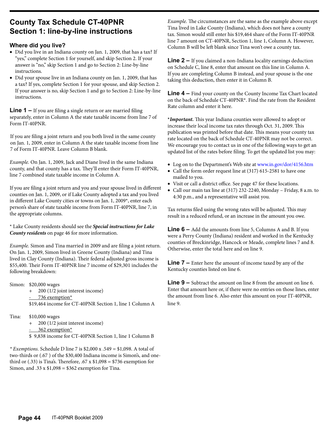# **County Tax Schedule CT-40PNR Section 1: line-by-line instructions**

#### **Where did you live?**

- Did you live in an Indiana county on Jan. 1, 2009, that has a tax? If "yes," complete Section 1 for yourself, and skip Section 2. If your answer is "no," skip Section 1 and go to Section 2: Line-by-line instructions.
- Did your spouse live in an Indiana county on Jan. 1, 2009, that has a tax? If yes, complete Section 1 for your spouse, and skip Section 2. If your answer is no, skip Section 1 and go to Section 2: Line-by-line instructions.

**Line 1 –** If you are filing a single return or are married filing separately, enter in Column A the state taxable income from line 7 of Form IT-40PNR.

If you are filing a joint return and you both lived in the same county on Jan. 1, 2009, enter in Column A the state taxable income from line 7 of Form IT-40PNR. Leave Column B blank.

*Example.* On Jan. 1, 2009, Jack and Diane lived in the same Indiana county, and that county has a tax. They'll enter their Form IT-40PNR, line 7 combined state taxable income in Column A.

If you are filing a joint return and you and your spouse lived in different counties on Jan. 1, 2009, or if Lake County adopted a tax and you lived in different Lake County cities or towns on Jan. 1, 2009\*, enter each person's share of state taxable income from Form IT-40PNR, line 7, in the appropriate columns.

\* Lake County residents should see the *Special instructions for Lake County residents* on page 46 for more information.

*Example.* Simon and Tina married in 2009 and are filing a joint return. On Jan. 1, 2009, Simon lived in Greene County (Indiana) and Tina lived in Clay County (Indiana). Their federal adjusted gross income is \$55,400. Their Form IT-40PNR line 7 income of \$29,301 includes the following breakdown:

Simon: \$20,000 wages

+ 200 (1/2 joint interest income) 736 exemption\* \$19,464 income for CT-40PNR Section 1, line 1 Column A

```
Tina: $10,000 wages
```
+ 200 (1/2 joint interest income)

```
362 exemption*
```
\$ 9,838 income for CT-40PNR Section 1, line 1 Column B

*\* Exemptions.* Schedule D line 7 is \$2,000 x .549 = \$1,098. A total of two-thirds or (.67 ) of the \$30,400 Indiana income is Simon's, and onethird or  $(.33)$  is Tina's. Therefore,  $.67 \times \$1,098 = \$736$  exemption for Simon, and .33 x  $$1,098 = $362$  exemption for Tina.

*Example.* The circumstances are the same as the example above except Tina lived in Lake County (Indiana), which does not have a county tax. Simon would still enter his \$19,464 share of the Form IT-40PNR line 7 amount on CT-40PNR, Section 1, line 1, Column A. However, Column B will be left blank since Tina won't owe a county tax.

**Line 2 –** If you claimed a non-Indiana locality earnings deduction on Schedule C, line 8, enter that amount on this line in Column A. If you are completing Column B instead, and your spouse is the one taking this deduction, then enter it in Column B.

**Line 4 –** Find your county on the County Income Tax Chart located on the back of Schedule CT-40PNR\*. Find the rate from the Resident Rate column and enter it here.

**\****Important.* This year Indiana counties were allowed to adopt or increase their local income tax rates through Oct. 31, 2009. This publication was printed before that date. This means your county tax rate located on the back of Schedule CT-40PNR may not be correct. We encourage you to contact us in one of the following ways to get an updated list of the rates before filing. To get the updated list you may:

- Log on to the Department's Web site at [www.in.gov/dor/4156.htm](http://www.in.gov/dor/4156.htm)
- Call the form order request line at (317) 615-2581 to have one mailed to you.
- Visit or call a district office. See page 47 for these locations.
- • Call our main tax line at (317) 232-2240, Monday Friday, 8 a.m. to 4:30 p.m., and a representative will assist you.

Tax returns filed using the wrong rates will be adjusted. This may result in a reduced refund, or an increase in the amount you owe.

**Line 6 –** Add the amounts from line 5, Columns A and B. If you were a Perry County (Indiana) resident and worked in the Kentucky counties of Breckinridge, Hancock or Meade, complete lines 7 and 8. Otherwise, enter the total here and on line 9.

**Line 7 –** Enter here the amount of income taxed by any of the Kentucky counties listed on line 6.

**Line 9 –** Subtract the amount on line 8 from the amount on line 6. Enter that amount here or, if there were no entries on those lines, enter the amount from line 6. Also enter this amount on your IT-40PNR, line 9.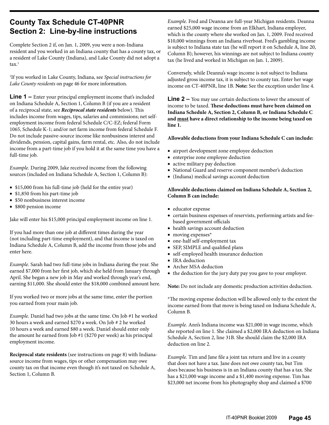# **County Tax Schedule CT-40PNR Section 2: Line-by-line instructions**

Complete Section 2 if, on Jan. 1, 2009, you were a non-Indiana resident and you worked in an Indiana county that has a county tax, or a resident of Lake County (Indiana), and Lake County did not adopt a ta $x<sup>1</sup>$ 

1 If you worked in Lake County, Indiana, see *Special instructions for Lake County residents* on page 46 for more information.

**Line 1** – Enter your principal employment income that's included on Indiana Schedule A, Section 1, Column B (if you are a resident of a reciprocal state, see *Reciprocal state residents* below). This includes income from wages, tips, salaries and commissions; net selfemployment income from federal Schedule C/C-EZ; federal Form 1065, Schedule K-1; and/or net farm income from federal Schedule F. Do not include passive-source income like nonbusiness interest and dividends, pension, capital gains, farm rental, etc. Also, do not include income from a part-time job if you hold it at the same time you have a full-time job.

*Example.* During 2009, Jake received income from the following sources (included on Indiana Schedule A, Section 1, Column B):

- \$15,000 from his full-time job (held for the entire year)
- \$1,850 from his part-time job
- \$50 nonbusiness interest income
- \$800 pension income

Jake will enter his \$15,000 principal employment income on line 1.

If you had more than one job at different times during the year (not including part-time employment), and that income is taxed on Indiana Schedule A, Column B, add the income from those jobs and enter here.

*Example.* Sarah had two full-time jobs in Indiana during the year. She earned \$7,000 from her first job, which she held from January through April. She began a new job in May and worked through year's end, earning \$11,000. She should enter the \$18,000 combined amount here.

If you worked two or more jobs at the same time, enter the portion you earned from your main job.

*Example.* Daniel had two jobs at the same time. On Job #1 he worked 30 hours a week and earned \$270 a week. On Job # 2 he worked 10 hours a week and earned \$80 a week. Daniel should enter only the amount he earned from Job #1 (\$270 per week) as his principal employment income.

**Reciprocal state residents** (see instructions on page 8) with Indianasource income from wages, tips or other compensation may owe county tax on that income even though it's not taxed on Schedule A, Section 1, Column B.

*Example.* Fred and Deanna are full-year Michigan residents. Deanna earned \$25,000 wage income from an Elkhart, Indiana employer, which is the county where she worked on Jan. 1, 2009. Fred received \$10,000 winnings from an Indiana riverboat. Fred's gambling income is subject to Indiana state tax (he will report it on Schedule A, line 20, Column B); however, his winnings are not subject to Indiana county tax (he lived and worked in Michigan on Jan. 1, 2009).

Conversely, while Deanna's wage income is not subject to Indiana adjusted gross income tax, it is subject to county tax. Enter her wage income on CT-40PNR, line 1B. **Note:** See the exception under line 4.

**Line 2 –** You may use certain deductions to lower the amount of income to be taxed. **These deductions must have been claimed on Indiana Schedule A, Section 2, Column B, or Indiana Schedule C and must have a direct relationship to the income being taxed on line 1.**

#### **Allowable deductions from your Indiana Schedule C can include:**

- • airport development zone employee deduction
- enterprise zone employee deduction
- active military pay deduction
- • National Guard and reserve component member's deduction
- • (Indiana) medical savings account deduction

#### **Allowable deductions claimed on Indiana Schedule A, Section 2, Column B can include:**

- • educator expense
- certain business expenses of reservists, performing artists and feebased government officials
- health savings account deduction
- moving expenses\*
- one-half self-employment tax
- SEP, SIMPLE and qualified plans
- self-employed health insurance deduction
- IRA deduction
- Archer MSA deduction
- the deduction for the jury duty pay you gave to your employer.

**Note:** Do not include any domestic production activities deduction.

\*The moving expense deduction will be allowed only to the extent the income earned from that move is being taxed on Indiana Schedule A, Column B.

*Example.* Ann's Indiana income was \$21,000 in wage income, which she reported on line 1. She claimed a \$2,000 IRA deduction on Indiana Schedule A, Section 2, line 31B. She should claim the \$2,000 IRA deduction on line 2.

*Example.* Tim and Jane file a joint tax return and live in a county that does not have a tax. Jane does not owe county tax, but Tim does because his business is in an Indiana county that has a tax. She has a \$21,000 wage income and a \$1,400 moving expense. Tim has \$23,000 net income from his photography shop and claimed a \$700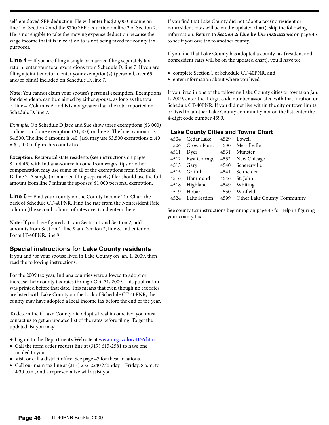self-employed SEP deduction. He will enter his \$23,000 income on line 1 of Section 2 and the \$700 SEP deduction on line 2 of Section 2. He is not eligible to take the moving expense deduction because the wage income that it is in relation to is not being taxed for county tax purposes.

**Line 4 –** If you are filing a single or married filing separately tax return, enter your total exemptions from Schedule D, line 7. If you are filing a joint tax return, enter your exemption(s) (personal, over 65 and/or blind) included on Schedule D, line 7.

**Note:** You cannot claim your spouse's personal exemption. Exemptions for dependents can be claimed by either spouse, as long as the total of line 4, Columns A and B is not greater than the total reported on Schedule D, line 7.

*Example.* On Schedule D Jack and Sue show three exemptions (\$3,000) on line 1 and one exemption (\$1,500) on line 2. The line 5 amount is \$4,500. The line 6 amount is .40. Jack may use \$3,500 exemptions x .40 = \$1,400 to figure his county tax.

**Exception.** Reciprocal state residents (see instructions on pages 8 and 45) with Indiana-source income from wages, tips or other compensation may use some or all of the exemptions from Schedule D, line 7. A single (or married filing separately) filer should use the full amount from line 7 minus the spouses' \$1,000 personal exemption.

**Line 6 –** Find your county on the County Income Tax Chart the back of Schedule CT-40PNR. Find the rate from the Nonresident Rate column (the second column of rates over) and enter it here.

**Note:** If you have figured a tax in Section 1 and Section 2, add amounts from Section 1, line 9 and Section 2, line 8, and enter on Form IT-40PNR, line 9.

### **Special instructions for Lake County residents**

If you and /or your spouse lived in Lake County on Jan. 1, 2009, then read the following instructions.

For the 2009 tax year, Indiana counties were allowed to adopt or increase their county tax rates through Oct. 31, 2009. This publication was printed before that date. This means that even though no tax rates are listed with Lake County on the back of Schedule CT-40PNR, the county may have adopted a local income tax before the end of the year.

To determine if Lake County did adopt a local income tax, you must contact us to get an updated list of the rates before filing. To get the updated list you may:

- Log on to the Department's Web site at [www.in.gov/dor/4156.htm](http://www.in.gov/dor/4156.htm)
- Call the form order request line at (317) 615-2581 to have one mailed to you.
- Visit or call a district office. See page 47 for these locations.
- • Call our main tax line at (317) 232-2240 Monday Friday, 8 a.m. to 4:30 p.m., and a representative will assist you.

If you find that Lake County did not adopt a tax (no resident or nonresident rates will be on the updated chart), skip the following information. Return to *Section 2: Line-by-line instructions* on page 45 to see if you owe tax to another county.

If you find that Lake County has adopted a county tax (resident and nonresident rates will be on the updated chart), you'll have to:

- • complete Section 1 of Schedule CT-40PNR, and
- enter information about where you lived.

If you lived in one of the following Lake County cities or towns on Jan. 1, 2009, enter the 4-digit code number associated with that location on Schedule CT-40PNR. If you did not live within the city or town limits, or lived in another Lake County community not on the list, enter the 4-digit code number 4599.

### **Lake County Cities and Towns Chart**

| 4504 | Cedar Lake        | 4529 | Lowell                      |
|------|-------------------|------|-----------------------------|
| 4506 | Crown Point       |      | 4530 Merrillyille           |
| 4511 | Dyer              | 4531 | Munster                     |
|      | 4512 East Chicago |      | 4532 New Chicago            |
| 4513 | Gary              |      | 4540 Schererville           |
| 4515 | Griffith          | 4541 | Schneider                   |
| 4516 | Hammond           | 4546 | St. John                    |
| 4518 | Highland          | 4549 | Whiting                     |
| 4519 | Hobart            | 4550 | Winfield                    |
| 4524 | Lake Station      | 4599 | Other Lake County Community |
|      |                   |      |                             |

See county tax instructions beginning on page 43 for help in figuring your county tax.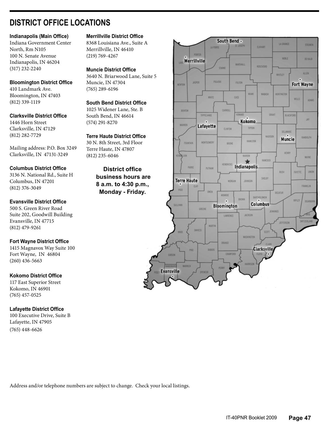# **DISTRICT OFFICE LOCATIONS**

#### **Indianapolis (Main Office)**

Indiana Government Center North, Rm N105 100 N. Senate Avenue Indianapolis, IN 46204 (317) 232-2240

#### **Bloomington District Office**

410 Landmark Ave. Bloomington, IN 47403 (812) 339-1119

# **Clarksville District Office** 1446 Horn Street

Clarksville, IN 47129 (812) 282-7729

Mailing address: P.O. Box 3249 Clarksville, IN 47131-3249

#### **Columbus District Office**

3136 N. National Rd., Suite H Columbus, IN 47201 (812) 376-3049

#### **Evansville District Office**

500 S. Green River Road Suite 202, Goodwill Building Evansville, IN 47715 (812) 479-9261

#### **Fort Wayne District Office**

1415 Magnavox Way Suite 100 Fort Wayne, IN 46804 (260) 436-5663

#### **Kokomo District Office**

117 East Superior Street Kokomo, IN 46901 (765) 457-0525

#### **Lafayette District Office**

100 Executive Drive, Suite B Lafayette, IN 47905 (765) 448-6626

#### **Merrillville District Office**

8368 Louisiana Ave., Suite A Merrillville, IN 46410 (219) 769-4267

#### **Muncie District Office**

3640 N. Briarwood Lane, Suite 5 Muncie, IN 47304 (765) 289-6196

# **South Bend District Office** 1025 Widener Lane, Ste. B

South Bend, IN 46614 (574) 291-8270

#### **Terre Haute District Office**

30 N. 8th Street, 3rd Floor Terre Haute, IN 47807 (812) 235-6046

### **District office business hours are 8 a.m. to 4:30 p.m., Monday - Friday.**



Address and/or telephone numbers are subject to change. Check your local listings.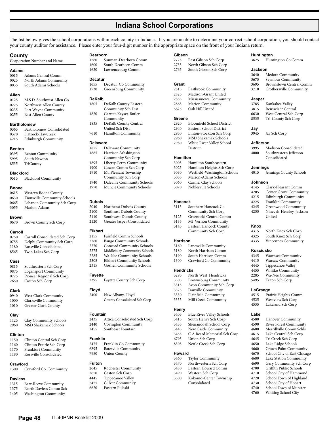# **Indiana School Corporations**

The list below gives the school corporations within each county in Indiana. If you are unable to determine your correct school corporation, you should contact your county auditor for assistance. Please enter your four-digit number in the appropriate space on the front of your Indiana return.

#### **County**

#### Corporation Number and Name

#### **Adams**

0015 Adams Central Comm 0025 North Adams Community<br>0035 South Adams Schools South Adams Schools

#### **Allen**

0125 M.S.D. Southwest Allen Co 0225 Northwest Allen County 0235 Fort Wayne Community<br>0255 East Allen County East Allen County

#### **Bartholomew**

- 0365 Bartholomew Consolidated
- 0370 Flatrock-Hawcreek<br>4215 Edinburgh Commu Edinburgh Community

#### **Benton**

| 0395 | <b>Benton Community</b> |
|------|-------------------------|
| 5995 | South Newton            |
| 8535 | TriCounty               |

#### **Blackford**

| <b>Blackford Community</b> |
|----------------------------|
|                            |

#### **Boone**

- 0615 Western Boone County 0630 Zionsville Community Schools<br>0665 Lebanon Community Sch Corn Lebanon Community Sch Corp
- 3055 Marion-Adams

#### **Brown**

0670 Brown County Sch Corp

# Carroll<br>0750

- Carroll Consolidated Sch Corp 0755 Delphi Community Sch Corp 1180 Rossville Consolidated
- 8565 Twin Lakes Sch Corp

#### **Cass**

- 0815 Southeastern Sch Corp<br>0875 I ogansport Community Logansport Community 0775 Pioneer Regional Sch Corp
- 2650 Caston Sch Corp

#### **Clark**

0940 West Clark Community<br>1000 Clark sville Community Clarksville Community 1010 Greater Clark County

#### **Clay**

1125 Clay Community Schools 2960 MSD Shakamak Schools

#### **Clinton**

- 1150 Clinton Central Sch Corp
- 1160 Clinton Prairie Sch Corp 1170 Frankfort Community<br>1180 Rossville Consolidated Rossville Consolidated

#### **Crawford**

1300 Crawford Co. Community

#### **Daviess**

- 1315 Barr-Reeve Community<br>1375 North Daviess Comm So
- 1375 North Daviess Comm Sch<br>1405 Washington Community Washington Community

**Page 48** IT-40PNR Booklet 2009

- Dearborn<br>1560 Su
- Sunman-Dearborn Comm 1600 South Dearborn Comm<br>1620 Lawrenceburg Comm Lawrenceburg Comm

#### **Decatur**

1655 Decatur Co Community 1730 Greensburg Community

#### **DeKalb**

- 1805 DeKalb County Eastern Community Sch Dist 1820 Garrett-Keyser-Butler Community 1835 DeKalb County Central United Sch Dist
- 7610 Hamilton Community

#### **Delaware**

- 1875 Delaware Community<br>1885 Harrison-Washington Harrison-Washington Community Sch Corp 1895 Liberty-Perry Community<br>1900 Cowan Comm Sch Corn
	- Cowan Comm Sch Corp
- 1910 Mt. Pleasant Township Community Sch Corp
- 1940 Daleville Community Schools
- 1970 Muncie Community Schools

#### **Dubois**

- 2040 Northeast Dubois County<br>2100 Southeast Dubois County Southeast Dubois County 2110 Southwest Dubois County
- 2120 Greater Jasper Consolidated

#### **Elkhart**

- 2155 Fairfield Comm Schools
- 2260 Baugo Community Schools
- 2270 Concord Community Schools<br>2275 Middlebury Community Schools Middlebury Community Schools
- 2285 Wa-Nee Community Schools
- 2305 Elkhart Community Schools
- 2315 Goshen Community Schools

# **Fayette**

Fayette County Sch Corp

# **Floyd**

New Albany-Floyd County Consolidated Sch Corp

#### **Fountain**

2435 Attica Consolidated Sch Corp 2440 Covington Community

2455 Southeast Fountain

#### **Franklin**

2475 Franklin Co Community<br>6895 Batesville Community Batesville Community 7950 Union County

#### **Fulton**

- 2645 Rochester Community 2650 Caston Sch Corp 4445 Tippecanoe Valley 5455 Culver Community
- 6620 Eastern Pulaski

**Gibson**<br>2725 East Gibson Sch Corp **Huntington**

**Jackson**

**Jasper**

**Jay**

**Jefferson**

**Jennings**

**Johnson**

**Knox**

**Kosciusko**

**LaGrange**<br>4515 Pra

**Lake**<br>4580

3625 Huntington Co Comm

 Medora Community Seymour Community Brownstown Central Comm Crothersville Community

 Kankakee Valley Rensselaer Central West Central Sch Corp Tri-County Sch Corp

Jay Sch Corp

3995 Madison Consolidated<br>4000 Southwestern Jefferson Southwestern Jefferson Consolidated

4015 Jennings County Schools

United

4145 Clark-Pleasant Comm 4205 Center Grove Community<br>4215 Edinburgh Community Edinburgh Community 4225 Franklin Community 4245 Greenwood Community<br>4255 Nineveh-Henslev-Jackso Nineveh-Hensley-Jackson

North Knox Sch Corp 4325 South Knox Sch Corp 4335 Vincennes Community

Prairie Heights Comm

Crown Point Community 4670 School City of East Chicago 4680 Lake Station Community 4690 Gary Community Sch Corp<br>4700 Griffith Public Schools Griffith Public Schools 4710 School City of Hammond 4720 School Town of Highland<br>4730 School City of Hobart School City of Hobart 4740 School Town of Munster<br>4760 Whiting School City Whiting School City

4345 Wawasee Community 4415 Warsaw Community 4445 Tippecanoe Valley 4455 Whitko Community<br>2285 Wa-Nee Community 2285 Wa-Nee Community<br>5495 Triton Sch Corp Triton Sch Corp

4525 Westview Sch Corp 4535 Lakeland Sch Corp

4580 Hanover Community<br>4590 River Forest Commun River Forest Community 4600 Merrillville Comm Schls 4615 Lake Central Sch Corp<br>4645 Tri Creek Sch Corp 4645 Tri Creek Sch Corp 4650 Lake Ridge Schools

- 2735 North Gibson Sch Corp<br>2765 South Gibson Sch Corp
- South Gibson Sch Corp

#### **Grant**

- 2815 Eastbrook Community<br>2825 Madison-Grant United Madison-Grant United
- 2855 Mississinewa Community
- 
- 2865 Marion Community<br>5625 Oak Hill United 5625 Oak Hill United

### Greene

- Bloomfield School District
- 2940 Eastern School District<br>2950 Linton-Stockton Sch Co
- Linton-Stockton Sch Corp 2960 MSD Shakamak Schools
- 2980 White River Valley School District

#### **Hamilton**

- 3005 Hamilton Southeastern<br>3025 Hamilton Heights Sch C
- Hamilton Heights Sch Corp
- 3030 Westfield-Washington Schools Marion-Adams Schools
- 3060 Carmel Clay Schools
- 3070 Noblesville Schools

#### **Hancock**

- 3115 Southern Hancock Co Community Sch Corp
- 3125 Greenfield Central Comm
- 3135 Mt Vernon Community<br>3145 Eastern Hancock County Eastern Hancock County
- Community Sch Corp

#### **Harrison**

**Hendricks**<br>3295 No

**Henry**

**Howard**

3160 Lanesville Community<br>3180 North Harrison Comm North Harrison Comm 3190 South Harrison Comm

1300 Crawford Co Community

3295 North West Hendricks<br>3305 Brownsburg Communit 3305 Brownsburg Community Avon Community Sch Corp

3325 Danville Community<br>3330 Plainfield Community Plainfield Community 3335 Mill Creek Community

3405 Blue River Valley Schools 3415 South Henry Sch Corp 3435 Shenandoah School Corp New Castle Community 3455 C A Beard Memorial Sch Corp<br>6795 Union Sch Corp Union Sch Corp 8305 Nettle Creek Sch Corp

3460 Taylor Community 3470 Northwestern Sch Corp Eastern Howard Comm

3490 Western Sch Corp

Consolidated

Kokomo-Center Township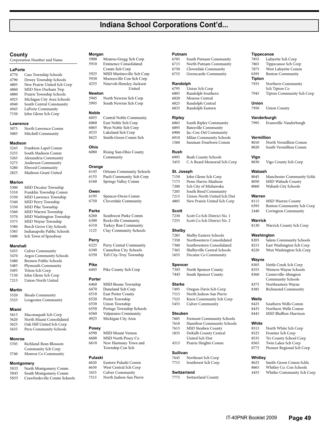# **Indiana School Corporations Cont'd...**

#### **County**

Corporation Number and Name

#### **LaPorte**

- 4770 Cass Township Schools<br>4790 Dewey Township Schoo 4790 Dewey Township Schools<br>4805 New Prairie United Sch C New Prairie United Sch Corp 4860 MSD New Durham Twp 4880 Prairie Township Schools 4925 Michigan City Area Schools 4940 South Central Community
- 4945 LaPorte Community<br>7150 Iohn Glenn Sch Corn John Glenn Sch Corp

#### **Lawrence**

5075 North Lawrence Comm Mitchell Community

#### **Madison**

- 5245 Frankton-Lapel Comm South Madison Comm
- 5265 Alexandria Community
- 5275 Anderson Community<br>5280 Elwood Community 5280 Elwood Community
- 2825 Madison-Grant United

#### **Marion**

| 5300 | MSD Decatur Township        |
|------|-----------------------------|
| 5310 | Franklin Township Comm      |
| 5330 | MSD Lawrence Township       |
| 5340 | MSD Perry Township          |
| 5350 | MSD Pike Township           |
| 5360 | MSD Warren Township         |
| 5370 | MSD Washington Township     |
| 5375 | MSD Wayne Township          |
| 5380 | Beech Grove City Schools    |
| 5385 | Indianapolis Public Schools |
| 5400 | Sch Town of Speedway        |
|      |                             |

#### **Marshall**

| 5455 | <b>Culver Community</b> |
|------|-------------------------|
| 5470 | Argos Community Schools |
| 5480 | Bremen Public Schools   |
| 5485 | Plymouth Community      |
| 5495 | Triton Sch Corp         |
| 7150 | John Glenn Sch Corp     |
| 7215 | Union-North United      |
|      |                         |

# **Martin**

5520 Shoals Community<br>5525 Loogootee Commu Loogootee Community

#### **Miami**

| 5615 | Maconaquah Sch Corp      |
|------|--------------------------|
| 5620 | North Miami Consolidated |

| 5625 | Oak Hill United Sch Corp |
|------|--------------------------|
| 5635 | Peru Community Schools   |

# **Monroe**

- 5705 Richland-Bean Blossom Community Sch Corp
- 5740 Monroe Co Community

# **Montgomery**<br>5835 North

- 5835 North Montgomery Comm
- 5845 South Montgomery Comm<br>5855 Crawfordsville Comm Scho 5855 Crawfordsville Comm Schools

#### **Morgan**

| 5900 | Monroe-Gregg Sch Corp        |
|------|------------------------------|
| 5910 | <b>Eminence Consolidated</b> |
|      | Comm Sch Corp                |
| 5925 | MSD Martinsville Sch Corp    |
| 5930 | Mooresville Con Sch Corp     |
|      |                              |

4255 Nineveh-Hensley-Jackson United

#### **Newton**

| 5945 | North Newton Sch Corp |  |
|------|-----------------------|--|
| 5995 | South Newton Sch Corp |  |

#### **Noble**

| 6055 | Central Noble Community |
|------|-------------------------|
| 6060 | East Noble Sch Corp     |
| 6065 | West Noble Sch Corp     |
| 4535 | Lakeland Sch Corp       |
| 8625 | Smith-Green Comm Sch    |
|      |                         |

# **Ohio**<br>6080

Rising Sun-Ohio County Community

#### **Orange**

| 6145 | <b>Orleans Community Schools</b> |
|------|----------------------------------|
| 6155 | Paoli Community Sch Corp         |
| 6160 | Springs Valley Comm              |

#### **Owen**

6195 Spencer-Owen Comm Cloverdale Community

#### **Parke**

| 6260 | Southwest Parke Comm        |
|------|-----------------------------|
| 6300 | Rockville Community         |
| 6310 | <b>Turkey Run Community</b> |
| 1125 | Clay Community Schools      |

# **Perry**<br>6325

| 6325 | Perry Central Community |
|------|-------------------------|
| 6340 | Cannelton City Schools  |
| 6350 | Tell City-Troy Township |

# **Pike**<br>6445

Pike County Sch Corp

#### **Porter**

- 6460 MSD Boone Township<br>6470 Duneland Sch Corp Duneland Sch Corp
- 6510 East Porter County
- 6520 Porter Township
- 6530 Union Township
- 6550 Portage Township Schools
- 6560 Valparaiso Community Michigan City Area

# **Posey**

- MSD Mount Vernon 6600 MSD North Posey Co
- 6610 New Harmony Town and Township Con Sch

#### **Pulaski**

- 6620 Eastern Pulaski Comm West Central Sch Corp.
- 5455 Culver Community
- 7515 North Judson-San Pierre

#### **Putnam**

6705 South Putnam Community<br>6715 North Putnam Community

**Tippecanoe**

**Tipton**

**Union**

**Vanderburgh**<br>7995 Evansv

**Vermillion**<br>8010 No

**Vigo**

**Wabash**<br>8045

**Warren**

**Warrick**

**Wayne**

**Wells**<br>8425

**White**

**Whitley**

**Washington**

7855 Lafayette Sch Corp Tippecanoe Sch Corp 7875 West Lafayette Comm Benton Community

7935 Northern Community Sch Tipton Co 7945 Tipton Community Sch Corp

**Union County** 

8010 North Vermillion Comm<br>8020 South Vermillion Comm South Vermillion Comm

8030 Vigo County Sch Corp

8050 MSD Wabash County 8060 Wabash City Schools

8115 MSD Warren County<br>0395 Benton Community S

2440 Covington Community

8130 Warrick County Sch Corp

8205 Salem Community Schools<br>8215 East Washington Sch Corn East Washington Sch Corp 8220 West Washington Sch Corp

8305 Nettle Creek Sch Corp<br>8355 Western Wayne School Western Wayne Schools

8360 Centerville-Abington Community Schools 8375 Northeastern Wayne Richmond Community

8425 Southern Wells Comm<br>8435 Northern Wells Comm Northern Wells Comm 8445 MSD Bluffton-Harrison

8515 North White Sch Corp<br>8525 Frontier Sch Corp Frontier Sch Corp 8535 Tri-County School Corp Twin Lakes Sch Corp 0775 Pioneer Regional Sch Corp

8625 Smith-Green Comm Schls<br>8665 Whitley Co. Con Schools Whitley Co. Con Schools 4455 Whitko Community Sch Corp

Manchester Community Schls

Benton Community Sch Corp

Evansville-Vanderburgh

- 6715 North Putnam Community
- 6750 Cloverdale Community Greencastle Community

#### **Randolph**

- 6795 Union Sch Corp
- Randolph Southern
- 6820 Monroe Central<br>6825 Randolph Centra
- 6825 Randolph Central Randolph Eastern

# **Ripley**

- 6865 South Ripley Community<br>6895 Batesville Community Batesville Community
- 6900 Jac-Cen-Del Community
- 6910 Milan Community Schools
- 1560 Sunman-Dearborn Comm

#### **Rush**

6995 Rush County Schools<br>3455 C.A. Beard Memorial C A Beard Memorial Sch Corp

#### **St. Joseph**

- 7150 John Glenn Sch Corp 7175 Penn-Harris-Madison
- 
- 7200 Sch City of Mishawaka South Bend Community
- 7215 Union-North United Sch Dist
- 4805 New Prairie United Sch Corp

# **Scott**<br>7230

7230 Scott Co Sch District No. 1 Scott Co Sch District No. 2

# Shelby<br>7285

- Shelby Eastern Schools
- 7350 Northwestern Consolidated Southwestern Consolidated
- 7365 Shelbyville Central Schools
- 1655 Decatur Co Community

# **Spencer**<br>7385

North Spencer County 7445 South Spencer County

# **Starke**<br>7495

- Oregon-Davis Sch Corp
- 7515 North Judson-San Pierre
- 7525 Knox Community Sch Corp Culver Community

#### **Steuben**

**Sullivan**

**Switzerland**

7605 Fremont Community Schools

IT-40PNR Booklet 2009 **Page 49**

- Hamilton Community Schools
- 7615 MSD Steuben County<br>1835 DeKalb County Centr DeKalb County Central United Sch Dist

4515 Prairie Heights Comm

7645 Northeast Sch Corp Southwest Sch Corp

7775 Switzerland County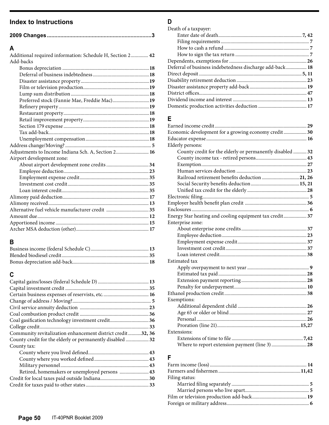## **Index to Instructions**

| A                                                         |  |
|-----------------------------------------------------------|--|
| Additional required information: Schedule H, Section 2 42 |  |
| Add-backs                                                 |  |
|                                                           |  |
|                                                           |  |
|                                                           |  |
|                                                           |  |
|                                                           |  |
| Preferred stock (Fannie Mae, Freddie Mac)19               |  |
|                                                           |  |
|                                                           |  |
|                                                           |  |
|                                                           |  |
|                                                           |  |
|                                                           |  |
|                                                           |  |
| Adjustments to Income Indiana Sch. A, Section 2 16        |  |
| Airport development zone:                                 |  |
|                                                           |  |
|                                                           |  |
|                                                           |  |
|                                                           |  |
|                                                           |  |
|                                                           |  |
|                                                           |  |
|                                                           |  |
|                                                           |  |
|                                                           |  |
|                                                           |  |

# **B**

### **C**

| Coal gasification technology investment credit 36          |  |
|------------------------------------------------------------|--|
|                                                            |  |
| Community revitalization enhancement district credit32, 36 |  |
| County credit for the elderly or permanently disabled  32  |  |
| County tax:                                                |  |
|                                                            |  |
|                                                            |  |
|                                                            |  |
| Retired, homemakers or unemployed persons  43              |  |
|                                                            |  |
|                                                            |  |
|                                                            |  |

# **D**

| Death of a taxpayer:                                     |  |
|----------------------------------------------------------|--|
|                                                          |  |
|                                                          |  |
|                                                          |  |
|                                                          |  |
|                                                          |  |
| Deferral of business indebetedness discharge add-back 18 |  |
|                                                          |  |
|                                                          |  |
|                                                          |  |
|                                                          |  |
|                                                          |  |
|                                                          |  |
|                                                          |  |

## **E**

| Economic development for a growing economy credit30       |
|-----------------------------------------------------------|
|                                                           |
| Elderly persons:                                          |
| County credit for the elderly or permanently disabled  32 |
|                                                           |
|                                                           |
|                                                           |
| Railroad retirement benefits deduction 21, 26             |
|                                                           |
|                                                           |
|                                                           |
|                                                           |
|                                                           |
| Energy Star heating and cooling equipment tax credit 37   |
| Enterprise zone:                                          |
|                                                           |
|                                                           |
|                                                           |
|                                                           |
|                                                           |
| Estimated tax                                             |
|                                                           |
|                                                           |
|                                                           |
|                                                           |
|                                                           |
| Exemptions:                                               |
|                                                           |
|                                                           |
|                                                           |
|                                                           |
| Extensions:                                               |
|                                                           |
|                                                           |

### **F**

| Filing status: |  |
|----------------|--|
|                |  |
|                |  |
|                |  |
|                |  |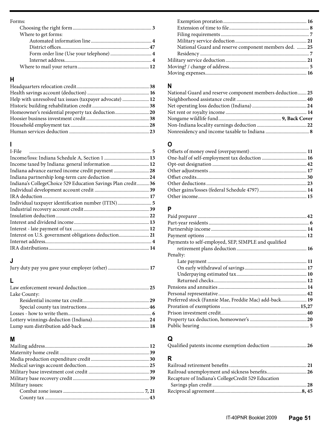#### Forms:

| Where to get forms: |  |
|---------------------|--|
|                     |  |
|                     |  |
|                     |  |
|                     |  |
|                     |  |
|                     |  |

# **H**

| Help with unresolved tax issues (taxpayer advocate)  12 |  |
|---------------------------------------------------------|--|
|                                                         |  |
| Homeowner's residential property tax deduction20        |  |
|                                                         |  |
|                                                         |  |
|                                                         |  |

## **I**

| I-File                                                       |  |
|--------------------------------------------------------------|--|
|                                                              |  |
| Income taxed by Indiana: general information  12             |  |
| Indiana advance earned income credit payment 28              |  |
|                                                              |  |
| Indiana's CollegeChoice 529 Education Savings Plan credit 36 |  |
|                                                              |  |
|                                                              |  |
|                                                              |  |
|                                                              |  |
|                                                              |  |
|                                                              |  |
|                                                              |  |
| Interest on U.S. government obligations deduction21          |  |
|                                                              |  |
|                                                              |  |

### **J**

| Jury duty pay you gave your employer (other)  17 |  |
|--------------------------------------------------|--|
|--------------------------------------------------|--|

# **L**

| Lake County: |  |
|--------------|--|
|              |  |
|              |  |
|              |  |
|              |  |
|              |  |

### **M**

| Military issues: |  |
|------------------|--|
|                  |  |
|                  |  |

| National Guard and reserve component members ded.  25 |  |
|-------------------------------------------------------|--|
|                                                       |  |
|                                                       |  |
|                                                       |  |
|                                                       |  |
|                                                       |  |

### **N**

| National Guard and reserve component members deduction  25 |  |
|------------------------------------------------------------|--|
|                                                            |  |
|                                                            |  |
|                                                            |  |
|                                                            |  |
|                                                            |  |
|                                                            |  |

### **O**

## **P**

| Payments to self-employed, SEP, SIMPLE and qualified  |  |
|-------------------------------------------------------|--|
|                                                       |  |
| Penalty:                                              |  |
|                                                       |  |
|                                                       |  |
|                                                       |  |
|                                                       |  |
|                                                       |  |
|                                                       |  |
| Preferred stock (Fannie Mae, Freddie Mac) add-back 19 |  |
|                                                       |  |
|                                                       |  |
|                                                       |  |
|                                                       |  |

### **Q**

Qualified patents income exemption deduction ..............................**26**

### **R**

| Recapture of Indiana's CollegeCredit 529 Education |  |
|----------------------------------------------------|--|
|                                                    |  |
|                                                    |  |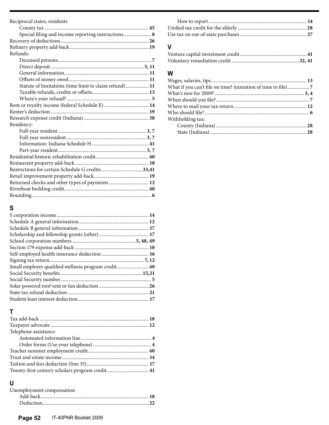| Reciprocal states, residents                           |  |
|--------------------------------------------------------|--|
|                                                        |  |
| Special filing and income reporting instructions 8     |  |
|                                                        |  |
|                                                        |  |
| Refunds:                                               |  |
|                                                        |  |
|                                                        |  |
|                                                        |  |
|                                                        |  |
| Statute of limitations (time limit to claim refund) 11 |  |
|                                                        |  |
|                                                        |  |
|                                                        |  |
|                                                        |  |
|                                                        |  |
| Residency:                                             |  |
|                                                        |  |
|                                                        |  |
|                                                        |  |
|                                                        |  |
|                                                        |  |
|                                                        |  |
|                                                        |  |
|                                                        |  |
| Returned checks and other types of payments 12         |  |
|                                                        |  |
|                                                        |  |
|                                                        |  |

# **S**

| Small employer qualified wellness program credit 40 |  |
|-----------------------------------------------------|--|
|                                                     |  |
|                                                     |  |
|                                                     |  |
|                                                     |  |
|                                                     |  |

# **T**

| Telephone assistance: |  |
|-----------------------|--|
|                       |  |
|                       |  |
|                       |  |
|                       |  |
|                       |  |
|                       |  |
|                       |  |

# **U**

| Unemployment compensation |  |
|---------------------------|--|
|                           |  |
|                           |  |
|                           |  |

### **V**

### **W**

| Withholding tax: |  |
|------------------|--|
|                  |  |
|                  |  |
|                  |  |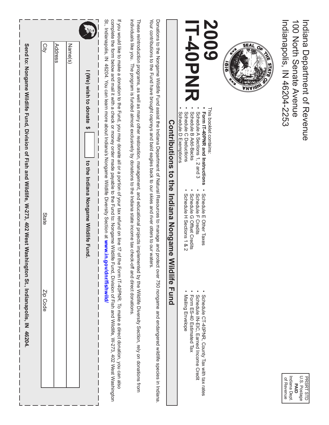| Send to: Nongame Wildlife Fund, Division of Fish and Wildlife, W-273, 402 West Was<br>City<br>Address<br>Name(s)<br>I (We) wish to donate<br>↮<br>to the Indiana Nongame Wildlife Fund<br>State<br>hington St., Indianapolis, IN 46204.<br>Zip Code | If you would like to make a donation to the Fund, you may donate all or a portion of your tax refund on line 17 of the Form IT-40PNR. To make a direct donation, you can also<br>individuals like you. The program is funded almost exclusively by donations to the Indiana state income tax check-off and direct donations<br>complete the form and mail it with a check or money order made payable to the Fund to: Nongame Wildlife Fund to: Nongame Wildlife Fund 10: Nongame Wildlife Fund Wildlife, W-273, 402 West Mashington<br>St., Indianapolis, IN 46204. You can learn more about Indiana's Nongame Wildlife Diversity Section at www.in.gov/dnr/fishwild/<br>These reintroduction programs, as well as many other restoration, management, and educational projects implemented by the Wildlife Diversity Section, rely on donations from | Your contributions to the Fund have brought ospreys and bald eagles back to our skies and river otters to our waters<br>Donations to the Nildlife Fund assist the Indiana Department of Natural Resources to manage and protect over 750 nongame and endangered wildlife species in Indiana<br>Contributions<br>to the<br>Indiana<br>Nongame<br><b>Wildlife</b><br><b>Fund</b> | 600Z<br>-40PNR<br>This booklet contains:<br>Schedule C Deductions<br>Schedule B Add-Backs<br><b>Form IT-40PNR and Instructions</b><br>Schedule A Sections 1, 2 and 3<br>Schedule D Exemptions<br>Schedule E<br>Schedule F<br>Schedule H Sections 1 & 2<br>Schedule<br>G Offset Credits<br>Other Taxes<br>Credits<br>Schedule CT-40PNR, County Tax with tax rates<br>Mailing Envelope<br>Schedule IN-EIC, Earned Income Credit<br>Form ES-40 Estimated Tax | SEAL<br>$Q_{\tilde{c}}$ | Indiana Department of Keyenue<br>100 North Senate Avenue<br>Indianapolis, IN 46204-2253 |
|-----------------------------------------------------------------------------------------------------------------------------------------------------------------------------------------------------------------------------------------------------|--------------------------------------------------------------------------------------------------------------------------------------------------------------------------------------------------------------------------------------------------------------------------------------------------------------------------------------------------------------------------------------------------------------------------------------------------------------------------------------------------------------------------------------------------------------------------------------------------------------------------------------------------------------------------------------------------------------------------------------------------------------------------------------------------------------------------------------------------------|--------------------------------------------------------------------------------------------------------------------------------------------------------------------------------------------------------------------------------------------------------------------------------------------------------------------------------------------------------------------------------|-----------------------------------------------------------------------------------------------------------------------------------------------------------------------------------------------------------------------------------------------------------------------------------------------------------------------------------------------------------------------------------------------------------------------------------------------------------|-------------------------|-----------------------------------------------------------------------------------------|
|                                                                                                                                                                                                                                                     |                                                                                                                                                                                                                                                                                                                                                                                                                                                                                                                                                                                                                                                                                                                                                                                                                                                        |                                                                                                                                                                                                                                                                                                                                                                                |                                                                                                                                                                                                                                                                                                                                                                                                                                                           |                         | Indiana Dept.<br>U.S. Postage<br><b>PRSRT STD</b><br>of Revenue<br><b>DAID</b>          |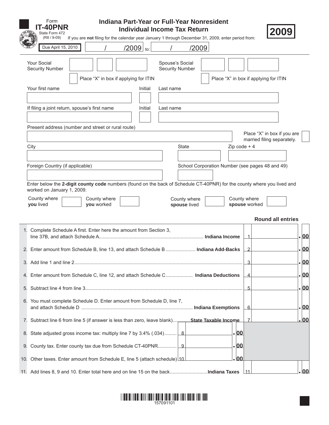|    | Form<br>Indiana Part-Year or Full-Year Nonresident<br><b>T-40PNR</b><br><b>Individual Income Tax Return</b>                                                          |       |      |
|----|----------------------------------------------------------------------------------------------------------------------------------------------------------------------|-------|------|
|    | State Form 472<br>$(R8 / 9 - 09)$<br>If you are not filing for the calendar year January 1 through December 31, 2009, enter period from:                             |       |      |
|    | Due April 15, 2010<br>$/2009$ to:<br>/2009                                                                                                                           |       |      |
|    | Your Social<br>Spouse's Social<br><b>Security Number</b><br><b>Security Number</b><br>Place "X" in box if applying for ITIN<br>Place "X" in box if applying for ITIN |       |      |
|    | Your first name<br>Initial<br>Last name                                                                                                                              |       |      |
|    | If filing a joint return, spouse's first name<br>Initial<br>Last name                                                                                                |       |      |
|    | Present address (number and street or rural route)                                                                                                                   |       |      |
|    | Place "X" in box if you are<br>married filing separately.<br><b>State</b><br>Zip $code + 4$<br>City                                                                  |       |      |
|    |                                                                                                                                                                      |       |      |
|    | Foreign Country (if applicable)<br>School Corporation Number (see pages 48 and 49)                                                                                   |       |      |
|    | Enter below the 2-digit county code numbers (found on the back of Schedule CT-40PNR) for the county where you lived and                                              |       |      |
|    | worked on January 1, 2009.                                                                                                                                           |       |      |
|    | County where<br>County where<br>County where<br>County where<br>you lived<br>you worked<br>spouse worked<br>spouse lived                                             |       |      |
|    | <b>Round all entries</b>                                                                                                                                             |       |      |
|    |                                                                                                                                                                      |       |      |
|    | 1. Complete Schedule A first. Enter here the amount from Section 3,<br>1                                                                                             | .  00 |      |
|    | 2. Enter amount from Schedule B, line 13, and attach Schedule B  Indiana Add-Backs<br>2                                                                              | . 00  |      |
|    | 3.                                                                                                                                                                   |       | .00  |
|    |                                                                                                                                                                      |       |      |
| 4. | Enter amount from Schedule C, line 12, and attach Schedule C Indiana Deductions<br>4                                                                                 | . 00  |      |
| 5. | 5                                                                                                                                                                    | . 00  |      |
|    | 6. You must complete Schedule D. Enter amount from Schedule D, line 7,<br>6                                                                                          | . 00  |      |
| 7. | State Taxable Income. Subtract line 6 from line 5 (if answer is less than zero, leave blank) State Taxable Income.<br>7                                              |       | . 00 |
| 8. | .00<br>State adjusted gross income tax: multiply line 7 by 3.4% (.034) [8]                                                                                           |       |      |
| 9. | .00                                                                                                                                                                  |       |      |
|    | .00<br>10. Other taxes. Enter amount from Schedule E, line 5 (attach schedule) 10                                                                                    |       |      |

11. Add lines 8, 9 and 10. Enter total here and on line 15 on the back..........................**Indiana Taxes**  $11$ 

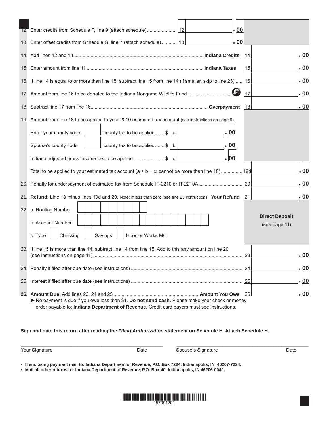|     | .00                                                                                                          |                                        |       |  |
|-----|--------------------------------------------------------------------------------------------------------------|----------------------------------------|-------|--|
|     | . 00<br>13. Enter offset credits from Schedule G, line 7 (attach schedule) 13                                |                                        |       |  |
|     |                                                                                                              | 14                                     | . 00  |  |
|     |                                                                                                              | 15                                     | . 00  |  |
|     | 16. If line 14 is equal to or more than line 15, subtract line 15 from line 14 (if smaller, skip to line 23) | 16                                     | . 00  |  |
|     | 17. Amount from line 16 to be donated to the Indiana Nongame Wildlife Fund                                   | 17                                     | . 00  |  |
|     |                                                                                                              | 18                                     | .  00 |  |
|     | 19. Amount from line 18 to be applied to your 2010 estimated tax account (see instructions on page 9).       |                                        |       |  |
|     | .  00<br>Enter your county code<br>county tax to be applied $\frac{1}{2}$ a                                  |                                        |       |  |
|     | .  00<br>Spouse's county code<br>county tax to be applied $\frac{1}{2}$ b                                    |                                        |       |  |
|     | . 00<br>Indiana adjusted gross income tax to be applied \$ $\mathcal{C}$                                     |                                        |       |  |
|     | Total to be applied to your estimated tax account ( $a + b + c$ ; cannot be more than line 18)  [190]        |                                        | .00   |  |
|     | 20. Penalty for underpayment of estimated tax from Schedule IT-2210 or IT-2210A                              | 20                                     | . 00  |  |
|     | 21. Refund: Line 18 minus lines 19d and 20. Note: If less than zero, see line 23 instructions Your Refund    | 21                                     | .  00 |  |
|     | 22. a. Routing Number                                                                                        |                                        |       |  |
|     | b. Account Number                                                                                            | <b>Direct Deposit</b><br>(see page 11) |       |  |
|     | c. Type:<br>Checking<br>Savings<br><b>Hoosier Works MC</b>                                                   |                                        |       |  |
| 23. | If line 15 is more than line 14, subtract line 14 from line 15. Add to this any amount on line 20            |                                        |       |  |
|     |                                                                                                              | 23                                     | . 00  |  |
|     |                                                                                                              | 24                                     | .00   |  |
|     |                                                                                                              |                                        | .00   |  |
|     |                                                                                                              |                                        | . 00  |  |
|     | ▶ No payment is due if you owe less than \$1. Do not send cash. Please make your check or money              |                                        |       |  |
|     | order payable to: Indiana Department of Revenue. Credit card payers must see instructions.                   |                                        |       |  |

**Sign and date this return after reading the** *Filing Authorization* **statement on Schedule H. Attach Schedule H.**

Your Signature **National Example 2 Constrainers** Date Spouse's Signature **Constrainers** Date

**• If enclosing payment mail to: Indiana Department of Revenue, P.O. Box 7224, Indianapolis, IN 46207-7224.** 

**• Mail all other returns to: Indiana Department of Revenue, P.O. Box 40, Indianapolis, IN 46206-0040.**



 $\_$  , and the state of the state of the state of the state of the state of the state of the state of the state of the state of the state of the state of the state of the state of the state of the state of the state of the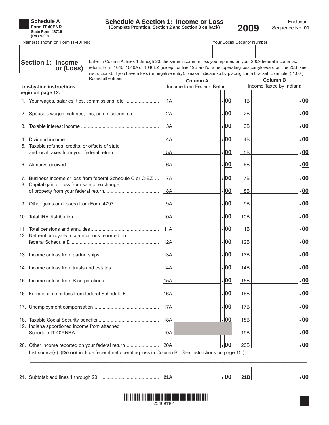| <b>Schedule A</b> |
|-------------------|
| Form IT-40PNR     |
| State Form 48719  |
| (R8/9-09)         |

# **Schedule A Section 1: Income or Loss**

**(Complete Proration, Section 2 and Section 3 on back)**

Enclosure **2009** Sequence No.**<sup>01</sup>**

Name(s) shown on Form IT-40PNR Your Social Security Number

| <b>Section 1: Income</b><br>Enter in Column A, lines 1 through 20, the same income or loss you reported on your 2009 federal income tax<br>return, Form 1040, 1040A or 1040EZ (except for line 19B and/or a net operating loss carryforward on line 20B; see<br>or (Loss) |            |                                               |                 |                                            |
|---------------------------------------------------------------------------------------------------------------------------------------------------------------------------------------------------------------------------------------------------------------------------|------------|-----------------------------------------------|-----------------|--------------------------------------------|
| instructions). If you have a loss (or negative entry), please Indicate so by placing it in a bracket. Example: (1.00)<br>Round all entries.<br><b>Line-by-line instructions</b>                                                                                           |            | <b>Column A</b><br>Income from Federal Return |                 | <b>Column B</b><br>Income Taxed by Indiana |
| begin on page 12.                                                                                                                                                                                                                                                         |            |                                               |                 |                                            |
| 1. Your wages, salaries, tips, commissions, etc                                                                                                                                                                                                                           | 1A         | .00                                           | 1B              | .00                                        |
| 2. Spouse's wages, salaries, tips, commissions, etc                                                                                                                                                                                                                       | 2A         | .  00                                         | 2B              | .00                                        |
|                                                                                                                                                                                                                                                                           | 3A         | .  00                                         | 3B              | .00                                        |
|                                                                                                                                                                                                                                                                           | 4A         | .  00                                         | 4B              | .00                                        |
| 5. Taxable refunds, credits, or offsets of state                                                                                                                                                                                                                          | 5A         | .  00                                         | 5B              | .00                                        |
|                                                                                                                                                                                                                                                                           | 6A         | .  00                                         | 6 <sub>B</sub>  | .00                                        |
| 7. Business income or loss from federal Schedule C or C-EZ                                                                                                                                                                                                                | 7A         | .  00                                         | 7B              | .00                                        |
| 8. Capital gain or loss from sale or exchange                                                                                                                                                                                                                             | 8A         | .  00                                         | 8B              | .00                                        |
|                                                                                                                                                                                                                                                                           | <b>9A</b>  | .  00                                         | <b>9B</b>       | .00                                        |
|                                                                                                                                                                                                                                                                           | 10A        | .  00                                         | 10B             | .00                                        |
|                                                                                                                                                                                                                                                                           | 11A        | .  00                                         | 11B             | .00                                        |
| 12. Net rent or royalty income or loss reported on                                                                                                                                                                                                                        | 12A        | .  00                                         | 12B             | .00                                        |
|                                                                                                                                                                                                                                                                           | 13A        | .  00                                         | 13B             | .00                                        |
|                                                                                                                                                                                                                                                                           | 14A        | .  00                                         | 14B             | .00                                        |
|                                                                                                                                                                                                                                                                           | 15A        | .00                                           | 15B             | .00                                        |
| 16. Farm income or loss from federal Schedule F                                                                                                                                                                                                                           | 16A        | . 00                                          | 16B             | .00                                        |
|                                                                                                                                                                                                                                                                           | 17A        | <u>. 00</u>                                   | 17B             | <u>. 00</u>                                |
|                                                                                                                                                                                                                                                                           | <u>18A</u> | <u>. 00</u>                                   | 18 <sub>B</sub> | <u>. 00</u>                                |
| 19. Indiana apportioned income from attached                                                                                                                                                                                                                              | 19A        |                                               | 19B             | <u>. 00</u>                                |
| 20. Other income reported on your federal return<br>List source(s). (Do not include federal net operating loss in Column B. See instructions on page 15.)                                                                                                                 | 20A        | .  00                                         | 20B             | .00                                        |
|                                                                                                                                                                                                                                                                           |            |                                               |                 |                                            |
|                                                                                                                                                                                                                                                                           | 21A        | .  00                                         | 21B             | .00                                        |

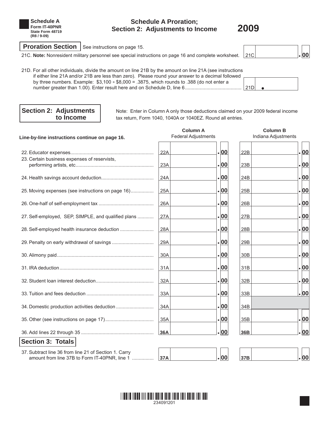

### **Schedule A Proration; Section 2: Adjustments to Income 2009**



**Proration Section** | See instructions on page 15.

21C. Note: Nonresident military personnel see special instructions on page 16 and complete worksheet. **21C 21C 120 100** 

| 21D. For all other individuals, divide the amount on line 21B by the amount on line 21A (see instructions |  |  |
|-----------------------------------------------------------------------------------------------------------|--|--|
| if either line 21A and/or 21B are less than zero). Please round your answer to a decimal followed         |  |  |
| by three numbers. Example: $$3,100 \div $8,000 = .3875$ , which rounds to .388 (do not enter a            |  |  |
|                                                                                                           |  |  |
|                                                                                                           |  |  |

**Section 2: Adjustments** Note: Enter in Column A only those deductions claimed on your 2009 federal income<br> **Section 2: Adjustments** to **Income** tax return, Form 1040, 1040A or 1040EZ. Round all entries. tax return, Form 1040, 1040A or 1040EZ. Round all entries.

| Line-by-line instructions continue on page 16.                                                         | <b>Column A</b><br><b>Federal Adjustments</b> |      |                 | <b>Column B</b><br>Indiana Adjustments |
|--------------------------------------------------------------------------------------------------------|-----------------------------------------------|------|-----------------|----------------------------------------|
|                                                                                                        | 22A                                           | .00  | 22B             | .00                                    |
| 23. Certain business expenses of reservists,                                                           | 23A                                           | .00  | 23B             | . 00                                   |
|                                                                                                        | 24A                                           | .00  | 24B             | . 00                                   |
| 25. Moving expenses (see instructions on page 16)                                                      | 25A                                           | .00  | 25B             | . 00                                   |
|                                                                                                        | 26A                                           | . 00 | 26B             | . 00                                   |
| 27. Self-employed, SEP, SIMPLE, and qualified plans                                                    | 27A                                           | .00  | 27 <sub>B</sub> | .00                                    |
| 28. Self-employed health insurance deduction                                                           | 28A                                           | .00  | 28B             | .00                                    |
|                                                                                                        | 29A                                           | .00  | 29B             | .00                                    |
|                                                                                                        | 30A                                           | .00  | 30 <sub>B</sub> | . 00                                   |
|                                                                                                        | 31A                                           | .00  | 31B             | .00                                    |
|                                                                                                        | 32A                                           | .00  | 32B             | .00                                    |
|                                                                                                        | 33A                                           | .00  | 33B             | .00                                    |
| 34. Domestic production activities deduction                                                           | 34A                                           | . 00 | 34B             |                                        |
|                                                                                                        | 35A                                           | .00  | 35 <sub>B</sub> | . 00                                   |
|                                                                                                        | 36A                                           | . 00 | 36B             | 00                                     |
| <b>Section 3: Totals</b>                                                                               |                                               |      |                 |                                        |
| 37. Subtract line 36 from line 21 of Section 1. Carry<br>amount from line 37B to Form IT-40PNR, line 1 | 37A                                           | .00  | 37B             | .00                                    |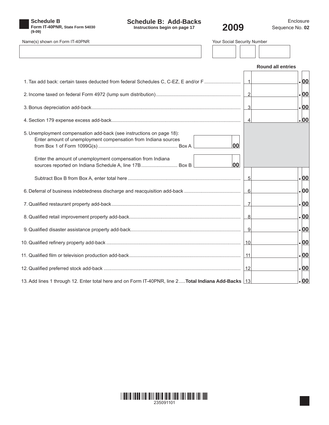

**Schedule B: Add-Backs**

| Name(s) shown on Form IT-40PNR                                                                                                         | Your Social Security Number |                          |
|----------------------------------------------------------------------------------------------------------------------------------------|-----------------------------|--------------------------|
|                                                                                                                                        |                             |                          |
|                                                                                                                                        |                             | <b>Round all entries</b> |
| 1. Tax add back: certain taxes deducted from federal Schedules C, C-EZ, E and/or F                                                     | $\vert$ 1                   | .00                      |
|                                                                                                                                        | $\overline{2}$              | .00                      |
|                                                                                                                                        | 3                           | .00                      |
|                                                                                                                                        | $\vert$                     | .00                      |
| 5. Unemployment compensation add-back (see instructions on page 18):<br>Enter amount of unemployment compensation from Indiana sources | 00                          |                          |
| Enter the amount of unemployment compensation from Indiana<br>sources reported on Indiana Schedule A, line 17B Box B                   | 00                          |                          |
|                                                                                                                                        | 5                           | .00                      |
|                                                                                                                                        | 6                           | .00                      |
|                                                                                                                                        | 7                           | .00                      |
|                                                                                                                                        | 8 <sup>1</sup>              | .00                      |
|                                                                                                                                        | 9                           | .00                      |
|                                                                                                                                        | 10                          | .00                      |
|                                                                                                                                        | $\vert$ 11                  | .00                      |
|                                                                                                                                        | 12                          | .00                      |
| 13. Add lines 1 through 12. Enter total here and on Form IT-40PNR, line 2Total Indiana Add-Backs [13]                                  |                             | .00                      |

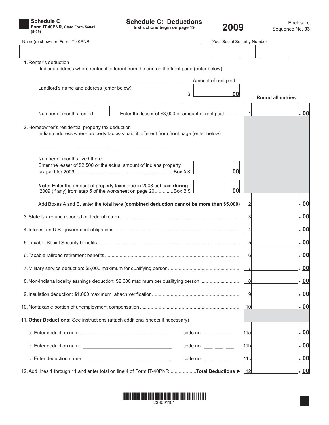

**Schedule C: Deductions**

٦

 $\overline{\phantom{a}}$ 

| Name(s) shown on Form IT-40PNR | Your Social Security Number |  |
|--------------------------------|-----------------------------|--|
|                                |                             |  |

| ır Social Security Number |  |  |  |  |  |  |
|---------------------------|--|--|--|--|--|--|
|                           |  |  |  |  |  |  |

| 1. Renter's deduction<br>Indiana address where rented if different from the one on the front page (enter below)                             |                                                    |    |                 |                          |       |
|---------------------------------------------------------------------------------------------------------------------------------------------|----------------------------------------------------|----|-----------------|--------------------------|-------|
|                                                                                                                                             | Amount of rent paid                                |    |                 |                          |       |
| Landlord's name and address (enter below)                                                                                                   | \$                                                 | 00 |                 | <b>Round all entries</b> |       |
| Number of months rented<br>Enter the lesser of \$3,000 or amount of rent paid                                                               |                                                    |    |                 |                          | .  00 |
| 2. Homeowner's residential property tax deduction<br>Indiana address where property tax was paid if different from front page (enter below) |                                                    |    |                 |                          |       |
| Number of months lived there<br>Enter the lesser of \$2,500 or the actual amount of Indiana property                                        |                                                    | 00 |                 |                          |       |
| Note: Enter the amount of property taxes due in 2008 but paid during<br>2009 (if any) from step 5 of the worksheet on page 20Box B \$       |                                                    | 00 |                 |                          |       |
| Add Boxes A and B, enter the total here (combined deduction cannot be more than \$5,000)                                                    |                                                    |    |                 |                          | .  00 |
|                                                                                                                                             |                                                    |    |                 |                          | .  00 |
|                                                                                                                                             |                                                    |    |                 |                          | .  00 |
|                                                                                                                                             |                                                    |    |                 |                          | .  00 |
|                                                                                                                                             |                                                    |    | 6               |                          | .  00 |
|                                                                                                                                             |                                                    |    |                 |                          | .  00 |
| 8. Non-Indiana locality earnings deduction: \$2,000 maximum per qualifying person                                                           |                                                    |    | 8               |                          | .  00 |
|                                                                                                                                             |                                                    |    |                 |                          | 00    |
|                                                                                                                                             |                                                    |    | 10              |                          | .  00 |
| 11. Other Deductions: See instructions (attach additional sheets if necessary)                                                              |                                                    |    |                 |                          |       |
|                                                                                                                                             | code no. $\frac{1}{1}$ $\frac{1}{1}$ $\frac{1}{1}$ |    | 11al            |                          | .  00 |
|                                                                                                                                             | $code no.$ ___ __ __                               |    | 11 <sub>b</sub> |                          | .  00 |
|                                                                                                                                             |                                                    |    |                 |                          | .  00 |
|                                                                                                                                             | code no. $\frac{1}{1}$ $\frac{1}{1}$ $\frac{1}{1}$ |    | 11c             |                          |       |
| 12. Add lines 1 through 11 and enter total on line 4 of Form IT-40PNRTotal Deductions >                                                     |                                                    |    | $\vert$ 12      |                          | . 00  |

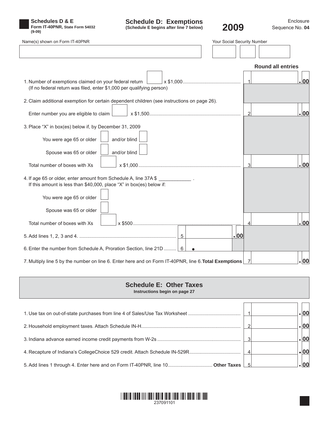

**Schedule D: Exemptions**

| Name(s) shown on Form IT-40PNR                                                                                                           | Your Social Security Number |                          |      |
|------------------------------------------------------------------------------------------------------------------------------------------|-----------------------------|--------------------------|------|
|                                                                                                                                          |                             |                          |      |
|                                                                                                                                          |                             | <b>Round all entries</b> |      |
| 1. Number of exemptions claimed on your federal return<br>(If no federal return was filed, enter \$1,000 per qualifying person)          |                             | 1                        | .00  |
| 2. Claim additional exemption for certain dependent children (see instructions on page 26).                                              |                             |                          |      |
| Enter number you are eligible to claim $\Box$                                                                                            |                             | $\vert$ 2                | .00  |
| 3. Place "X" in box(es) below if, by December 31, 2009                                                                                   |                             |                          |      |
| You were age 65 or older<br>and/or blind                                                                                                 |                             |                          |      |
| Spouse was 65 or older<br>and/or blind                                                                                                   |                             |                          |      |
| Total number of boxes with Xs                                                                                                            |                             | 3 <sup>1</sup>           | .00  |
| 4. If age 65 or older, enter amount from Schedule A, line 37A \$<br>If this amount is less than \$40,000, place "X" in box(es) below if: |                             |                          |      |
| You were age 65 or older                                                                                                                 |                             |                          |      |
| Spouse was 65 or older                                                                                                                   |                             |                          |      |
| Total number of boxes with Xs                                                                                                            |                             | $\overline{4}$           | .00  |
|                                                                                                                                          | .00                         |                          |      |
| 6. Enter the number from Schedule A, Proration Section, line 21D  6                                                                      |                             |                          |      |
| 7. Multiply line 5 by the number on line 6. Enter here and on Form IT-40PNR, line 6. Total Exemptions 7                                  |                             |                          | . 00 |

| <b>Schedule E: Other Taxes</b> |  |  |
|--------------------------------|--|--|
| Instructions begin on page 27  |  |  |

| 1. Use tax on out-of-state purchases from line 4 of Sales/Use Tax Worksheet    | 00   |  |
|--------------------------------------------------------------------------------|------|--|
|                                                                                | 00   |  |
|                                                                                | 00   |  |
| 4. Recapture of Indiana's CollegeChoice 529 credit. Attach Schedule IN-529R    | , 00 |  |
| 5. Add lines 1 through 4. Enter here and on Form IT-40PNR, line 10 Other Taxes | 00   |  |

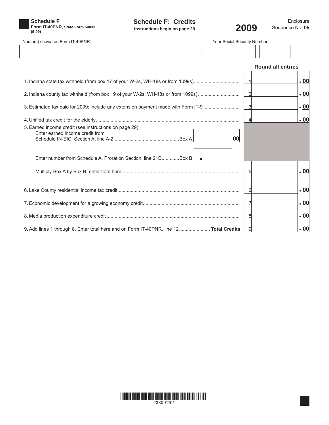

**Schedule F: Credits Instructions begin on page 28**



| Name(s) shown on Form IT-40PNR                                                                                                                              | Your Social Security Number |       |
|-------------------------------------------------------------------------------------------------------------------------------------------------------------|-----------------------------|-------|
|                                                                                                                                                             |                             |       |
|                                                                                                                                                             | <b>Round all entries</b>    |       |
|                                                                                                                                                             | $\vert$ 1                   | .  00 |
| 2. Indiana county tax withheld (from box 19 of your W-2s, WH-18s or from 1099s)                                                                             | $\overline{2}$              | .00   |
| 3. Estimated tax paid for 2009: include any extension payment made with Form IT-9                                                                           | $\overline{3}$              | .  00 |
| 5. Earned income credit (see instructions on page 29):<br>Enter earned income credit from<br>Enter number from Schedule A, Proration Section, line 21DBox B | $\overline{4}$<br>00        | .00   |
|                                                                                                                                                             | 5                           | .  00 |
|                                                                                                                                                             | 6                           | .  00 |
|                                                                                                                                                             |                             | .  00 |
|                                                                                                                                                             | 8                           | . 00  |
| 9. Add lines 1 through 8. Enter total here and on Form IT-40PNR, line 12 Total Credits                                                                      | 9                           | .00   |

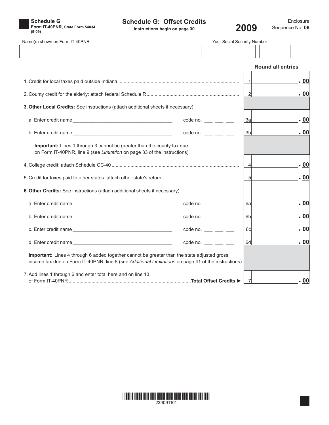

### **Schedule G: Offset Credits**



Enclosure Sequence No. **06**

| Name(s) shown on Form IT-40PNR                                                                                                                                                                     |                                         | Your Social Security Number |                          |  |  |
|----------------------------------------------------------------------------------------------------------------------------------------------------------------------------------------------------|-----------------------------------------|-----------------------------|--------------------------|--|--|
|                                                                                                                                                                                                    |                                         |                             |                          |  |  |
|                                                                                                                                                                                                    |                                         |                             | <b>Round all entries</b> |  |  |
|                                                                                                                                                                                                    |                                         |                             | .  00                    |  |  |
|                                                                                                                                                                                                    |                                         | $\overline{2}$              | . 00                     |  |  |
| 3. Other Local Credits: See instructions (attach additional sheets if necessary)                                                                                                                   |                                         |                             |                          |  |  |
|                                                                                                                                                                                                    | $code no. \_\_\_\_\_\_\_\_\$            | 3al                         | .  00                    |  |  |
|                                                                                                                                                                                                    | $code no.$ ___ __ __                    | 3 <sub>b</sub>              | . 00                     |  |  |
| Important: Lines 1 through 3 cannot be greater than the county tax due<br>on Form IT-40PNR, line 9 (see Limitation on page 33 of the instructions)                                                 |                                         |                             |                          |  |  |
|                                                                                                                                                                                                    |                                         | $\overline{4}$              | .00                      |  |  |
|                                                                                                                                                                                                    |                                         | 5                           | .  00                    |  |  |
| 6. Other Credits: See instructions (attach additional sheets if necessary)                                                                                                                         |                                         |                             |                          |  |  |
|                                                                                                                                                                                                    | code no. $\frac{1}{2}$ $\frac{1}{2}$    | 6al                         | .  00                    |  |  |
|                                                                                                                                                                                                    | code no. $\_\_\_\_\_\_\_\_\_\_\_\_\_\_$ | 6 <sub>b</sub>              | .00                      |  |  |
|                                                                                                                                                                                                    | code no. $\_\_\_\_\_\_\_\_\_\_\_\_\_\_$ | 6c                          | .  00                    |  |  |
|                                                                                                                                                                                                    | $code no.$ ___ __ __                    | 6d                          | .100                     |  |  |
| Important: Lines 4 through 6 added together cannot be greater than the state adjusted gross<br>income tax due on Form IT-40PNR, line 8 (see Additional Limitations on page 41 of the instructions) |                                         |                             |                          |  |  |
| 7. Add lines 1 through 6 and enter total here and on line 13                                                                                                                                       |                                         |                             | .100                     |  |  |

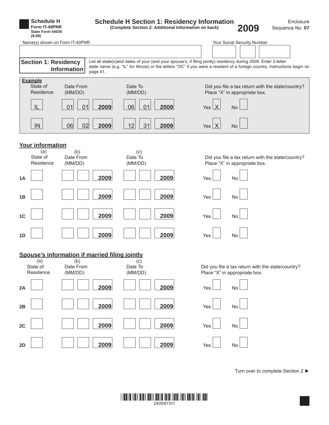

Turn over to complete Section 2 ►

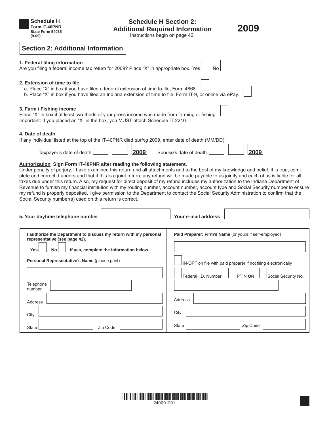| Schedule H<br><b>Schedule H Section 2:</b><br>Form IT-40PNR<br><b>Additional Required Information</b><br>State Form 54035<br>Instructions begin on page 42.<br>$(9-09)$                                                                                                                                                                                                                                                                                                                                                                                                                                                                                                                                                                                                                                                                                     | 2009                                                           |  |  |  |  |
|-------------------------------------------------------------------------------------------------------------------------------------------------------------------------------------------------------------------------------------------------------------------------------------------------------------------------------------------------------------------------------------------------------------------------------------------------------------------------------------------------------------------------------------------------------------------------------------------------------------------------------------------------------------------------------------------------------------------------------------------------------------------------------------------------------------------------------------------------------------|----------------------------------------------------------------|--|--|--|--|
| <b>Section 2: Additional Information</b>                                                                                                                                                                                                                                                                                                                                                                                                                                                                                                                                                                                                                                                                                                                                                                                                                    |                                                                |  |  |  |  |
| 1. Federal filing information<br>Are you filing a federal income tax return for 2009? Place "X" in appropriate box. Yes                                                                                                                                                                                                                                                                                                                                                                                                                                                                                                                                                                                                                                                                                                                                     | No                                                             |  |  |  |  |
| 2. Extension of time to file<br>a. Place "X" in box if you have filed a federal extension of time to file, Form 4868.<br>b. Place "X" in box if you have filed an Indiana extension of time to file, Form IT-9, or online via ePay.                                                                                                                                                                                                                                                                                                                                                                                                                                                                                                                                                                                                                         |                                                                |  |  |  |  |
| 3. Farm / Fishing income<br>Place "X" in box if at least two-thirds of your gross income was made from farming or fishing.<br>Important: If you placed an "X" in the box, you MUST attach Schedule IT-2210.                                                                                                                                                                                                                                                                                                                                                                                                                                                                                                                                                                                                                                                 |                                                                |  |  |  |  |
| 4. Date of death<br>If any individual listed at the top of the IT-40PNR died <i>during</i> 2009, enter date of death (MM/DD).<br>2009<br>Taxpayer's date of death                                                                                                                                                                                                                                                                                                                                                                                                                                                                                                                                                                                                                                                                                           | 2009<br>Spouse's date of death                                 |  |  |  |  |
| Authorization Sign Form IT-40PNR after reading the following statement.<br>Under penalty of perjury, I have examined this return and all attachments and to the best of my knowledge and belief, it is true, com-<br>plete and correct. I understand that if this is a joint return, any refund will be made payable to us jointly and each of us is liable for all<br>taxes due under this return. Also, my request for direct deposit of my refund includes my authorization to the Indiana Department of<br>Revenue to furnish my financial institution with my routing number, account number, account type and Social Security number to ensure<br>my refund is properly deposited. I give permission to the Department to contact the Social Security Administration to confirm that the<br>Social Security number(s) used on this return is correct. |                                                                |  |  |  |  |
| 5. Your daytime telephone number                                                                                                                                                                                                                                                                                                                                                                                                                                                                                                                                                                                                                                                                                                                                                                                                                            | Your e-mail address                                            |  |  |  |  |
| I authorize the Department to discuss my return with my personal<br>representative (see page 42).<br><b>Yes</b><br>No<br>If yes, complete the information below.                                                                                                                                                                                                                                                                                                                                                                                                                                                                                                                                                                                                                                                                                            | Paid Preparer: Firm's Name (or yours if self-employed)         |  |  |  |  |
| Personal Representative's Name (please print)                                                                                                                                                                                                                                                                                                                                                                                                                                                                                                                                                                                                                                                                                                                                                                                                               | IN-OPT on file with paid preparer if not filing electronically |  |  |  |  |
|                                                                                                                                                                                                                                                                                                                                                                                                                                                                                                                                                                                                                                                                                                                                                                                                                                                             | Federal I.D. Number<br>PTIN OR<br>Social Security No.          |  |  |  |  |
| Telephone<br>number                                                                                                                                                                                                                                                                                                                                                                                                                                                                                                                                                                                                                                                                                                                                                                                                                                         |                                                                |  |  |  |  |
| Address                                                                                                                                                                                                                                                                                                                                                                                                                                                                                                                                                                                                                                                                                                                                                                                                                                                     | <b>Address</b>                                                 |  |  |  |  |
| City                                                                                                                                                                                                                                                                                                                                                                                                                                                                                                                                                                                                                                                                                                                                                                                                                                                        | City                                                           |  |  |  |  |
| Zip Code<br>State                                                                                                                                                                                                                                                                                                                                                                                                                                                                                                                                                                                                                                                                                                                                                                                                                                           | Zip Code<br>State                                              |  |  |  |  |

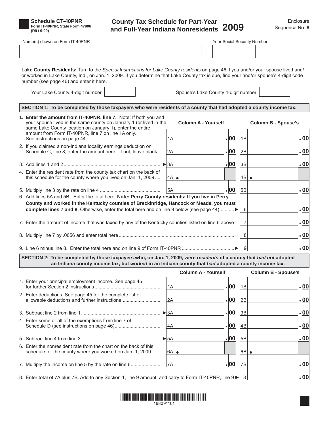

**Schedule CT-40PNR Form IT-40PNR, State Form 47906 (R9 / 9-09)**

### **County Tax Schedule for Part-Year and Full-Year Indiana Nonresidents 2009** Sequence No.**<sup>8</sup>**

| Name(s) shown on Form IT-40PNR                                                                                                                                                                                                                                                                                        |                          |                                     | Your Social Security Number |                            |
|-----------------------------------------------------------------------------------------------------------------------------------------------------------------------------------------------------------------------------------------------------------------------------------------------------------------------|--------------------------|-------------------------------------|-----------------------------|----------------------------|
|                                                                                                                                                                                                                                                                                                                       |                          |                                     |                             |                            |
| Lake County Residents: Turn to the Special Instructions for Lake County residents on page 46 if you and/or your spouse lived and/<br>or worked in Lake County, Ind., on Jan. 1, 2009. If you determine that Lake County tax is due, find your and/or spouse's 4-digit code<br>number (see page 46) and enter it here. |                          |                                     |                             |                            |
| Your Lake County 4-digit number                                                                                                                                                                                                                                                                                       |                          | Spouse's Lake County 4-digit number |                             |                            |
| SECTION 1: To be completed by those taxpayers who were residents of a county that had adopted a county income tax.                                                                                                                                                                                                    |                          |                                     |                             |                            |
| 1. Enter the amount from IT-40PNR, line 7. Note: If both you and<br>your spouse lived in the same county on January 1 (or lived in the<br>same Lake County location on January 1), enter the entire                                                                                                                   |                          | <b>Column A - Yourself</b>          |                             | <b>Column B - Spouse's</b> |
| amount from Form IT-40PNR, line 7 on line 1A only.                                                                                                                                                                                                                                                                    | 1A                       | .00                                 | 1B                          | .00                        |
| 2. If you claimed a non-Indiana locality earnings deduction on<br>Schedule C, line 8, enter the amount here. If not, leave blank                                                                                                                                                                                      | 2A                       | . 00                                | 2B                          | .00                        |
|                                                                                                                                                                                                                                                                                                                       | $\blacktriangleright$ 3A | .00                                 | 3B                          | .00                        |
| 4. Enter the resident rate from the county tax chart on the back of<br>this schedule for the county where you lived on Jan. 1, 2009                                                                                                                                                                                   | 4A                       |                                     | 4B<br>$\bullet$             |                            |
|                                                                                                                                                                                                                                                                                                                       | 5A                       | . 00                                | 5B                          | .00                        |
| 6. Add lines 5A and 5B. Enter the total here. Note: Perry County residents: If you live in Perry<br>County and worked in the Kentucky counties of Breckinridge, Hancock or Meade, you must<br>complete lines 7 and 8. Otherwise, enter the total here and on line 9 below (see page 44)▶                              |                          |                                     | 6<br>$\overline{7}$         | .00<br>.00                 |
| 7. Enter the amount of income that was taxed by any of the Kentucky counties listed on line 6 above                                                                                                                                                                                                                   |                          |                                     |                             |                            |
|                                                                                                                                                                                                                                                                                                                       |                          |                                     | 8                           | .00                        |
| 9. Line 6 minus line 8. Enter the total here and on line 9 of Form IT-40PNR                                                                                                                                                                                                                                           |                          |                                     | 9                           | .00                        |
| SECTION 2: To be completed by those taxpayers who, on Jan. 1, 2009, were residents of a county that had not adopted<br>an Indiana county income tax, but worked in an Indiana county that had adopted a county income tax.                                                                                            |                          |                                     |                             |                            |
|                                                                                                                                                                                                                                                                                                                       |                          | <b>Column A - Yourself</b>          |                             | <b>Column B - Spouse's</b> |
| 1. Enter your principal employment income. See page 45                                                                                                                                                                                                                                                                | 1A                       | .00                                 | 1B                          | .00                        |
| 2. Enter deductions. See page 45 for the complete list of                                                                                                                                                                                                                                                             | 2A                       | .00                                 | 2B                          | .00                        |
|                                                                                                                                                                                                                                                                                                                       | $\blacktriangleright$ 3A | .00                                 | 3B                          | .00                        |
| 4. Enter some or all of the exemptions from line 7 of                                                                                                                                                                                                                                                                 | 4A                       | .00                                 | 4B                          | .00                        |
|                                                                                                                                                                                                                                                                                                                       | $\blacktriangleright$ 5A | .00                                 | 5B                          | .00                        |
| 6. Enter the nonresident rate from the chart on the back of this<br>schedule for the county where you worked on Jan. 1, 2009                                                                                                                                                                                          | 6A  e                    |                                     | 6B <br>$\bullet$            |                            |
| 7. Multiply the income on line 5 by the rate on line 6                                                                                                                                                                                                                                                                | 7A                       | . 00                                | 7B                          | .00                        |
| 8. Enter total of 7A plus 7B. Add to any Section 1, line 9 amount, and carry to Form IT-40PNR, line $9 \blacktriangleright 8$                                                                                                                                                                                         |                          |                                     |                             | .  00                      |

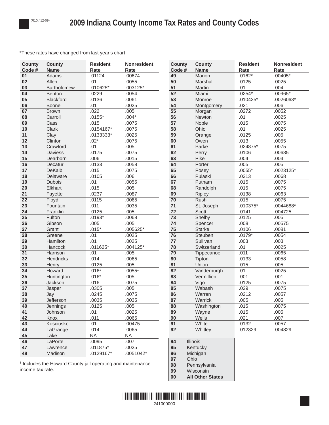\*These rates have changed from last year's chart.

| <b>County</b><br>Code # | <b>County</b><br><b>Name</b> | <b>Resident</b><br>Rate | <b>Nonresident</b><br>Rate | <b>County</b><br>Code # | <b>County</b><br><b>Name</b> | <b>Resident</b><br>Rate | <b>Nonresident</b><br>Rate |
|-------------------------|------------------------------|-------------------------|----------------------------|-------------------------|------------------------------|-------------------------|----------------------------|
| 01                      | Adams                        | .01124                  | .00674                     | 49                      | Marion                       | $.0162*$                | .00405*                    |
| 02                      | Allen                        | .01                     | .0055                      | 50                      | Marshall                     | .0125                   | .0025                      |
| 03                      | Bartholomew                  | .010625*                | .003125*                   | 51                      | Martin                       | .01                     | .004                       |
| 04                      | Benton                       | .0229                   | .0054                      | 52                      | Miami                        | $.0254*$                | .00965*                    |
| 05                      | Blackford                    | .0136                   | .0061                      | 53                      | Monroe                       | $.010425*$              | .0026063*                  |
| 06                      | Boone                        | .01                     | .0025                      | 54                      | Montgomery                   | .021                    | .006                       |
| $\overline{07}$         | <b>Brown</b>                 | .022                    | .005                       | $\overline{55}$         | Morgan                       | .0272                   | .0052                      |
| 08                      | Carroll                      | $.0155*$                | $.004*$                    | 56                      | Newton                       | .01                     | .0025                      |
| 09                      | Cass                         | .015                    | .0075                      | 57                      | Noble                        | .015                    | .0075                      |
| 10                      | Clark                        | .0154167*               | .0075                      | 58                      | Ohio                         | .01                     | .0025                      |
| 11                      | Clay                         | .0133333*               | .0025                      | 59                      | Orange                       | .0125                   | .005                       |
| 12                      | Clinton                      | $.02*$                  | .0075                      | 60                      | Owen                         | .013                    | .0055                      |
| 13                      | Crawford                     | .01                     | .005                       | 61                      | Parke                        | $.024875*$              | .0075                      |
| 14                      | <b>Daviess</b>               | .0175                   | .0075                      | 62                      | Perry                        | .0106                   | .00685                     |
| 15                      | Dearborn                     | .006                    | .0015                      | 63                      | Pike                         | .004                    | .004                       |
| 16                      | Decatur                      | .0133                   | .0058                      | 64                      | Porter                       | .005                    | .005                       |
| 17                      | DeKalb                       | .015                    | .0075                      | 65                      | Posey                        | $.0055*$                | .0023125*                  |
| 18                      | Delaware                     | .0105                   | .006                       | 66                      | Pulaski                      | .0313                   | .0068                      |
| $\overline{19}$         | <b>Dubois</b>                | .01                     | .0055                      | 67                      | Putnam                       | .015                    | .0075                      |
| 20                      | Elkhart                      | .015                    | .005                       | 68                      | Randolph                     | .015                    | .0075                      |
| 21                      | Fayette                      | .0237                   | .0087                      | 69                      | Ripley                       | .0138                   | .0063                      |
| $\overline{22}$         | Floyd                        | .0115                   | .0065                      | $\overline{70}$         | <b>Rush</b>                  | .015                    | .0075                      |
| 23                      | Fountain                     | .011                    | .0035                      | 71                      | St. Joseph                   | $.010375*$              | .0044688*                  |
| 24                      | Franklin                     | .0125                   | .005                       | 72                      | Scott                        | .0141                   | .004725                    |
| 25                      | Fulton                       | $.0193*$                | .0068                      | 73                      | Shelby                       | .0125                   | .005                       |
| 26                      | Gibson                       | .005                    | .005                       | 74                      | Spencer                      | .008                    | .00575                     |
| 27<br>$\overline{28}$   | Grant                        | $.015*$<br>.01          | .005625*<br>.0025          | 75<br>76                | <b>Starke</b><br>Steuben     | .0106<br>$.0179*$       | .0081<br>.0054             |
| 29                      | Greene<br>Hamilton           | .01                     | .0025                      | 77                      | Sullivan                     | .003                    | .003                       |
| 30                      | Hancock                      | .011625*                | $.004125*$                 | 78                      | Switzerland                  | .01                     | .0025                      |
| $\overline{31}$         | Harrison                     | .01                     | .005                       | $\overline{79}$         | Tippecanoe                   | .011                    | .0065                      |
| 32                      | Hendricks                    | .014                    | .0065                      | 80                      | Tipton                       | .0133                   | .0058                      |
| 33                      | Henry                        | .0125                   | .005                       | 81                      | Union                        | .015                    | .005                       |
| $\overline{34}$         | Howard                       | .016 <sup>1</sup>       | .0055 <sup>1</sup>         | 82                      | Vanderburgh                  | .01                     | .0025                      |
| 35                      | Huntington                   | $.016*$                 | .005                       | 83                      | Vermillion                   | .001                    | .001                       |
| 36                      | Jackson                      | .016                    | .0075                      | 84                      | Vigo                         | .0125                   | .0075                      |
| $\overline{37}$         | Jasper                       | .0305                   | .005                       | 85                      | Wabash                       | .029                    | .0075                      |
| 38                      | Jay                          | .0245                   | .0075                      | 86                      | Warren                       | .0212                   | .0057                      |
| 39                      | Jefferson                    | .0035                   | .0035                      | 87                      | Warrick                      | .005                    | .005                       |
| 40                      | Jennings                     | .0125                   | .005                       | 88                      | Washington                   | .015                    | .0075                      |
| 41                      | Johnson                      | .01                     | .0025                      | 89                      | Wayne                        | .015                    | .005                       |
| 42                      | Knox                         | .011                    | .0065                      | $90\,$                  | Wells                        | .021                    | .007                       |
| 43                      | Kosciusko                    | .01                     | .00475                     | 91                      | White                        | .0132                   | .0057                      |
| 44                      | LaGrange                     | .014                    | .0065                      | 92                      | Whitley                      | .012329                 | .004829                    |
| 45                      | Lake                         | <b>NA</b>               | <b>NA</b>                  |                         |                              |                         |                            |
| 46                      | LaPorte                      | .0095                   | .007                       | 94                      | Illinois                     |                         |                            |
| 47                      | Lawrence                     | .011875*                | .0025                      | 95                      | Kentucky                     |                         |                            |
| 48                      | Madison                      | .0129167*               | .0051042*                  | 96                      | Michigan                     |                         |                            |
|                         |                              |                         |                            | 97                      | Ohio                         |                         |                            |

<sup>1</sup> Includes the Howard County jail operating and maintenance income tax rate.



 Pennsylvania Wisconsin **All Other States**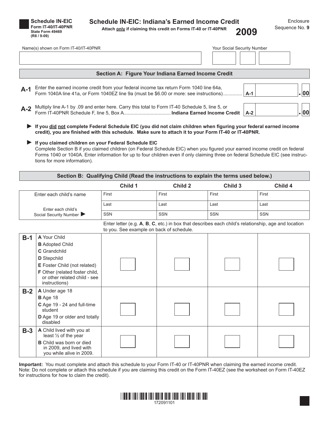| <b>Schedule IN-EIC</b>     |
|----------------------------|
| <b>Form IT-40/IT-40PNR</b> |
| State Form 49469           |
| $(R8/9-09)$                |

#### **Schedule IN-EIC: Indiana's Earned Income Credit**

**Attach only if claiming this credit on Forms IT-40 or IT-40PNR (R8 / 9-09) 2009**

|       | Name(s) shown on Form IT-40/IT-40PNR                                                                                                                                             | Your Social Security Number |        |  |  |
|-------|----------------------------------------------------------------------------------------------------------------------------------------------------------------------------------|-----------------------------|--------|--|--|
|       |                                                                                                                                                                                  |                             |        |  |  |
|       | Section A: Figure Your Indiana Earned Income Credit                                                                                                                              |                             |        |  |  |
| $A-1$ | Enter the earned income credit from your federal income tax return Form 1040 line 64a,<br>Form 1040A line 41a, or Form 1040EZ line 9a (must be \$6.00 or more: see instructions) | $A-1$                       | $\log$ |  |  |
| $A-2$ | Multiply line A-1 by .09 and enter here. Carry this total to Form IT-40 Schedule 5, line 5, or                                                                                   | $A-2$                       | 00     |  |  |

▶ If you did not complete Federal Schedule EIC (you did not claim children when figuring your federal earned income credit), you are finished with this schedule. Make sure to attach it to your Form IT-40 or IT-40PNR.

#### **If you claimed children on your Federal Schedule EIC ►**

Complete Section B if you claimed children (on Federal Schedule EIC) when you figured your earned income credit on federal Forms 1040 or 1040A. Enter information for up to four children even if only claiming three on federal Schedule EIC (see instructions for more information).

| Section B: Qualifying Child (Read the instructions to explain the terms used below.)                                                            |                                                                                                                                              |            |            |            |            |  |  |  |  |
|-------------------------------------------------------------------------------------------------------------------------------------------------|----------------------------------------------------------------------------------------------------------------------------------------------|------------|------------|------------|------------|--|--|--|--|
|                                                                                                                                                 |                                                                                                                                              | Child 1    | Child 2    | Child 3    | Child 4    |  |  |  |  |
| Enter each child's name                                                                                                                         |                                                                                                                                              | First      | First      | First      | First      |  |  |  |  |
|                                                                                                                                                 |                                                                                                                                              | Last       | Last       | Last       | Last       |  |  |  |  |
| Enter each child's<br>Social Security Number                                                                                                    |                                                                                                                                              | <b>SSN</b> | <b>SSN</b> | <b>SSN</b> | <b>SSN</b> |  |  |  |  |
| Enter letter (e.g. A, B, C, etc.) in box that describes each child's relationship, age and location<br>to you. See example on back of schedule. |                                                                                                                                              |            |            |            |            |  |  |  |  |
| $B-1$                                                                                                                                           | A Your Child<br><b>B</b> Adopted Child<br>C Grandchild                                                                                       |            |            |            |            |  |  |  |  |
|                                                                                                                                                 | D Stepchild<br>E Foster Child (not related)<br>F Other (related foster child,<br>or other related child - see<br>instructions)               |            |            |            |            |  |  |  |  |
| $B-2$                                                                                                                                           | A Under age 18<br><b>B</b> Age 18<br>C Age 19 - 24 and full-time<br>student<br>D Age 19 or older and totally<br>disabled                     |            |            |            |            |  |  |  |  |
| $B-3$                                                                                                                                           | A Child lived with you at<br>least 1/2 of the year<br><b>B</b> Child was born or died<br>in 2009, and lived with<br>you while alive in 2009. |            |            |            |            |  |  |  |  |

**Important:** You must complete and attach this schedule to your Form IT-40 or IT-40PNR when claiming the earned income credit. Note: Do not complete or attach this schedule if you are claiming this credit on the Form IT-40EZ (see the worksheet on Form IT-40EZ for instructions for how to claim the credit).